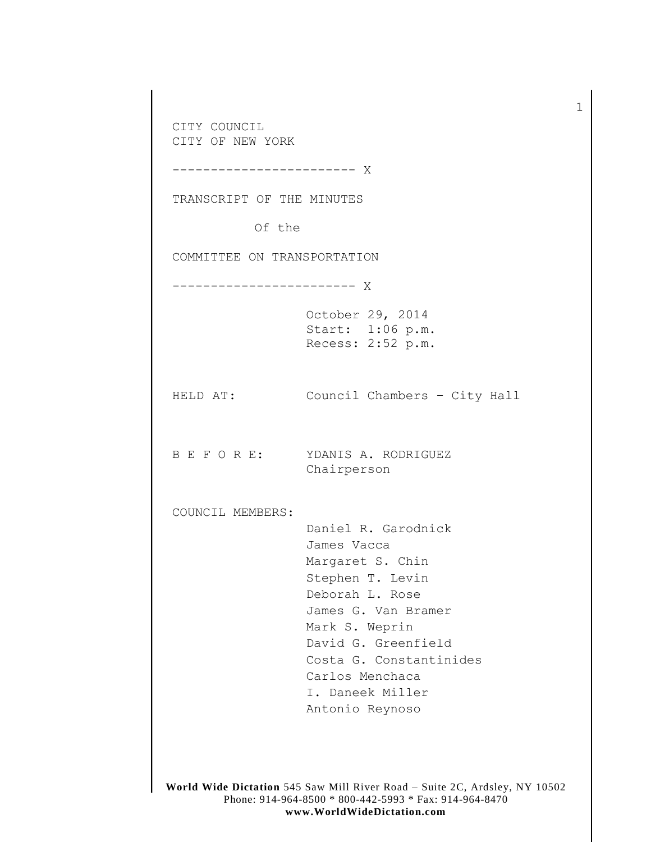CITY COUNCIL CITY OF NEW YORK ------------------------ X TRANSCRIPT OF THE MINUTES Of the COMMITTEE ON TRANSPORTATION ------------------------ X October 29, 2014 Start: 1:06 p.m. Recess: 2:52 p.m. HELD AT: Council Chambers – City Hall B E F O R E: YDANIS A. RODRIGUEZ Chairperson COUNCIL MEMBERS: Daniel R. Garodnick James Vacca Margaret S. Chin Stephen T. Levin Deborah L. Rose James G. Van Bramer Mark S. Weprin David G. Greenfield Costa G. Constantinides Carlos Menchaca I. Daneek Miller Antonio Reynoso

1

**World Wide Dictation** 545 Saw Mill River Road – Suite 2C, Ardsley, NY 10502 Phone: 914-964-8500 \* 800-442-5993 \* Fax: 914-964-8470 **www.WorldWideDictation.com**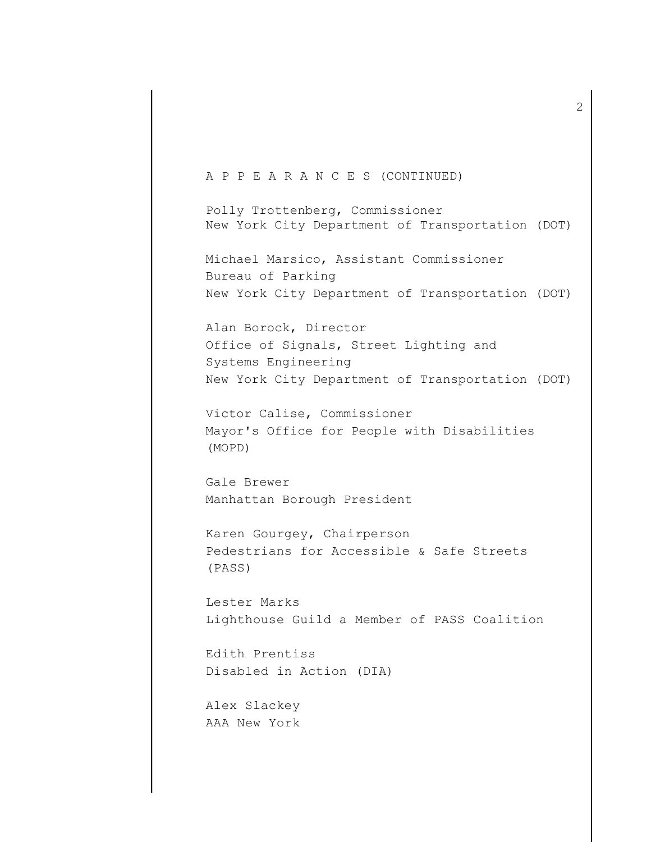## A P P E A R A N C E S (CONTINUED)

Polly Trottenberg, Commissioner New York City Department of Transportation (DOT)

Michael Marsico, Assistant Commissioner Bureau of Parking New York City Department of Transportation (DOT)

Alan Borock, Director Office of Signals, Street Lighting and Systems Engineering New York City Department of Transportation (DOT)

Victor Calise, Commissioner Mayor's Office for People with Disabilities (MOPD)

Gale Brewer Manhattan Borough President

Karen Gourgey, Chairperson Pedestrians for Accessible & Safe Streets (PASS)

Lester Marks Lighthouse Guild a Member of PASS Coalition

Edith Prentiss Disabled in Action (DIA)

Alex Slackey AAA New York 2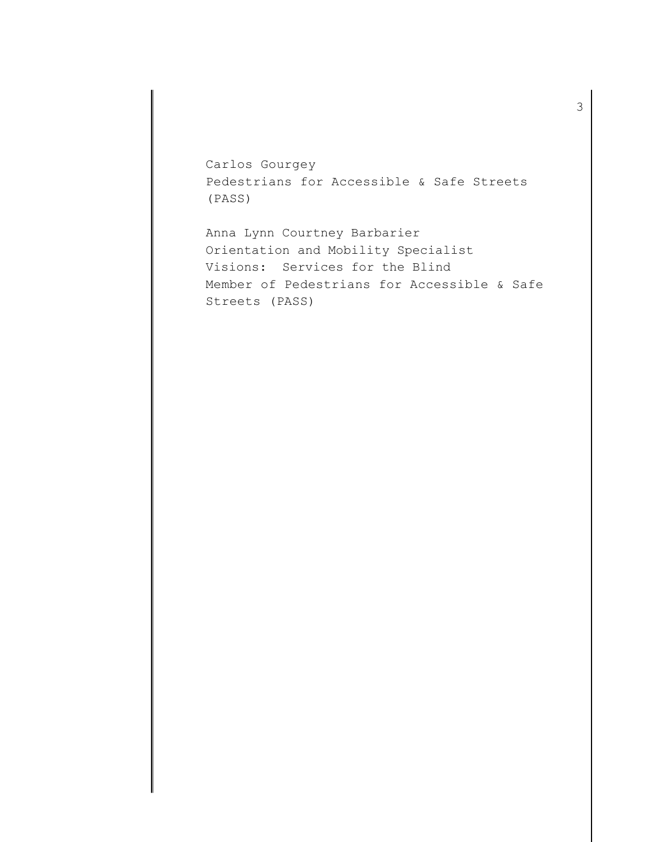Carlos Gourgey Pedestrians for Accessible & Safe Streets (PASS)

Anna Lynn Courtney Barbarier Orientation and Mobility Specialist Visions: Services for the Blind Member of Pedestrians for Accessible & Safe Streets (PASS)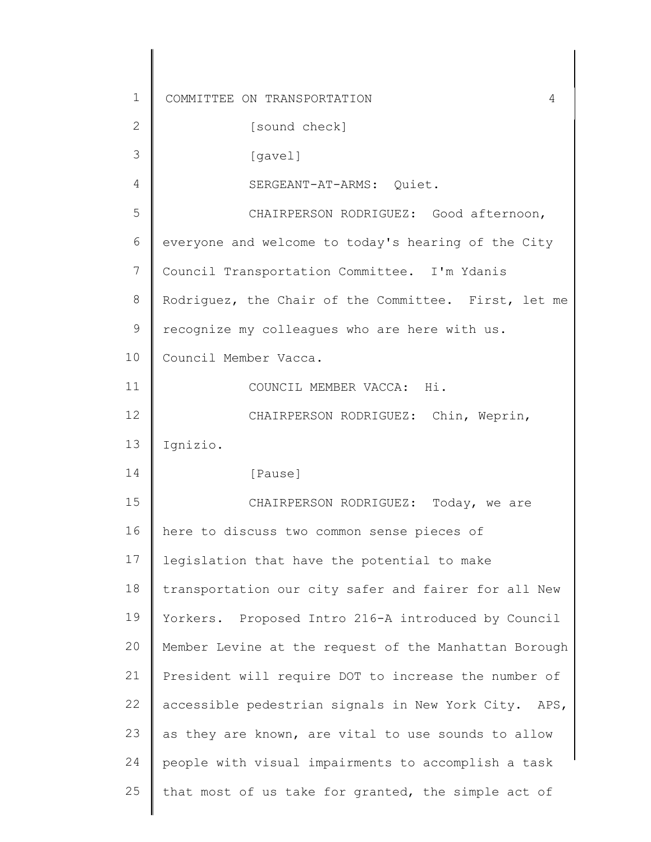1 2 3 4 5 6 7 8 9 10 11 12 13 14 15 16 17 18 19 20 21 22 23 24 25 COMMITTEE ON TRANSPORTATION 4 [sound check] [gavel] SERGEANT-AT-ARMS: Quiet. CHAIRPERSON RODRIGUEZ: Good afternoon, everyone and welcome to today's hearing of the City Council Transportation Committee. I'm Ydanis Rodriguez, the Chair of the Committee. First, let me recognize my colleagues who are here with us. Council Member Vacca. COUNCIL MEMBER VACCA: Hi. CHAIRPERSON RODRIGUEZ: Chin, Weprin, Ignizio. [Pause] CHAIRPERSON RODRIGUEZ: Today, we are here to discuss two common sense pieces of legislation that have the potential to make transportation our city safer and fairer for all New Yorkers. Proposed Intro 216-A introduced by Council Member Levine at the request of the Manhattan Borough President will require DOT to increase the number of accessible pedestrian signals in New York City. APS, as they are known, are vital to use sounds to allow people with visual impairments to accomplish a task that most of us take for granted, the simple act of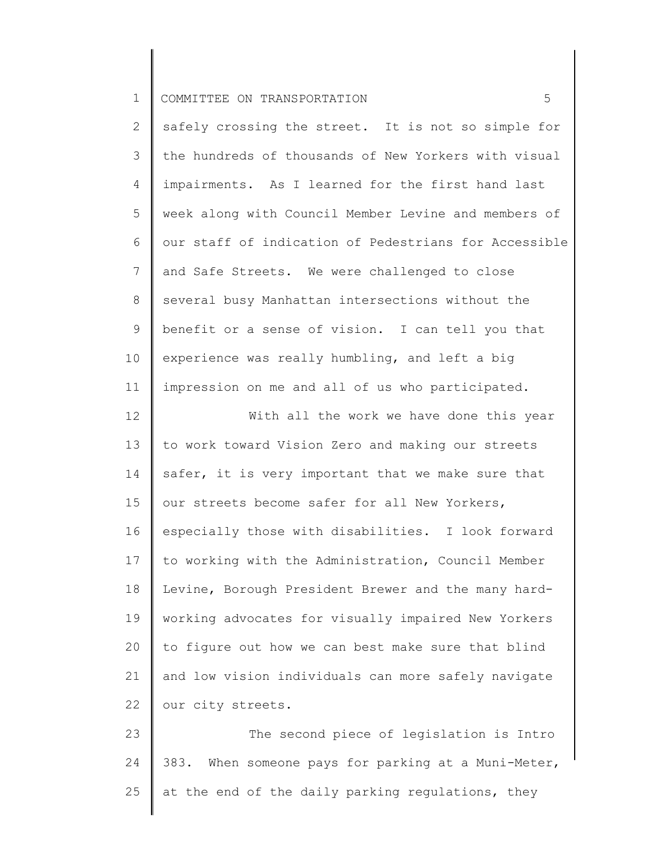|  |  |  | 1 COMMITTEE ON TRANSPORTATION |  |  |
|--|--|--|-------------------------------|--|--|
|--|--|--|-------------------------------|--|--|

2 3 4 5 6 7 8 9 10 11 safely crossing the street. It is not so simple for the hundreds of thousands of New Yorkers with visual impairments. As I learned for the first hand last week along with Council Member Levine and members of our staff of indication of Pedestrians for Accessible and Safe Streets. We were challenged to close several busy Manhattan intersections without the benefit or a sense of vision. I can tell you that experience was really humbling, and left a big impression on me and all of us who participated.

12 13 14 15 16 17 18 19 20 21 22 With all the work we have done this year to work toward Vision Zero and making our streets safer, it is very important that we make sure that our streets become safer for all New Yorkers, especially those with disabilities. I look forward to working with the Administration, Council Member Levine, Borough President Brewer and the many hardworking advocates for visually impaired New Yorkers to figure out how we can best make sure that blind and low vision individuals can more safely navigate our city streets.

23 24 25 The second piece of legislation is Intro 383. When someone pays for parking at a Muni-Meter, at the end of the daily parking regulations, they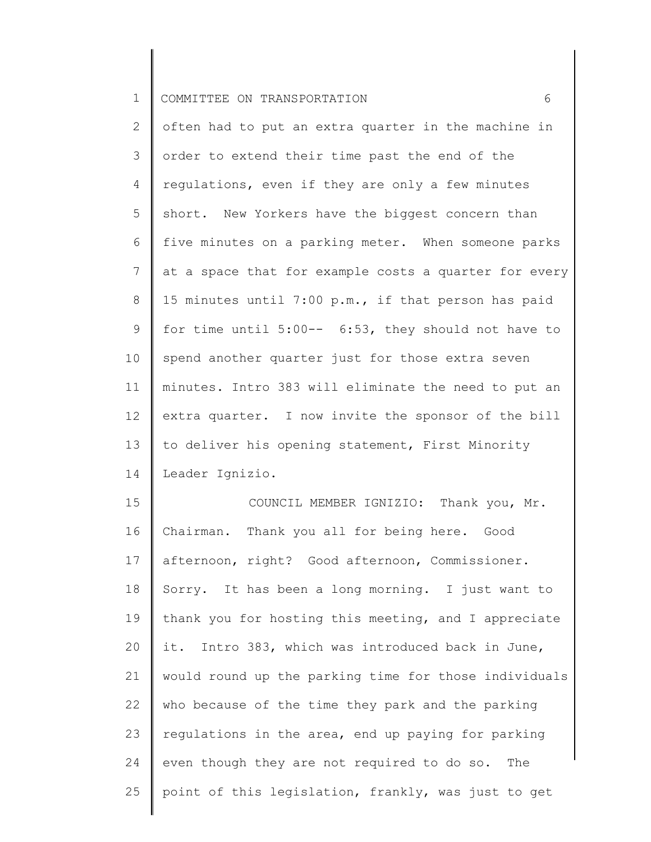| ∸ |  |  | COMMITTEE ON TRANSPORTATION |  |  |
|---|--|--|-----------------------------|--|--|
|---|--|--|-----------------------------|--|--|

2 3 4 5 6 7 8 9 10 11 12 13 14 often had to put an extra quarter in the machine in order to extend their time past the end of the regulations, even if they are only a few minutes short. New Yorkers have the biggest concern than five minutes on a parking meter. When someone parks at a space that for example costs a quarter for every 15 minutes until 7:00 p.m., if that person has paid for time until 5:00-- 6:53, they should not have to spend another quarter just for those extra seven minutes. Intro 383 will eliminate the need to put an extra quarter. I now invite the sponsor of the bill to deliver his opening statement, First Minority Leader Ignizio.

15 16 17 18 19 20 21 22 23 24 25 COUNCIL MEMBER IGNIZIO: Thank you, Mr. Chairman. Thank you all for being here. Good afternoon, right? Good afternoon, Commissioner. Sorry. It has been a long morning. I just want to thank you for hosting this meeting, and I appreciate it. Intro 383, which was introduced back in June, would round up the parking time for those individuals who because of the time they park and the parking regulations in the area, end up paying for parking even though they are not required to do so. The point of this legislation, frankly, was just to get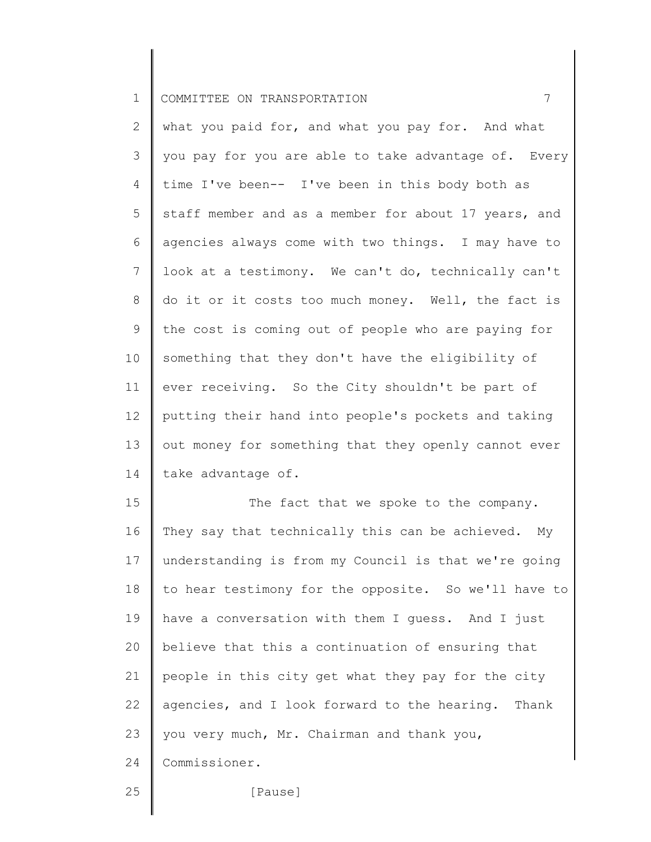2 3 4 5 6 7 8 9 10 11 12 13 14 what you paid for, and what you pay for. And what you pay for you are able to take advantage of. Every time I've been-- I've been in this body both as staff member and as a member for about 17 years, and agencies always come with two things. I may have to look at a testimony. We can't do, technically can't do it or it costs too much money. Well, the fact is the cost is coming out of people who are paying for something that they don't have the eligibility of ever receiving. So the City shouldn't be part of putting their hand into people's pockets and taking out money for something that they openly cannot ever take advantage of.

15 16 17 18 19 20 21 22 23 24 25 The fact that we spoke to the company. They say that technically this can be achieved. My understanding is from my Council is that we're going to hear testimony for the opposite. So we'll have to have a conversation with them I guess. And I just believe that this a continuation of ensuring that people in this city get what they pay for the city agencies, and I look forward to the hearing. Thank you very much, Mr. Chairman and thank you, Commissioner. [Pause]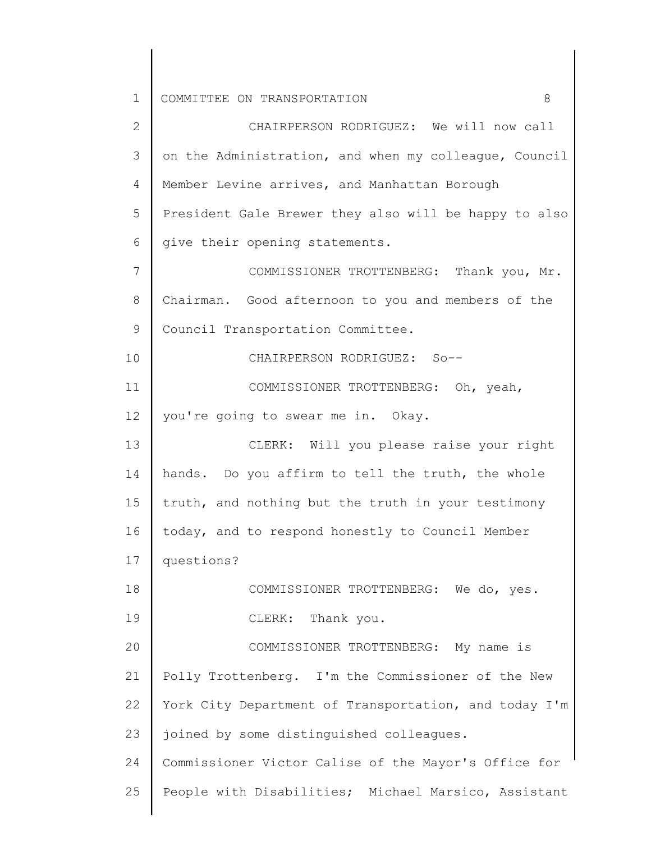1 2 3 4 5 6 7 8 9 10 11 12 13 14 15 16 17 18 19 20 21 22 23 24 25 COMMITTEE ON TRANSPORTATION 8 CHAIRPERSON RODRIGUEZ: We will now call on the Administration, and when my colleague, Council Member Levine arrives, and Manhattan Borough President Gale Brewer they also will be happy to also give their opening statements. COMMISSIONER TROTTENBERG: Thank you, Mr. Chairman. Good afternoon to you and members of the Council Transportation Committee. CHAIRPERSON RODRIGUEZ: So-- COMMISSIONER TROTTENBERG: Oh, yeah, you're going to swear me in. Okay. CLERK: Will you please raise your right hands. Do you affirm to tell the truth, the whole truth, and nothing but the truth in your testimony today, and to respond honestly to Council Member questions? COMMISSIONER TROTTENBERG: We do, yes. CLERK: Thank you. COMMISSIONER TROTTENBERG: My name is Polly Trottenberg. I'm the Commissioner of the New York City Department of Transportation, and today I'm joined by some distinguished colleagues. Commissioner Victor Calise of the Mayor's Office for People with Disabilities; Michael Marsico, Assistant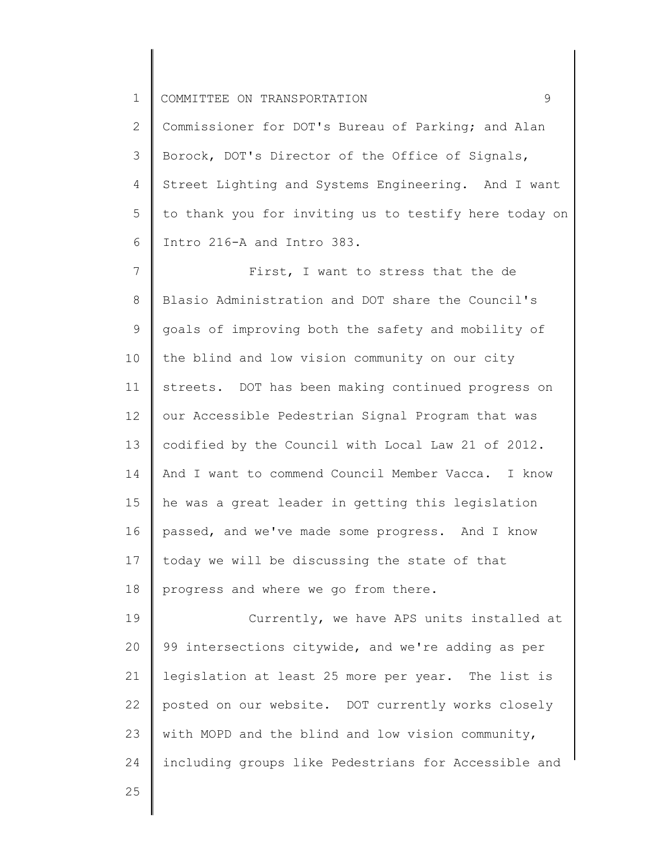2 3 4 5 6 Commissioner for DOT's Bureau of Parking; and Alan Borock, DOT's Director of the Office of Signals, Street Lighting and Systems Engineering. And I want to thank you for inviting us to testify here today on Intro 216-A and Intro 383.

7 8 9 10 11 12 13 14 15 16 17 18 First, I want to stress that the de Blasio Administration and DOT share the Council's goals of improving both the safety and mobility of the blind and low vision community on our city streets. DOT has been making continued progress on our Accessible Pedestrian Signal Program that was codified by the Council with Local Law 21 of 2012. And I want to commend Council Member Vacca. I know he was a great leader in getting this legislation passed, and we've made some progress. And I know today we will be discussing the state of that progress and where we go from there.

19 20 21 22 23 24 Currently, we have APS units installed at 99 intersections citywide, and we're adding as per legislation at least 25 more per year. The list is posted on our website. DOT currently works closely with MOPD and the blind and low vision community, including groups like Pedestrians for Accessible and

25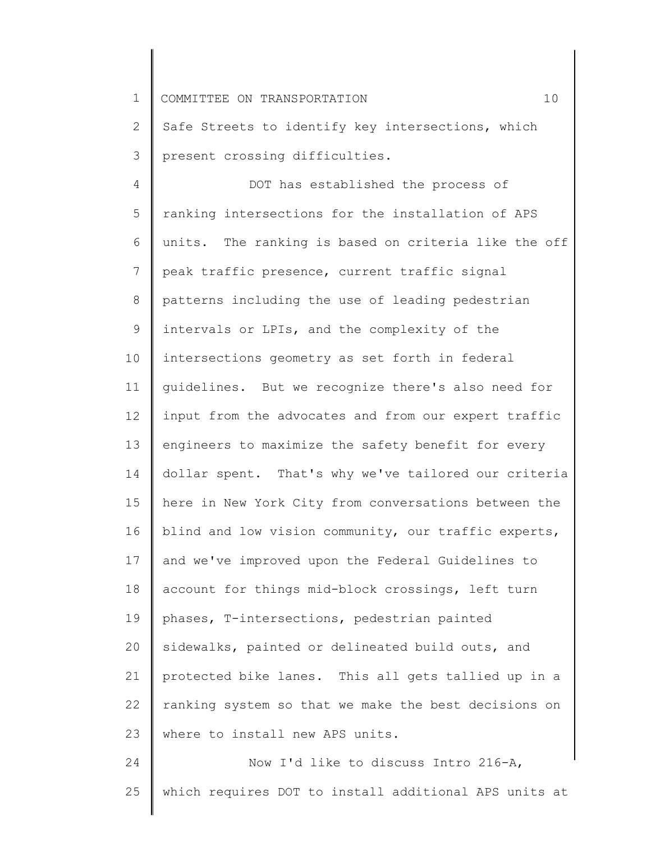2 3 Safe Streets to identify key intersections, which present crossing difficulties.

4 5 6 7 8 9 10 11 12 13 14 15 16 17 18 19 20 21 22 23 DOT has established the process of ranking intersections for the installation of APS units. The ranking is based on criteria like the off peak traffic presence, current traffic signal patterns including the use of leading pedestrian intervals or LPIs, and the complexity of the intersections geometry as set forth in federal guidelines. But we recognize there's also need for input from the advocates and from our expert traffic engineers to maximize the safety benefit for every dollar spent. That's why we've tailored our criteria here in New York City from conversations between the blind and low vision community, our traffic experts, and we've improved upon the Federal Guidelines to account for things mid-block crossings, left turn phases, T-intersections, pedestrian painted sidewalks, painted or delineated build outs, and protected bike lanes. This all gets tallied up in a ranking system so that we make the best decisions on where to install new APS units.

24 25 Now I'd like to discuss Intro 216-A, which requires DOT to install additional APS units at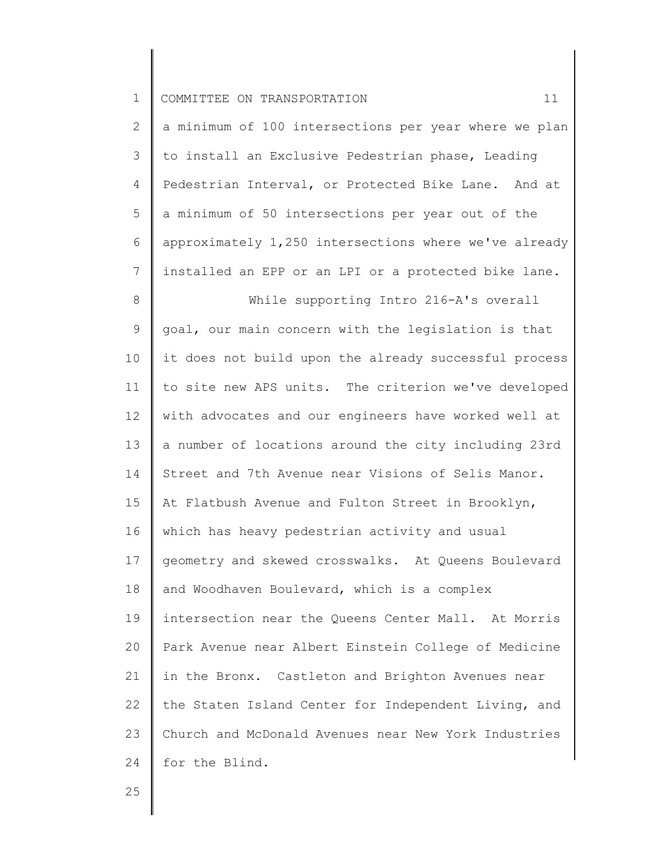| $\mathbf 1$ | COMMITTEE ON TRANSPORTATION<br>11                     |
|-------------|-------------------------------------------------------|
| 2           | a minimum of 100 intersections per year where we plan |
| 3           | to install an Exclusive Pedestrian phase, Leading     |
| 4           | Pedestrian Interval, or Protected Bike Lane. And at   |
| 5           | a minimum of 50 intersections per year out of the     |
| 6           | approximately 1,250 intersections where we've already |
| 7           | installed an EPP or an LPI or a protected bike lane.  |
| $8\,$       | While supporting Intro 216-A's overall                |
| $\mathsf 9$ | goal, our main concern with the legislation is that   |
| 10          | it does not build upon the already successful process |
| 11          | to site new APS units. The criterion we've developed  |
| 12          | with advocates and our engineers have worked well at  |
| 13          | a number of locations around the city including 23rd  |
| 14          | Street and 7th Avenue near Visions of Selis Manor.    |
| 15          | At Flatbush Avenue and Fulton Street in Brooklyn,     |
| 16          | which has heavy pedestrian activity and usual         |
| 17          | geometry and skewed crosswalks. At Queens Boulevard   |
| 18          | and Woodhaven Boulevard, which is a complex           |
| 19          | intersection near the Queens Center Mall. At Morris   |
| 20          | Park Avenue near Albert Einstein College of Medicine  |
| 21          | in the Bronx. Castleton and Brighton Avenues near     |
| 22          | the Staten Island Center for Independent Living, and  |
| 23          | Church and McDonald Avenues near New York Industries  |
| 24          | for the Blind.                                        |
| 25          |                                                       |

25

 $\mathsf I$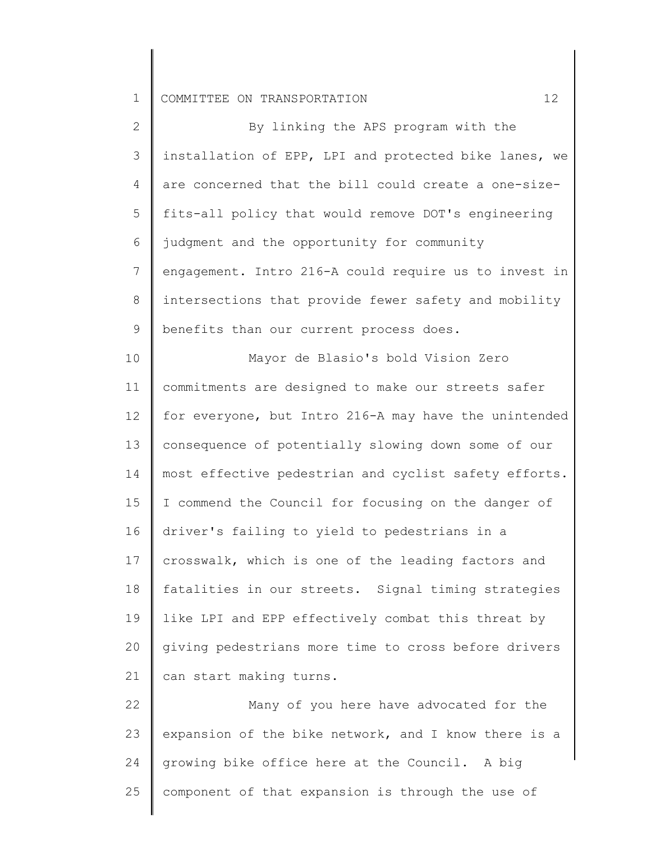| $\mathbf{2}$    | By linking the APS program with the                   |
|-----------------|-------------------------------------------------------|
| 3               | installation of EPP, LPI and protected bike lanes, we |
| 4               | are concerned that the bill could create a one-size-  |
| 5               | fits-all policy that would remove DOT's engineering   |
| 6               | judgment and the opportunity for community            |
| $7\phantom{.0}$ | engagement. Intro 216-A could require us to invest in |
| 8               | intersections that provide fewer safety and mobility  |
| 9               | benefits than our current process does.               |
| 10              | Mayor de Blasio's bold Vision Zero                    |
| 11              | commitments are designed to make our streets safer    |
| 12              | for everyone, but Intro 216-A may have the unintended |
| 13              | consequence of potentially slowing down some of our   |
| 14              | most effective pedestrian and cyclist safety efforts. |
| 15              | I commend the Council for focusing on the danger of   |
| 16              | driver's failing to yield to pedestrians in a         |
| 17              | crosswalk, which is one of the leading factors and    |
| 18              | fatalities in our streets. Signal timing strategies   |
| 19              | like LPI and EPP effectively combat this threat by    |
| 20              | giving pedestrians more time to cross before drivers  |
| 21              | can start making turns.                               |
| 22              | Many of you here have advocated for the               |
| 23              | expansion of the bike network, and I know there is a  |
| 24              | growing bike office here at the Council. A big        |

25 component of that expansion is through the use of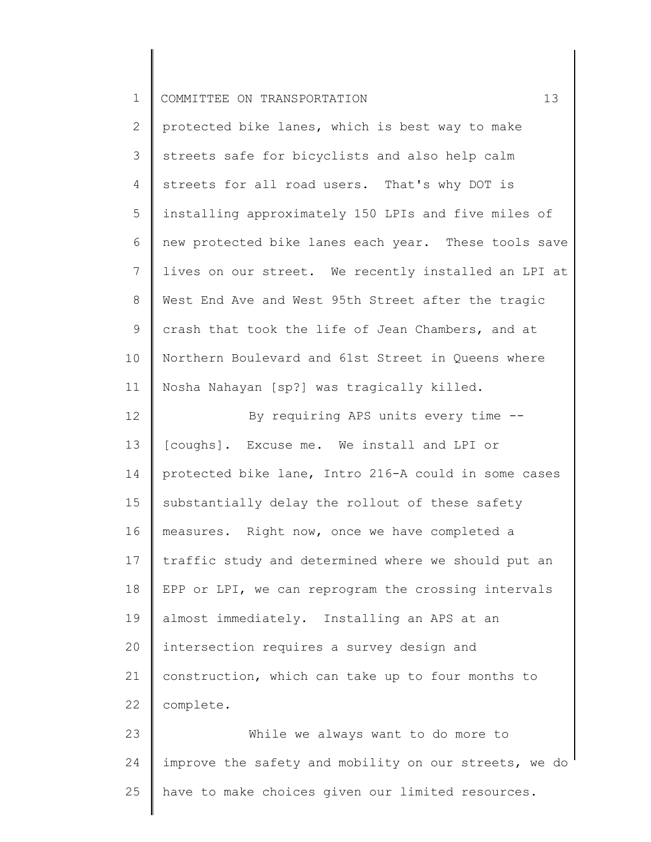| ᅩ |  |  | COMMITTEE ON TRANSPORTATION |  |
|---|--|--|-----------------------------|--|
|---|--|--|-----------------------------|--|

2 3 4 5 6 7 8 9 10 11 protected bike lanes, which is best way to make streets safe for bicyclists and also help calm streets for all road users. That's why DOT is installing approximately 150 LPIs and five miles of new protected bike lanes each year. These tools save lives on our street. We recently installed an LPI at West End Ave and West 95th Street after the tragic crash that took the life of Jean Chambers, and at Northern Boulevard and 61st Street in Queens where Nosha Nahayan [sp?] was tragically killed.

12 13 14 15 16 17 18 19 20 21 22 By requiring APS units every time -- [coughs]. Excuse me. We install and LPI or protected bike lane, Intro 216-A could in some cases substantially delay the rollout of these safety measures. Right now, once we have completed a traffic study and determined where we should put an EPP or LPI, we can reprogram the crossing intervals almost immediately. Installing an APS at an intersection requires a survey design and construction, which can take up to four months to complete.

23 24 25 While we always want to do more to improve the safety and mobility on our streets, we do have to make choices given our limited resources.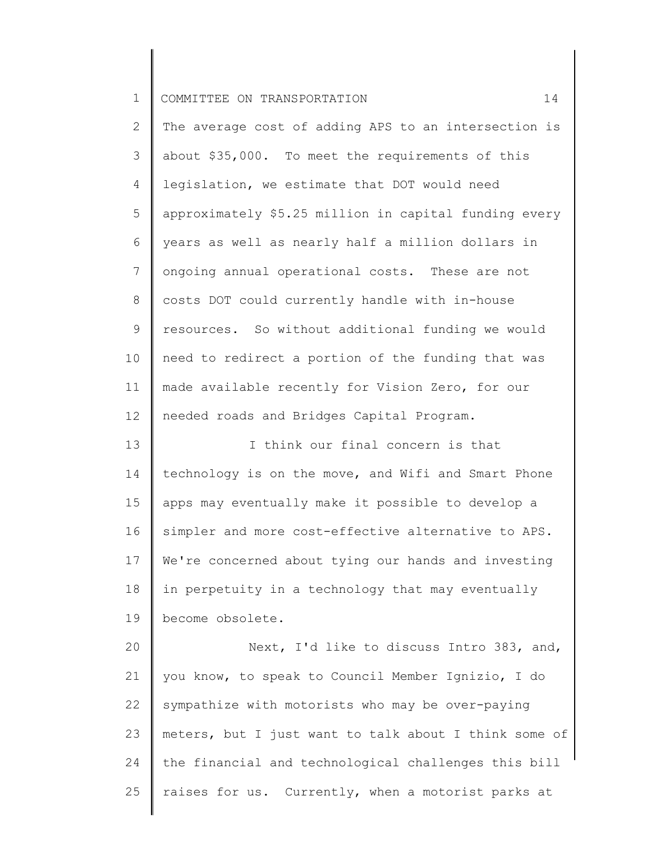| ∸ |  |  | COMMITTEE ON TRANSPORTATION |  |
|---|--|--|-----------------------------|--|
|---|--|--|-----------------------------|--|

2 3 4 5 6 7 8 9 10 11 12 The average cost of adding APS to an intersection is about \$35,000. To meet the requirements of this legislation, we estimate that DOT would need approximately \$5.25 million in capital funding every years as well as nearly half a million dollars in ongoing annual operational costs. These are not costs DOT could currently handle with in-house resources. So without additional funding we would need to redirect a portion of the funding that was made available recently for Vision Zero, for our needed roads and Bridges Capital Program.

13 14 15 16 17 18 19 I think our final concern is that technology is on the move, and Wifi and Smart Phone apps may eventually make it possible to develop a simpler and more cost-effective alternative to APS. We're concerned about tying our hands and investing in perpetuity in a technology that may eventually become obsolete.

20 21 22 23 24 25 Next, I'd like to discuss Intro 383, and, you know, to speak to Council Member Ignizio, I do sympathize with motorists who may be over-paying meters, but I just want to talk about I think some of the financial and technological challenges this bill raises for us. Currently, when a motorist parks at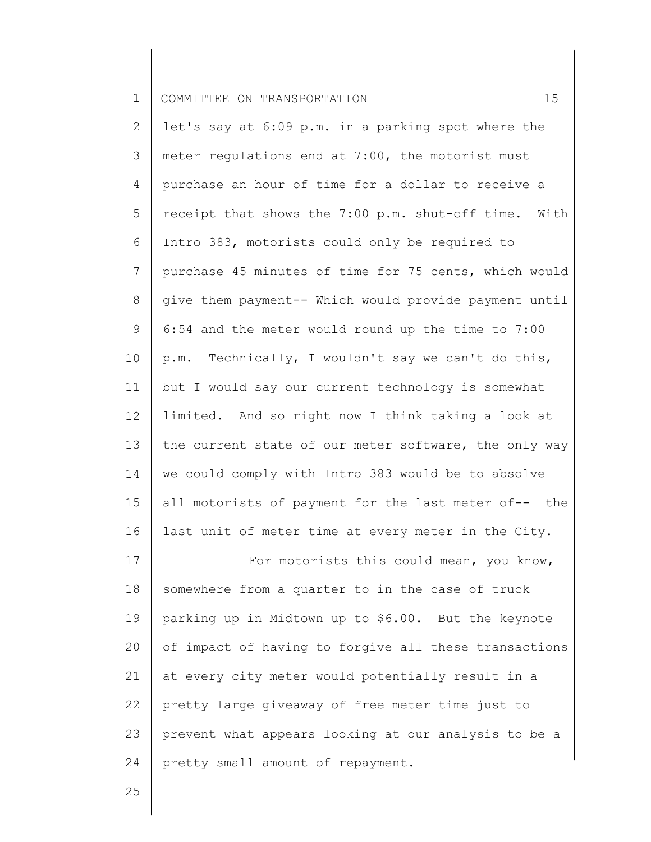| $\mathbf 1$    | 15<br>COMMITTEE ON TRANSPORTATION                     |
|----------------|-------------------------------------------------------|
| $\overline{2}$ | let's say at 6:09 p.m. in a parking spot where the    |
| 3              | meter regulations end at 7:00, the motorist must      |
| 4              | purchase an hour of time for a dollar to receive a    |
| 5              | receipt that shows the 7:00 p.m. shut-off time. With  |
| 6              | Intro 383, motorists could only be required to        |
| $7\phantom{.}$ | purchase 45 minutes of time for 75 cents, which would |
| 8              | give them payment-- Which would provide payment until |
| $\mathsf 9$    | 6:54 and the meter would round up the time to 7:00    |
| 10             | p.m. Technically, I wouldn't say we can't do this,    |
| 11             | but I would say our current technology is somewhat    |
| 12             | limited. And so right now I think taking a look at    |
| 13             | the current state of our meter software, the only way |
| 14             | we could comply with Intro 383 would be to absolve    |
| 15             | all motorists of payment for the last meter of-- the  |
| 16             | last unit of meter time at every meter in the City.   |
| 17             | For motorists this could mean, you know,              |
| 18             | somewhere from a quarter to in the case of truck      |
| 19             | parking up in Midtown up to \$6.00. But the keynote   |
| 20             | of impact of having to forgive all these transactions |
| 21             | at every city meter would potentially result in a     |
| 22             | pretty large giveaway of free meter time just to      |
| 23             | prevent what appears looking at our analysis to be a  |
| 24             | pretty small amount of repayment.                     |
| 25             |                                                       |

25

║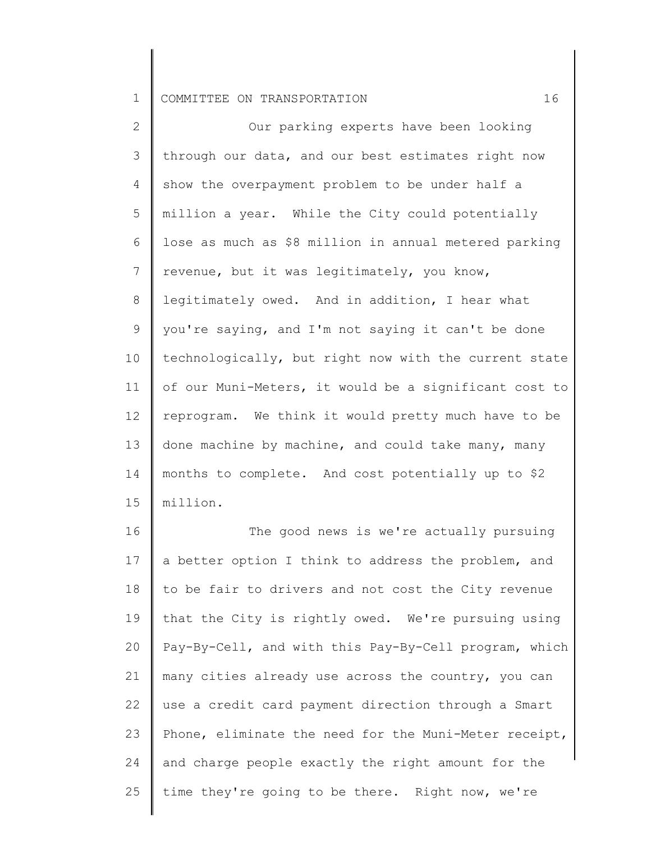2 3 4 5 6 7 8 9 10 11 12 13 14 15 Our parking experts have been looking through our data, and our best estimates right now show the overpayment problem to be under half a million a year. While the City could potentially lose as much as \$8 million in annual metered parking revenue, but it was legitimately, you know, legitimately owed. And in addition, I hear what you're saying, and I'm not saying it can't be done technologically, but right now with the current state of our Muni-Meters, it would be a significant cost to reprogram. We think it would pretty much have to be done machine by machine, and could take many, many months to complete. And cost potentially up to \$2 million.

16 17 18 19 20 21 22 23 24 25 The good news is we're actually pursuing a better option I think to address the problem, and to be fair to drivers and not cost the City revenue that the City is rightly owed. We're pursuing using Pay-By-Cell, and with this Pay-By-Cell program, which many cities already use across the country, you can use a credit card payment direction through a Smart Phone, eliminate the need for the Muni-Meter receipt, and charge people exactly the right amount for the time they're going to be there. Right now, we're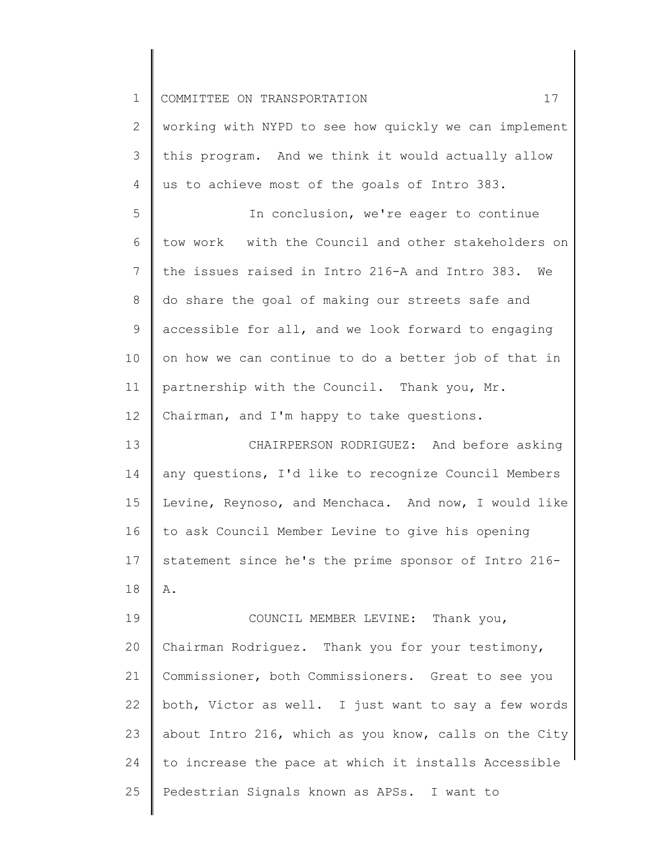| $\mathbf 1$  | 17<br>COMMITTEE ON TRANSPORTATION                     |
|--------------|-------------------------------------------------------|
| $\mathbf{2}$ | working with NYPD to see how quickly we can implement |
| 3            | this program. And we think it would actually allow    |
| 4            | us to achieve most of the goals of Intro 383.         |
| 5            | In conclusion, we're eager to continue                |
| 6            | tow work with the Council and other stakeholders on   |
| 7            | the issues raised in Intro 216-A and Intro 383. We    |
| $8\,$        | do share the goal of making our streets safe and      |
| $\mathsf 9$  | accessible for all, and we look forward to engaging   |
| 10           | on how we can continue to do a better job of that in  |
| 11           | partnership with the Council. Thank you, Mr.          |
| 12           | Chairman, and I'm happy to take questions.            |
| 13           | CHAIRPERSON RODRIGUEZ: And before asking              |
| 14           | any questions, I'd like to recognize Council Members  |
| 15           | Levine, Reynoso, and Menchaca. And now, I would like  |
| 16           | to ask Council Member Levine to give his opening      |
| 17           | statement since he's the prime sponsor of Intro 216-  |
| 18           | Α.                                                    |
| 19           | COUNCIL MEMBER LEVINE: Thank you,                     |
| 20           | Chairman Rodriguez. Thank you for your testimony,     |
| 21           | Commissioner, both Commissioners. Great to see you    |
| 22           | both, Victor as well. I just want to say a few words  |
| 23           | about Intro 216, which as you know, calls on the City |
| 24           | to increase the pace at which it installs Accessible  |
| 25           | Pedestrian Signals known as APSs. I want to           |
|              |                                                       |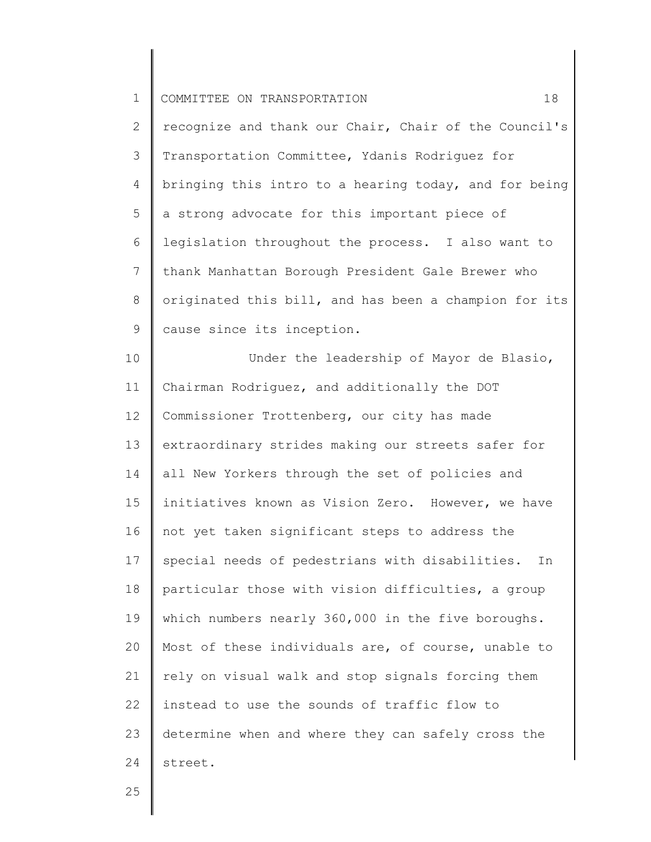2 3 4 5 6 7 8 9 recognize and thank our Chair, Chair of the Council's Transportation Committee, Ydanis Rodriguez for bringing this intro to a hearing today, and for being a strong advocate for this important piece of legislation throughout the process. I also want to thank Manhattan Borough President Gale Brewer who originated this bill, and has been a champion for its cause since its inception.

10 11 12 13 14 15 16 17 18 19 20 21 22 23 24 Under the leadership of Mayor de Blasio, Chairman Rodriguez, and additionally the DOT Commissioner Trottenberg, our city has made extraordinary strides making our streets safer for all New Yorkers through the set of policies and initiatives known as Vision Zero. However, we have not yet taken significant steps to address the special needs of pedestrians with disabilities. In particular those with vision difficulties, a group which numbers nearly 360,000 in the five boroughs. Most of these individuals are, of course, unable to rely on visual walk and stop signals forcing them instead to use the sounds of traffic flow to determine when and where they can safely cross the street.

25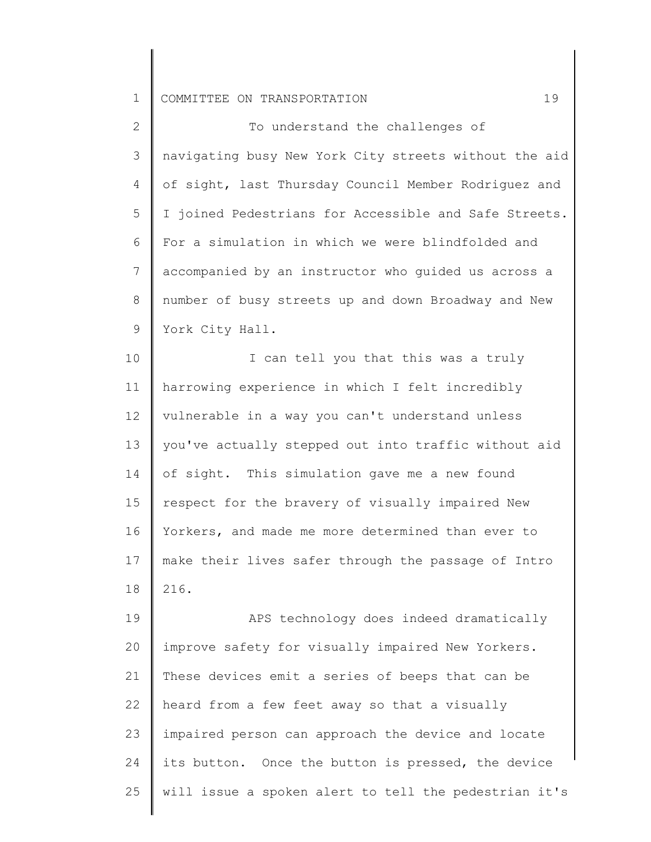2 3 4 5 6 7 8 9 10 11 12 13 14 15 16 17 18 19 To understand the challenges of navigating busy New York City streets without the aid of sight, last Thursday Council Member Rodriguez and I joined Pedestrians for Accessible and Safe Streets. For a simulation in which we were blindfolded and accompanied by an instructor who guided us across a number of busy streets up and down Broadway and New York City Hall. I can tell you that this was a truly harrowing experience in which I felt incredibly vulnerable in a way you can't understand unless you've actually stepped out into traffic without aid of sight. This simulation gave me a new found respect for the bravery of visually impaired New Yorkers, and made me more determined than ever to make their lives safer through the passage of Intro 216. APS technology does indeed dramatically

20 21 22 23 24 25 improve safety for visually impaired New Yorkers. These devices emit a series of beeps that can be heard from a few feet away so that a visually impaired person can approach the device and locate its button. Once the button is pressed, the device will issue a spoken alert to tell the pedestrian it's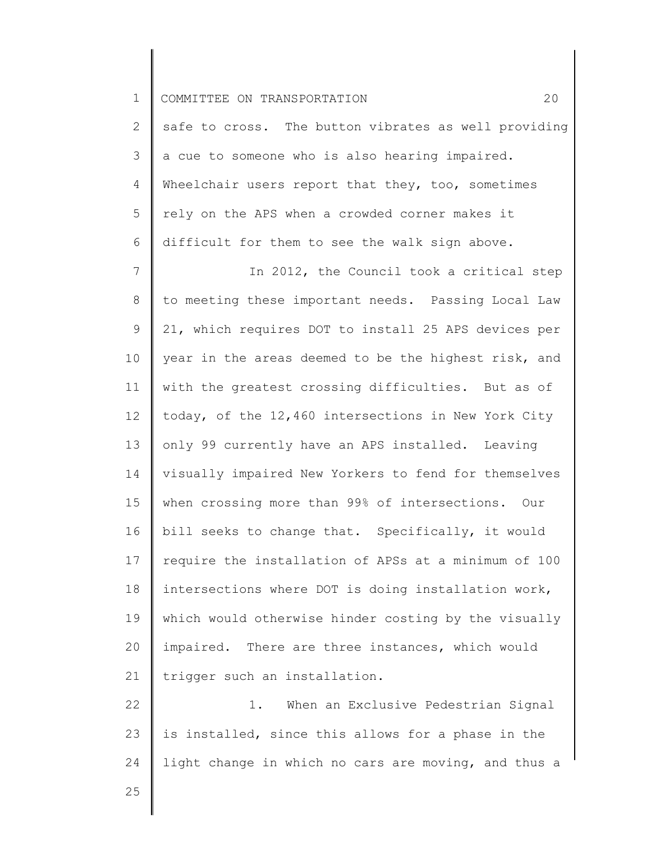| $\mathbf 1$    | 20<br>COMMITTEE ON TRANSPORTATION                    |
|----------------|------------------------------------------------------|
| $\mathbf{2}$   | safe to cross. The button vibrates as well providing |
| 3              | a cue to someone who is also hearing impaired.       |
| 4              | Wheelchair users report that they, too, sometimes    |
| 5              | rely on the APS when a crowded corner makes it       |
| 6              | difficult for them to see the walk sign above.       |
| $7\phantom{.}$ | In 2012, the Council took a critical step            |
| 8              | to meeting these important needs. Passing Local Law  |
| $\mathsf 9$    | 21, which requires DOT to install 25 APS devices per |
| 10             | year in the areas deemed to be the highest risk, and |
| 11             | with the greatest crossing difficulties. But as of   |
| 12             | today, of the 12,460 intersections in New York City  |
| 13             | only 99 currently have an APS installed. Leaving     |
| 14             | visually impaired New Yorkers to fend for themselves |
| 15             | when crossing more than 99% of intersections. Our    |
| 16             | bill seeks to change that. Specifically, it would    |
| 17             | require the installation of APSs at a minimum of 100 |
| 18             | intersections where DOT is doing installation work,  |
| 19             | which would otherwise hinder costing by the visually |
| 20             | impaired. There are three instances, which would     |
| 21             | trigger such an installation.                        |
| 22             | When an Exclusive Pedestrian Signal<br>$1$ .         |
| 23             | is installed, since this allows for a phase in the   |
| 24             | light change in which no cars are moving, and thus a |
| 25             |                                                      |
|                |                                                      |

║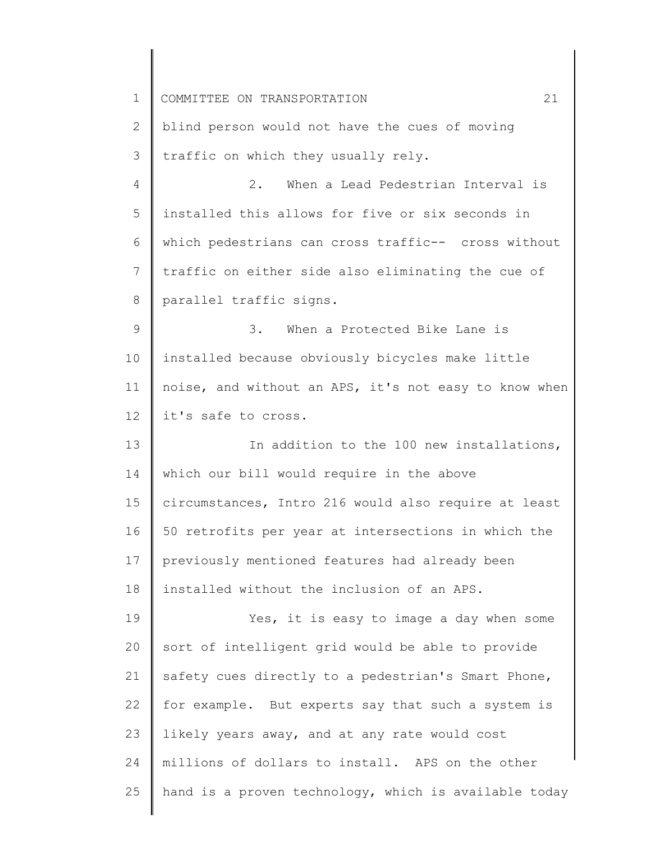| $\mathbf 1$ | 21<br>COMMITTEE ON TRANSPORTATION                     |
|-------------|-------------------------------------------------------|
| 2           | blind person would not have the cues of moving        |
| 3           | traffic on which they usually rely.                   |
| 4           | 2. When a Lead Pedestrian Interval is                 |
| 5           | installed this allows for five or six seconds in      |
| 6           | which pedestrians can cross traffic-- cross without   |
| 7           | traffic on either side also eliminating the cue of    |
| $8\,$       | parallel traffic signs.                               |
| 9           | 3.<br>When a Protected Bike Lane is                   |
| 10          | installed because obviously bicycles make little      |
| 11          | noise, and without an APS, it's not easy to know when |
| 12          | it's safe to cross.                                   |
| 13          | In addition to the 100 new installations,             |
| 14          | which our bill would require in the above             |
| 15          | circumstances, Intro 216 would also require at least  |
| 16          | 50 retrofits per year at intersections in which the   |
| 17          | previously mentioned features had already been        |
| 18          | installed without the inclusion of an APS.            |
| 19          | Yes, it is easy to image a day when some              |
| 20          | sort of intelligent grid would be able to provide     |
| 21          | safety cues directly to a pedestrian's Smart Phone,   |
| 22          | for example. But experts say that such a system is    |
| 23          | likely years away, and at any rate would cost         |
| 24          | millions of dollars to install. APS on the other      |
| 25          | hand is a proven technology, which is available today |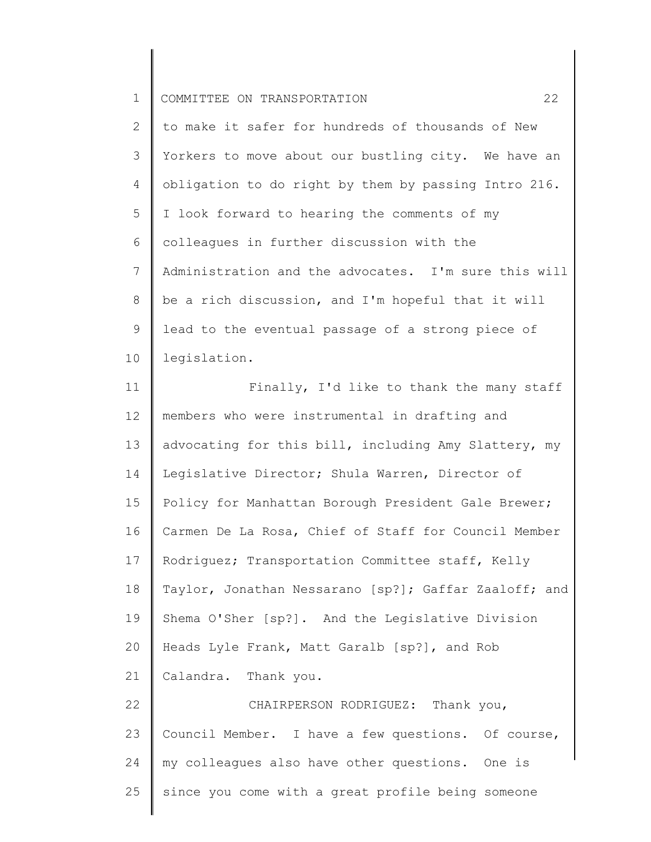2 3 4 5 6 7 8 9 10 to make it safer for hundreds of thousands of New Yorkers to move about our bustling city. We have an obligation to do right by them by passing Intro 216. I look forward to hearing the comments of my colleagues in further discussion with the Administration and the advocates. I'm sure this will be a rich discussion, and I'm hopeful that it will lead to the eventual passage of a strong piece of legislation.

11 12 13 14 15 16 17 18 19 20 21 22 23 Finally, I'd like to thank the many staff members who were instrumental in drafting and advocating for this bill, including Amy Slattery, my Legislative Director; Shula Warren, Director of Policy for Manhattan Borough President Gale Brewer; Carmen De La Rosa, Chief of Staff for Council Member Rodriguez; Transportation Committee staff, Kelly Taylor, Jonathan Nessarano [sp?]; Gaffar Zaaloff; and Shema O'Sher [sp?]. And the Legislative Division Heads Lyle Frank, Matt Garalb [sp?], and Rob Calandra. Thank you. CHAIRPERSON RODRIGUEZ: Thank you, Council Member. I have a few questions. Of course,

24 25 my colleagues also have other questions. One is since you come with a great profile being someone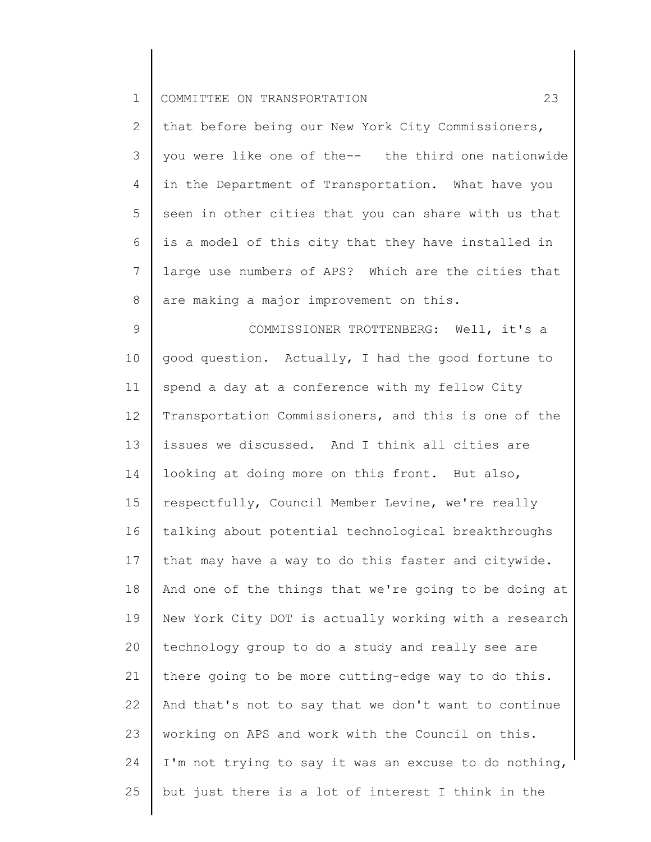| ᅩ |  |  | I COMMITTEE ON TRANSPORTATION |  |
|---|--|--|-------------------------------|--|
|---|--|--|-------------------------------|--|

2 3 4 5 6 7 8 that before being our New York City Commissioners, you were like one of the-- the third one nationwide in the Department of Transportation. What have you seen in other cities that you can share with us that is a model of this city that they have installed in large use numbers of APS? Which are the cities that are making a major improvement on this.

9 10 11 12 13 14 15 16 17 18 19 20 21 22 23 24 25 COMMISSIONER TROTTENBERG: Well, it's a good question. Actually, I had the good fortune to spend a day at a conference with my fellow City Transportation Commissioners, and this is one of the issues we discussed. And I think all cities are looking at doing more on this front. But also, respectfully, Council Member Levine, we're really talking about potential technological breakthroughs that may have a way to do this faster and citywide. And one of the things that we're going to be doing at New York City DOT is actually working with a research technology group to do a study and really see are there going to be more cutting-edge way to do this. And that's not to say that we don't want to continue working on APS and work with the Council on this. I'm not trying to say it was an excuse to do nothing, but just there is a lot of interest I think in the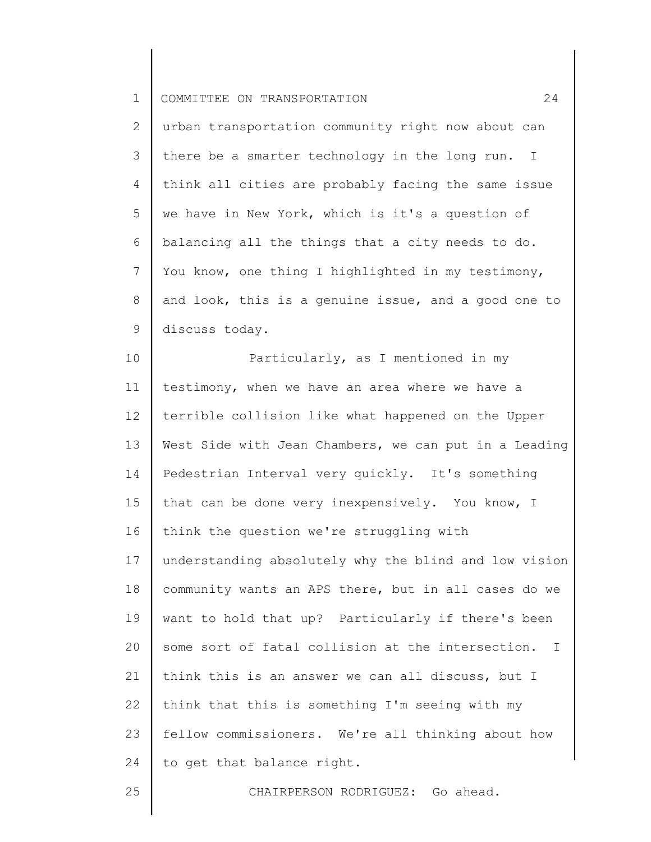| ᅩ |  |  | COMMITTEE ON TRANSPORTATION |  |  |
|---|--|--|-----------------------------|--|--|
|---|--|--|-----------------------------|--|--|

2 3 4 5 6 7 8 9 urban transportation community right now about can there be a smarter technology in the long run. I think all cities are probably facing the same issue we have in New York, which is it's a question of balancing all the things that a city needs to do. You know, one thing I highlighted in my testimony, and look, this is a genuine issue, and a good one to discuss today.

10 11 12 13 14 15 16 17 18 19 20 21 22 23 24 Particularly, as I mentioned in my testimony, when we have an area where we have a terrible collision like what happened on the Upper West Side with Jean Chambers, we can put in a Leading Pedestrian Interval very quickly. It's something that can be done very inexpensively. You know, I think the question we're struggling with understanding absolutely why the blind and low vision community wants an APS there, but in all cases do we want to hold that up? Particularly if there's been some sort of fatal collision at the intersection. I think this is an answer we can all discuss, but I think that this is something I'm seeing with my fellow commissioners. We're all thinking about how to get that balance right.

25

CHAIRPERSON RODRIGUEZ: Go ahead.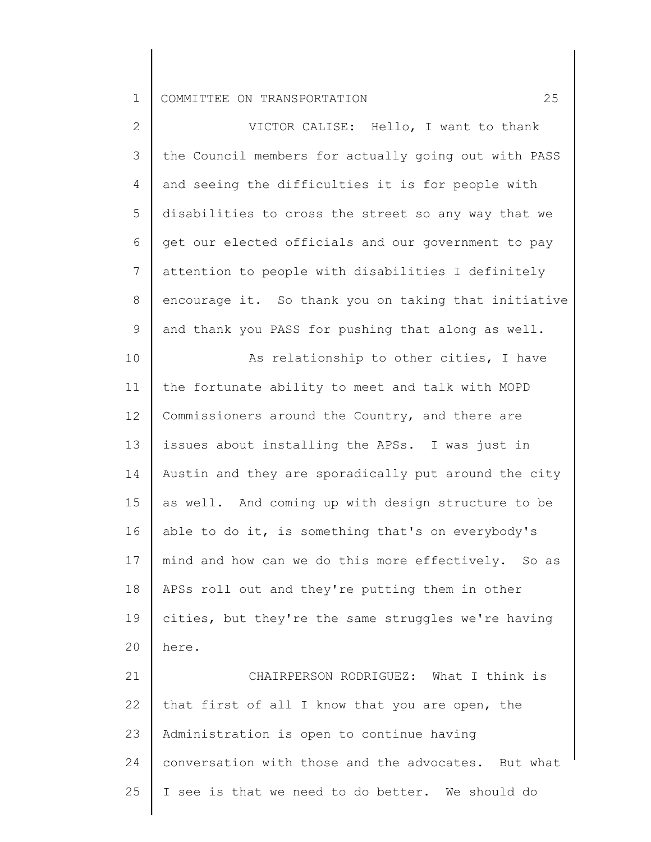2 3 4 5 6 7 8 9 VICTOR CALISE: Hello, I want to thank the Council members for actually going out with PASS and seeing the difficulties it is for people with disabilities to cross the street so any way that we get our elected officials and our government to pay attention to people with disabilities I definitely encourage it. So thank you on taking that initiative and thank you PASS for pushing that along as well.

10 11 12 13 14 15 16 17 18 19 20 As relationship to other cities, I have the fortunate ability to meet and talk with MOPD Commissioners around the Country, and there are issues about installing the APSs. I was just in Austin and they are sporadically put around the city as well. And coming up with design structure to be able to do it, is something that's on everybody's mind and how can we do this more effectively. So as APSs roll out and they're putting them in other cities, but they're the same struggles we're having here.

21 22 23 24 25 CHAIRPERSON RODRIGUEZ: What I think is that first of all I know that you are open, the Administration is open to continue having conversation with those and the advocates. But what I see is that we need to do better. We should do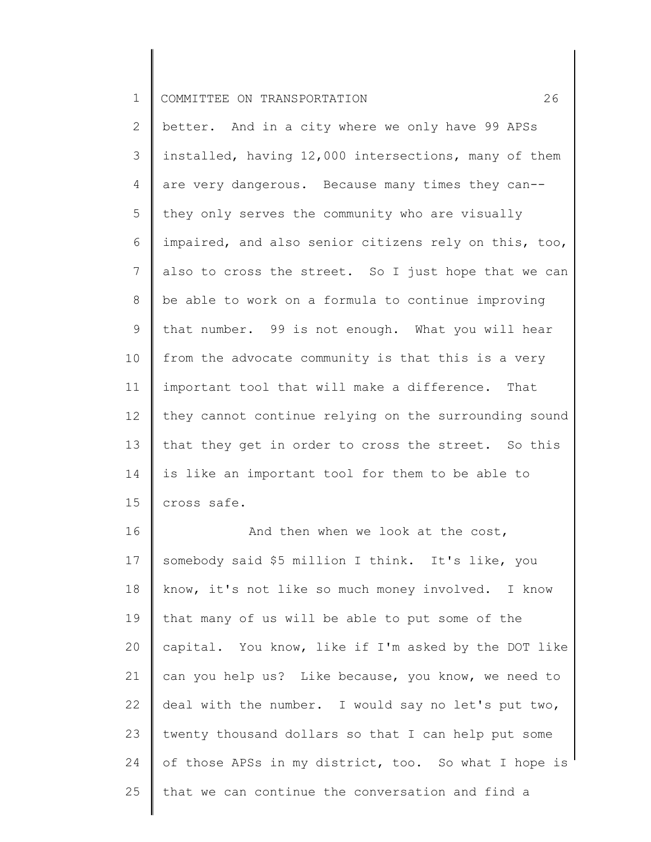2 3 4 5 6 7 8 9 10 11 12 13 14 15 better. And in a city where we only have 99 APSs installed, having 12,000 intersections, many of them are very dangerous. Because many times they can- they only serves the community who are visually impaired, and also senior citizens rely on this, too, also to cross the street. So I just hope that we can be able to work on a formula to continue improving that number. 99 is not enough. What you will hear from the advocate community is that this is a very important tool that will make a difference. That they cannot continue relying on the surrounding sound that they get in order to cross the street. So this is like an important tool for them to be able to cross safe.

16 17 18 19 20 21 22 23 24 25 And then when we look at the cost, somebody said \$5 million I think. It's like, you know, it's not like so much money involved. I know that many of us will be able to put some of the capital. You know, like if I'm asked by the DOT like can you help us? Like because, you know, we need to deal with the number. I would say no let's put two, twenty thousand dollars so that I can help put some of those APSs in my district, too. So what I hope is that we can continue the conversation and find a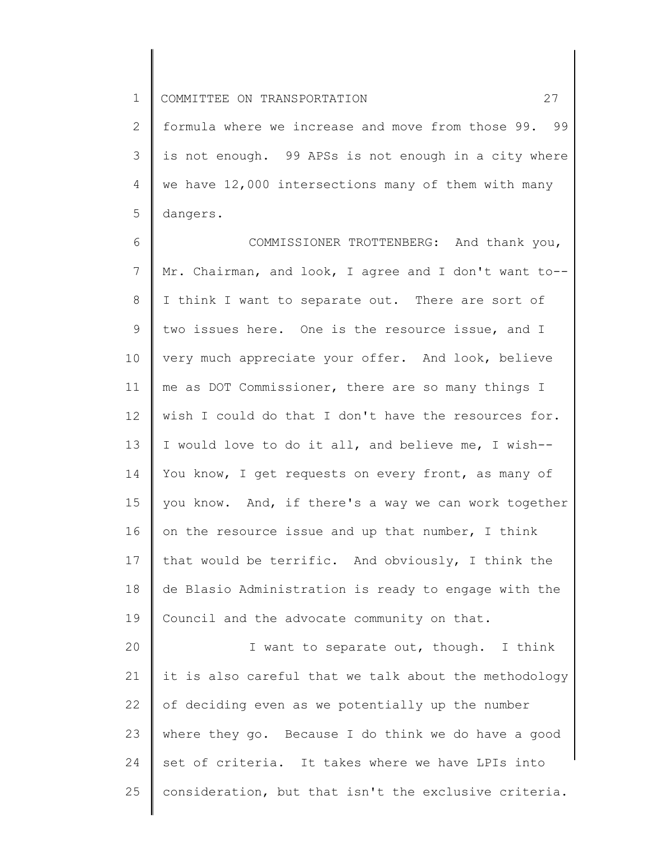2 3 4 5 formula where we increase and move from those 99. 99 is not enough. 99 APSs is not enough in a city where we have 12,000 intersections many of them with many dangers.

6 7 8 9 10 11 12 13 14 15 16 17 18 19 COMMISSIONER TROTTENBERG: And thank you, Mr. Chairman, and look, I agree and I don't want to-- I think I want to separate out. There are sort of two issues here. One is the resource issue, and I very much appreciate your offer. And look, believe me as DOT Commissioner, there are so many things I wish I could do that I don't have the resources for. I would love to do it all, and believe me, I wish-- You know, I get requests on every front, as many of you know. And, if there's a way we can work together on the resource issue and up that number, I think that would be terrific. And obviously, I think the de Blasio Administration is ready to engage with the Council and the advocate community on that.

20 21 22 23 24 25 I want to separate out, though. I think it is also careful that we talk about the methodology of deciding even as we potentially up the number where they go. Because I do think we do have a good set of criteria. It takes where we have LPIs into consideration, but that isn't the exclusive criteria.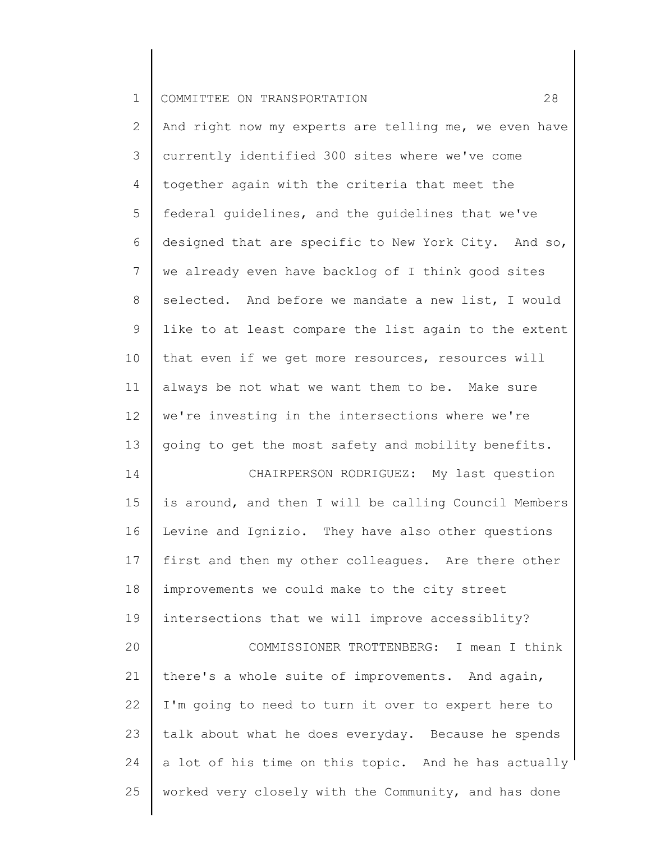2 3 4 5 6 7 8 9 10 11 12 13 14 15 16 17 18 19 20 21 22 23 And right now my experts are telling me, we even have currently identified 300 sites where we've come together again with the criteria that meet the federal guidelines, and the guidelines that we've designed that are specific to New York City. And so, we already even have backlog of I think good sites selected. And before we mandate a new list, I would like to at least compare the list again to the extent that even if we get more resources, resources will always be not what we want them to be. Make sure we're investing in the intersections where we're going to get the most safety and mobility benefits. CHAIRPERSON RODRIGUEZ: My last question is around, and then I will be calling Council Members Levine and Ignizio. They have also other questions first and then my other colleagues. Are there other improvements we could make to the city street intersections that we will improve accessiblity? COMMISSIONER TROTTENBERG: I mean I think there's a whole suite of improvements. And again, I'm going to need to turn it over to expert here to talk about what he does everyday. Because he spends

24 25 a lot of his time on this topic. And he has actually worked very closely with the Community, and has done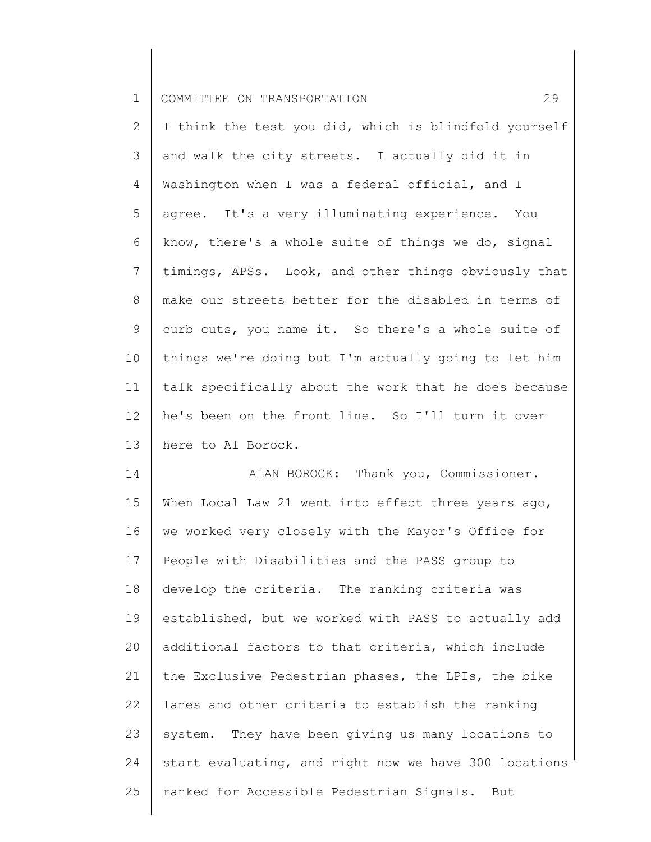2 3 4 5 6 7 8 9 10 11 12 13 I think the test you did, which is blindfold yourself and walk the city streets. I actually did it in Washington when I was a federal official, and I agree. It's a very illuminating experience. You know, there's a whole suite of things we do, signal timings, APSs. Look, and other things obviously that make our streets better for the disabled in terms of curb cuts, you name it. So there's a whole suite of things we're doing but I'm actually going to let him talk specifically about the work that he does because he's been on the front line. So I'll turn it over here to Al Borock.

14 15 16 17 18 19 20 21 22 23 24 25 ALAN BOROCK: Thank you, Commissioner. When Local Law 21 went into effect three years ago, we worked very closely with the Mayor's Office for People with Disabilities and the PASS group to develop the criteria. The ranking criteria was established, but we worked with PASS to actually add additional factors to that criteria, which include the Exclusive Pedestrian phases, the LPIs, the bike lanes and other criteria to establish the ranking system. They have been giving us many locations to start evaluating, and right now we have 300 locations ranked for Accessible Pedestrian Signals. But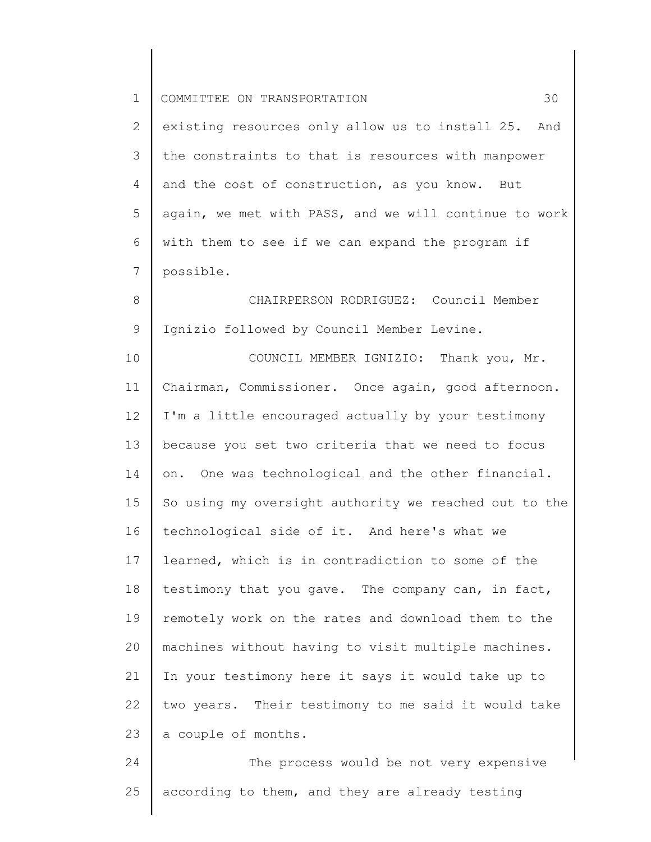| $\mathbf 1$  | 30<br>COMMITTEE ON TRANSPORTATION                     |
|--------------|-------------------------------------------------------|
| $\mathbf{2}$ | existing resources only allow us to install 25. And   |
| 3            | the constraints to that is resources with manpower    |
| 4            | and the cost of construction, as you know. But        |
| 5            | again, we met with PASS, and we will continue to work |
| 6            | with them to see if we can expand the program if      |
| 7            | possible.                                             |
| 8            | CHAIRPERSON RODRIGUEZ: Council Member                 |
| 9            | Ignizio followed by Council Member Levine.            |
| 10           | COUNCIL MEMBER IGNIZIO: Thank you, Mr.                |
| 11           | Chairman, Commissioner. Once again, good afternoon.   |
| 12           | I'm a little encouraged actually by your testimony    |
| 13           | because you set two criteria that we need to focus    |
| 14           | on. One was technological and the other financial.    |
| 15           | So using my oversight authority we reached out to the |
| 16           | technological side of it. And here's what we          |
| 17           | learned, which is in contradiction to some of the     |
| 18           | testimony that you gave. The company can, in fact,    |
| 19           | remotely work on the rates and download them to the   |
| 20           | machines without having to visit multiple machines.   |
| 21           | In your testimony here it says it would take up to    |
| 22           | two years. Their testimony to me said it would take   |
| 23           | a couple of months.                                   |
| 24           | The process would be not very expensive               |
| 25           | according to them, and they are already testing       |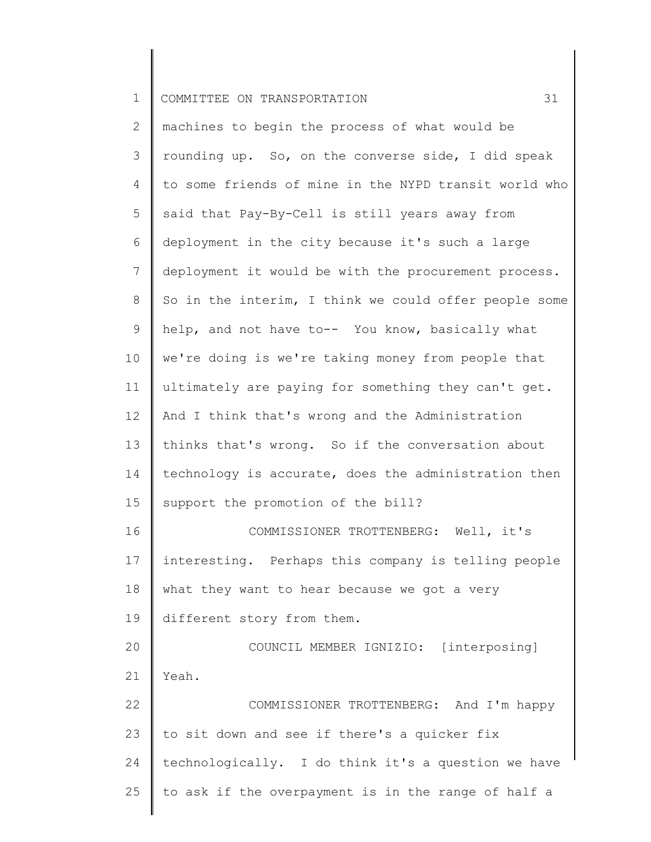2 3 4 5 6 7 8 9 10 11 12 13 14 15 16 17 18 19 20 21 22 23 24 25 machines to begin the process of what would be rounding up. So, on the converse side, I did speak to some friends of mine in the NYPD transit world who said that Pay-By-Cell is still years away from deployment in the city because it's such a large deployment it would be with the procurement process. So in the interim, I think we could offer people some help, and not have to-- You know, basically what we're doing is we're taking money from people that ultimately are paying for something they can't get. And I think that's wrong and the Administration thinks that's wrong. So if the conversation about technology is accurate, does the administration then support the promotion of the bill? COMMISSIONER TROTTENBERG: Well, it's interesting. Perhaps this company is telling people what they want to hear because we got a very different story from them. COUNCIL MEMBER IGNIZIO: [interposing] Yeah. COMMISSIONER TROTTENBERG: And I'm happy to sit down and see if there's a quicker fix technologically. I do think it's a question we have to ask if the overpayment is in the range of half a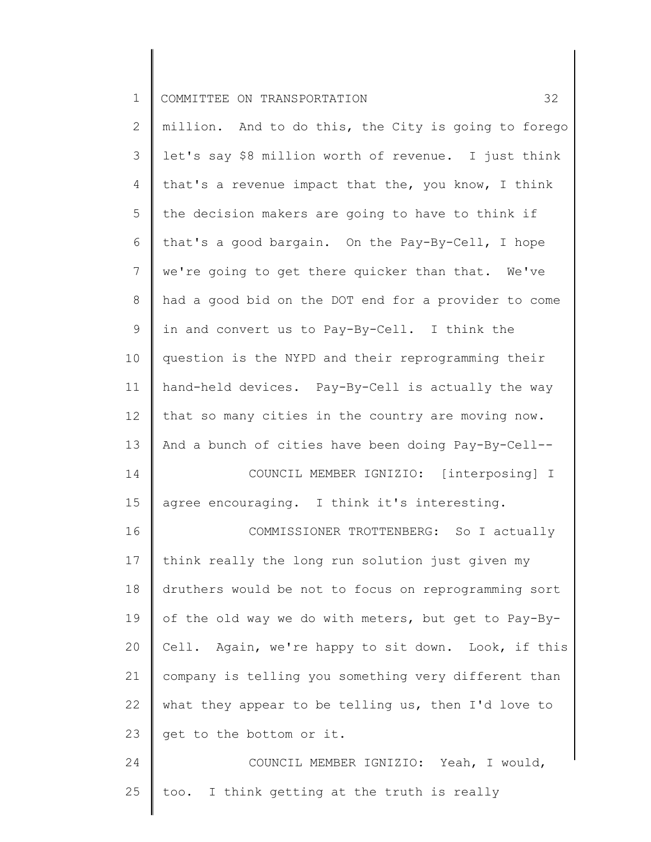|  |  |  | COMMITTEE ON TRANSPORTATION |  |
|--|--|--|-----------------------------|--|
|--|--|--|-----------------------------|--|

2 3 4 5 6 7 8 9 10 11 12 13 14 15 16 17 18 19 20 21 22 23 24 million. And to do this, the City is going to forego let's say \$8 million worth of revenue. I just think that's a revenue impact that the, you know, I think the decision makers are going to have to think if that's a good bargain. On the Pay-By-Cell, I hope we're going to get there quicker than that. We've had a good bid on the DOT end for a provider to come in and convert us to Pay-By-Cell. I think the question is the NYPD and their reprogramming their hand-held devices. Pay-By-Cell is actually the way that so many cities in the country are moving now. And a bunch of cities have been doing Pay-By-Cell-- COUNCIL MEMBER IGNIZIO: [interposing] I agree encouraging. I think it's interesting. COMMISSIONER TROTTENBERG: So I actually think really the long run solution just given my druthers would be not to focus on reprogramming sort of the old way we do with meters, but get to Pay-By-Cell. Again, we're happy to sit down. Look, if this company is telling you something very different than what they appear to be telling us, then I'd love to get to the bottom or it. COUNCIL MEMBER IGNIZIO: Yeah, I would,

25 too. I think getting at the truth is really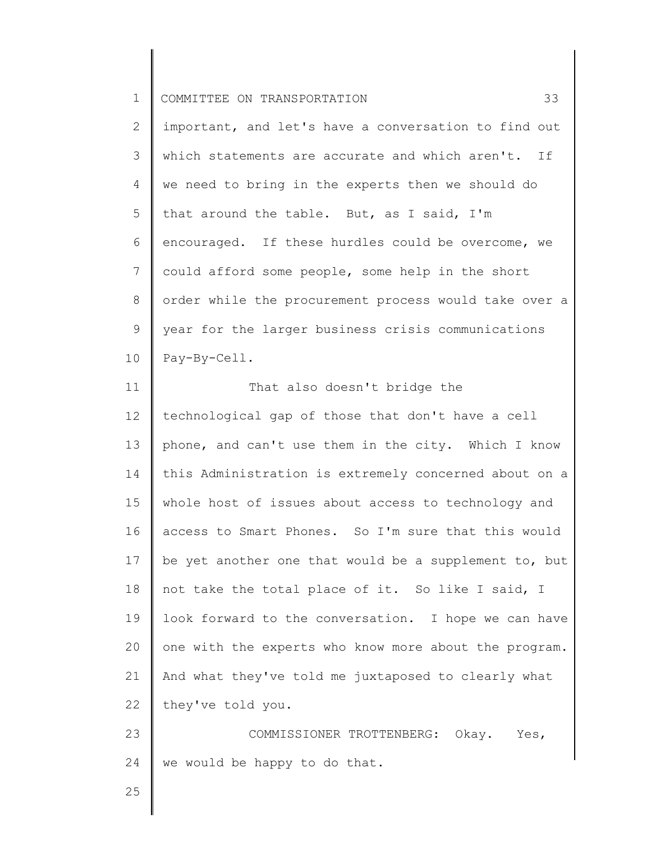2 3 4 5 6 7 8 9 10 important, and let's have a conversation to find out which statements are accurate and which aren't. If we need to bring in the experts then we should do that around the table. But, as I said, I'm encouraged. If these hurdles could be overcome, we could afford some people, some help in the short order while the procurement process would take over a year for the larger business crisis communications Pay-By-Cell.

11 12 13 14 15 16 17 18 19 20 21 22 That also doesn't bridge the technological gap of those that don't have a cell phone, and can't use them in the city. Which I know this Administration is extremely concerned about on a whole host of issues about access to technology and access to Smart Phones. So I'm sure that this would be yet another one that would be a supplement to, but not take the total place of it. So like I said, I look forward to the conversation. I hope we can have one with the experts who know more about the program. And what they've told me juxtaposed to clearly what they've told you.

23 24 COMMISSIONER TROTTENBERG: Okay. Yes, we would be happy to do that.

25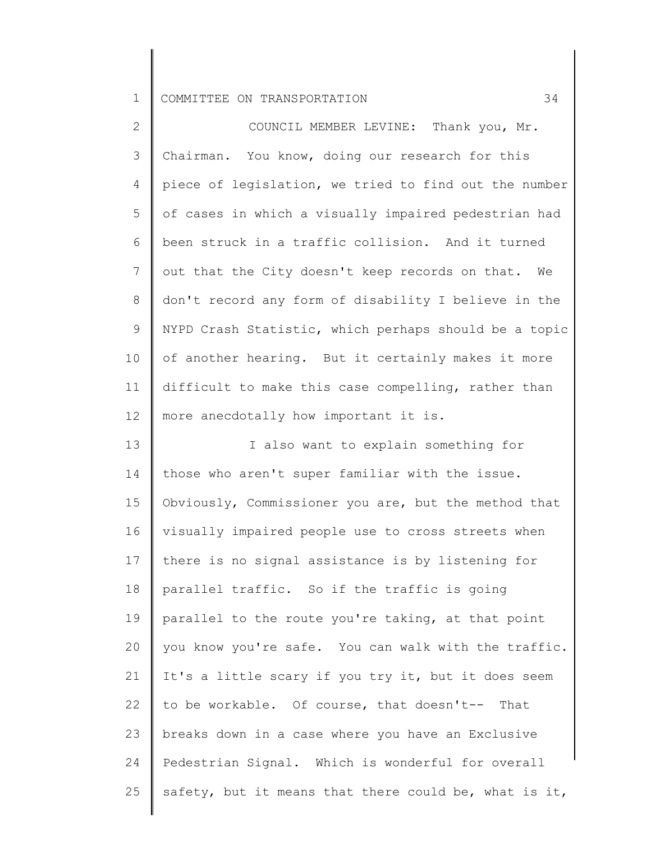2 3 4 5 6 7 8 9 10 11 12 13 14 15 16 17 18 19 20 21 22 23 24 25 COUNCIL MEMBER LEVINE: Thank you, Mr. Chairman. You know, doing our research for this piece of legislation, we tried to find out the number of cases in which a visually impaired pedestrian had been struck in a traffic collision. And it turned out that the City doesn't keep records on that. We don't record any form of disability I believe in the NYPD Crash Statistic, which perhaps should be a topic of another hearing. But it certainly makes it more difficult to make this case compelling, rather than more anecdotally how important it is. I also want to explain something for those who aren't super familiar with the issue. Obviously, Commissioner you are, but the method that visually impaired people use to cross streets when there is no signal assistance is by listening for parallel traffic. So if the traffic is going parallel to the route you're taking, at that point you know you're safe. You can walk with the traffic. It's a little scary if you try it, but it does seem to be workable. Of course, that doesn't-- That breaks down in a case where you have an Exclusive Pedestrian Signal. Which is wonderful for overall safety, but it means that there could be, what is it,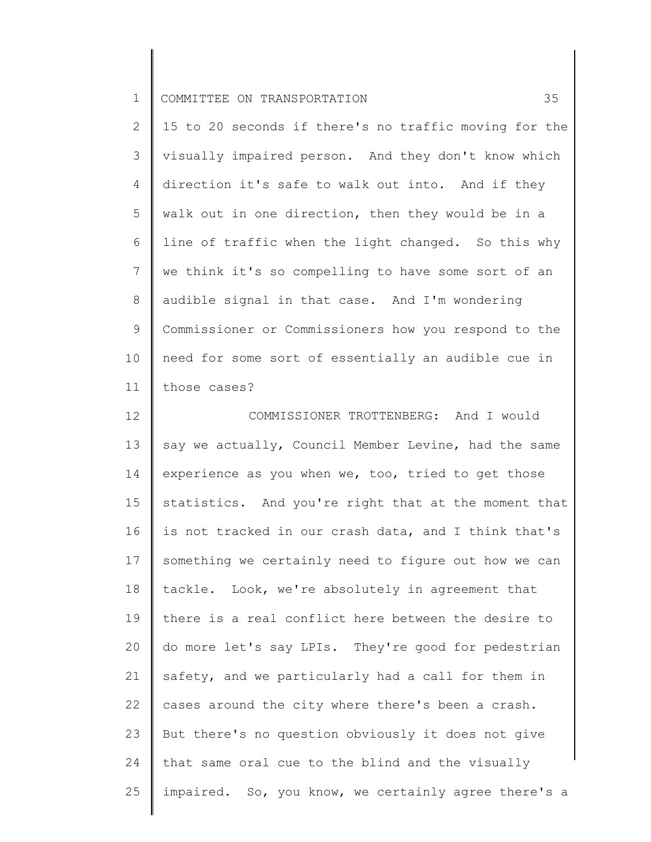| COMMITTEE ON TRANSPORTATION<br>ᅩ |  |
|----------------------------------|--|
|----------------------------------|--|

| $\overline{2}$  | 15 to 20 seconds if there's no traffic moving for the |
|-----------------|-------------------------------------------------------|
| 3               | visually impaired person. And they don't know which   |
| $\overline{4}$  | direction it's safe to walk out into. And if they     |
| 5               | walk out in one direction, then they would be in a    |
| 6               | line of traffic when the light changed. So this why   |
| $7\phantom{.0}$ | we think it's so compelling to have some sort of an   |
| 8               | audible signal in that case. And I'm wondering        |
| 9               | Commissioner or Commissioners how you respond to the  |
| 10 <sub>o</sub> | need for some sort of essentially an audible cue in   |
| 11              | those cases?                                          |

12 13 14 15 16 17 18 19 20 21 22 23 24 25 COMMISSIONER TROTTENBERG: And I would say we actually, Council Member Levine, had the same experience as you when we, too, tried to get those statistics. And you're right that at the moment that is not tracked in our crash data, and I think that's something we certainly need to figure out how we can tackle. Look, we're absolutely in agreement that there is a real conflict here between the desire to do more let's say LPIs. They're good for pedestrian safety, and we particularly had a call for them in cases around the city where there's been a crash. But there's no question obviously it does not give that same oral cue to the blind and the visually impaired. So, you know, we certainly agree there's a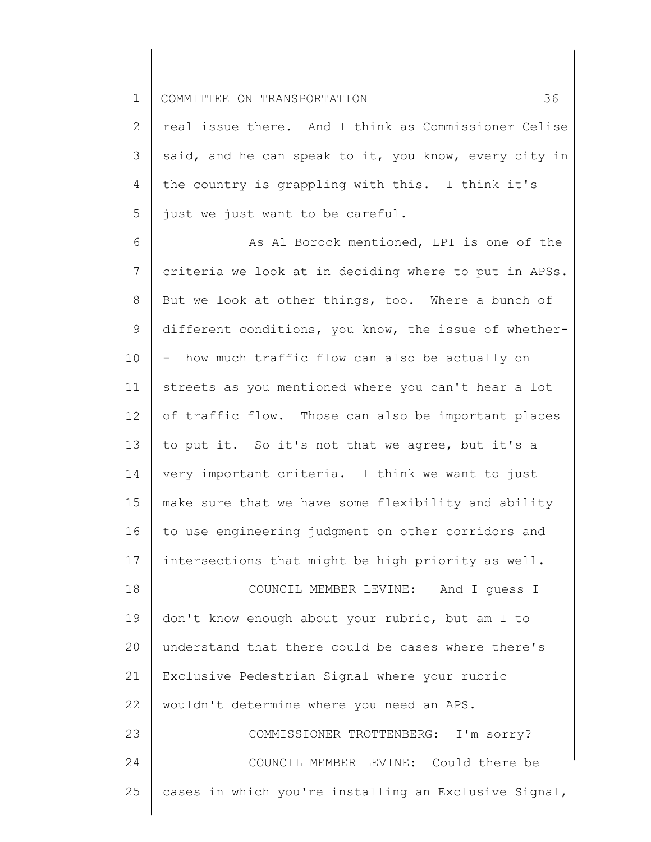2 3 4 5 real issue there. And I think as Commissioner Celise said, and he can speak to it, you know, every city in the country is grappling with this. I think it's just we just want to be careful.

6 7 8 9 10 11 12 13 14 15 16 17 18 19 20 21 22 23 24 As Al Borock mentioned, LPI is one of the criteria we look at in deciding where to put in APSs. But we look at other things, too. Where a bunch of different conditions, you know, the issue of whether how much traffic flow can also be actually on streets as you mentioned where you can't hear a lot of traffic flow. Those can also be important places to put it. So it's not that we agree, but it's a very important criteria. I think we want to just make sure that we have some flexibility and ability to use engineering judgment on other corridors and intersections that might be high priority as well. COUNCIL MEMBER LEVINE: And I guess I don't know enough about your rubric, but am I to understand that there could be cases where there's Exclusive Pedestrian Signal where your rubric wouldn't determine where you need an APS. COMMISSIONER TROTTENBERG: I'm sorry? COUNCIL MEMBER LEVINE: Could there be

25 cases in which you're installing an Exclusive Signal,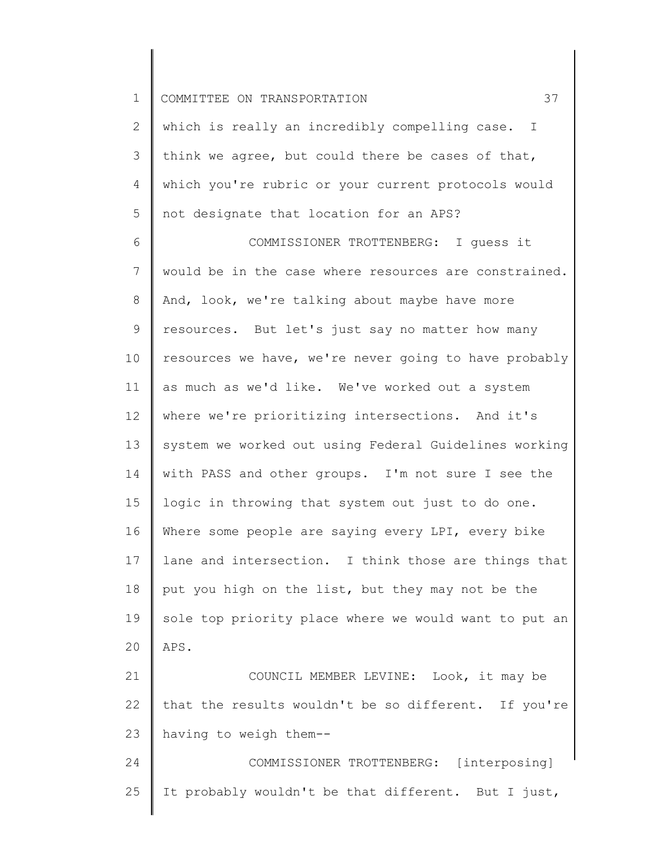| $\mathbf 1$    | 37<br>COMMITTEE ON TRANSPORTATION                     |
|----------------|-------------------------------------------------------|
| $\overline{2}$ | which is really an incredibly compelling case. I      |
| 3              | think we agree, but could there be cases of that,     |
| 4              | which you're rubric or your current protocols would   |
| 5              | not designate that location for an APS?               |
| 6              | COMMISSIONER TROTTENBERG: I quess it                  |
| 7              | would be in the case where resources are constrained. |
| 8              | And, look, we're talking about maybe have more        |
| 9              | resources. But let's just say no matter how many      |
| 10             | resources we have, we're never going to have probably |
| 11             | as much as we'd like. We've worked out a system       |
| 12             | where we're prioritizing intersections. And it's      |
| 13             | system we worked out using Federal Guidelines working |
| 14             | with PASS and other groups. I'm not sure I see the    |
| 15             | logic in throwing that system out just to do one.     |
| 16             | Where some people are saying every LPI, every bike    |
| 17             | lane and intersection. I think those are things that  |
| 18             | put you high on the list, but they may not be the     |
| 19             | sole top priority place where we would want to put an |
| 20             | APS.                                                  |
| 21             | COUNCIL MEMBER LEVINE: Look, it may be                |
| 22             | that the results wouldn't be so different. If you're  |
| 23             | having to weigh them--                                |
| 24             | COMMISSIONER TROTTENBERG: [interposing]               |
| 25             | It probably wouldn't be that different. But I just,   |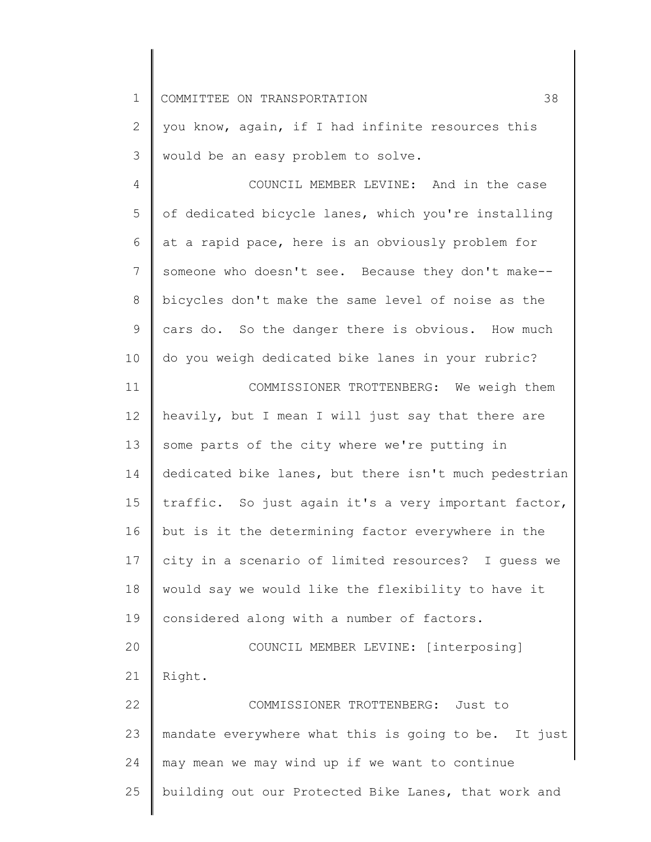2 3 you know, again, if I had infinite resources this would be an easy problem to solve.

4 5 6 7 8 9 10 11 12 13 14 15 16 17 18 19 20 21 COUNCIL MEMBER LEVINE: And in the case of dedicated bicycle lanes, which you're installing at a rapid pace, here is an obviously problem for someone who doesn't see. Because they don't make- bicycles don't make the same level of noise as the cars do. So the danger there is obvious. How much do you weigh dedicated bike lanes in your rubric? COMMISSIONER TROTTENBERG: We weigh them heavily, but I mean I will just say that there are some parts of the city where we're putting in dedicated bike lanes, but there isn't much pedestrian traffic. So just again it's a very important factor, but is it the determining factor everywhere in the city in a scenario of limited resources? I guess we would say we would like the flexibility to have it considered along with a number of factors. COUNCIL MEMBER LEVINE: [interposing] Right.

22 23 24 25 COMMISSIONER TROTTENBERG: Just to mandate everywhere what this is going to be. It just may mean we may wind up if we want to continue building out our Protected Bike Lanes, that work and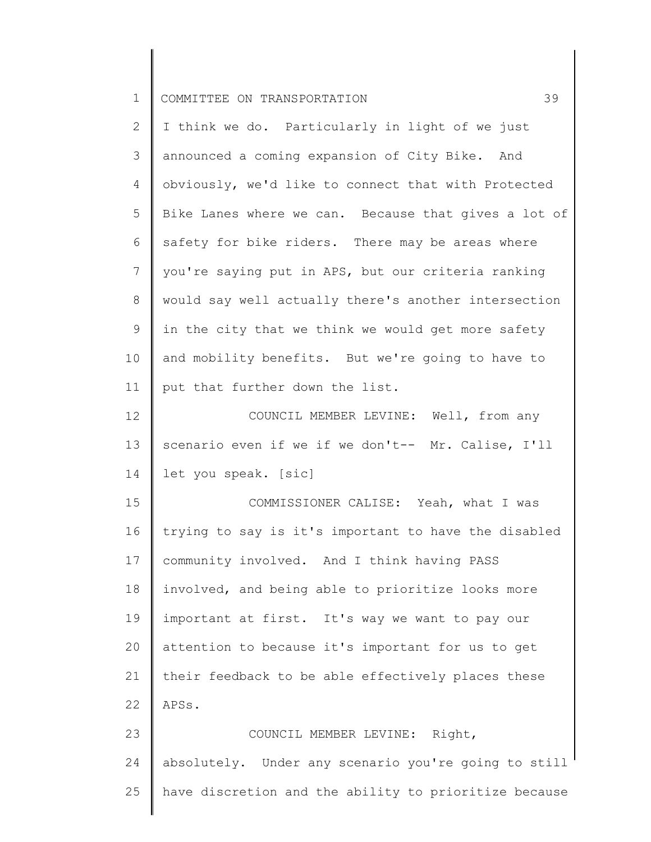| $\mathbf{I}$<br>COMMITTEE ON TRANSPORTATION<br>ᅩ |  |  |  |
|--------------------------------------------------|--|--|--|
|--------------------------------------------------|--|--|--|

| $\overline{2}$  | I think we do. Particularly in light of we just      |
|-----------------|------------------------------------------------------|
| 3               | announced a coming expansion of City Bike. And       |
| $\overline{4}$  | obviously, we'd like to connect that with Protected  |
| 5               | Bike Lanes where we can. Because that gives a lot of |
| 6               | safety for bike riders. There may be areas where     |
| 7               | you're saying put in APS, but our criteria ranking   |
| 8               | would say well actually there's another intersection |
| 9               | in the city that we think we would get more safety   |
| 10 <sub>o</sub> | and mobility benefits. But we're going to have to    |
| 11              | put that further down the list.                      |
|                 |                                                      |

12 13 14 COUNCIL MEMBER LEVINE: Well, from any scenario even if we if we don't-- Mr. Calise, I'll let you speak. [sic]

15 16 17 18 19 20 21 22 23 COMMISSIONER CALISE: Yeah, what I was trying to say is it's important to have the disabled community involved. And I think having PASS involved, and being able to prioritize looks more important at first. It's way we want to pay our attention to because it's important for us to get their feedback to be able effectively places these APSs.

24 25 COUNCIL MEMBER LEVINE: Right, absolutely. Under any scenario you're going to still have discretion and the ability to prioritize because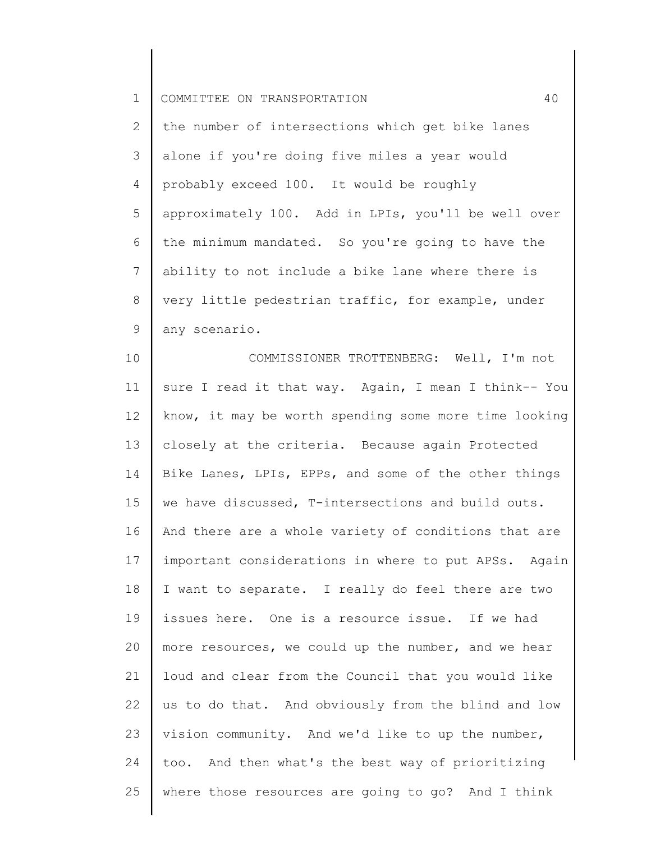2 3 4 5 6 7 8 9 the number of intersections which get bike lanes alone if you're doing five miles a year would probably exceed 100. It would be roughly approximately 100. Add in LPIs, you'll be well over the minimum mandated. So you're going to have the ability to not include a bike lane where there is very little pedestrian traffic, for example, under any scenario.

10 11 12 13 14 15 16 17 18 19 20 21 22 23 24 25 COMMISSIONER TROTTENBERG: Well, I'm not sure I read it that way. Again, I mean I think-- You know, it may be worth spending some more time looking closely at the criteria. Because again Protected Bike Lanes, LPIs, EPPs, and some of the other things we have discussed, T-intersections and build outs. And there are a whole variety of conditions that are important considerations in where to put APSs. Again I want to separate. I really do feel there are two issues here. One is a resource issue. If we had more resources, we could up the number, and we hear loud and clear from the Council that you would like us to do that. And obviously from the blind and low vision community. And we'd like to up the number, too. And then what's the best way of prioritizing where those resources are going to go? And I think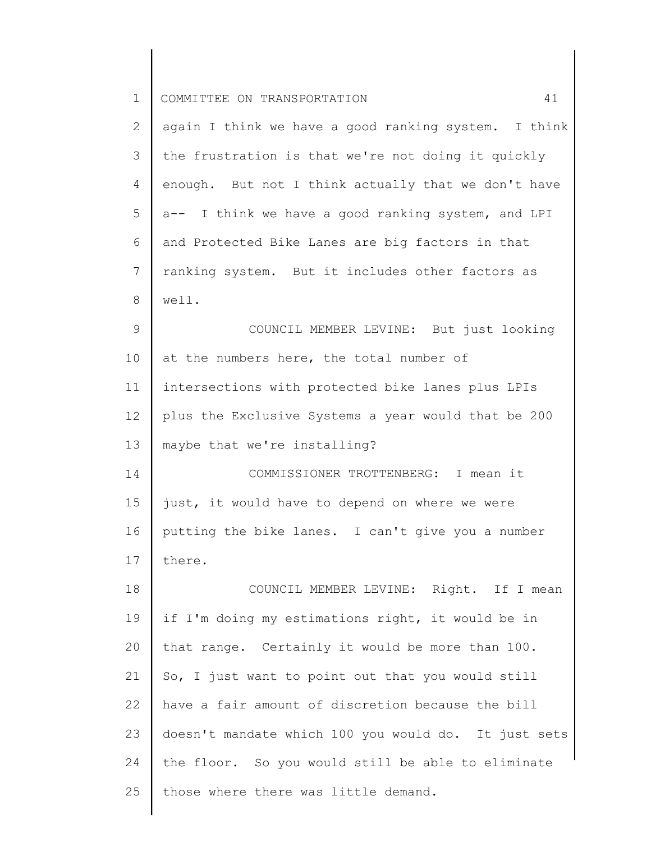| $\mathbf 1$    | 41<br>COMMITTEE ON TRANSPORTATION                    |
|----------------|------------------------------------------------------|
| $\overline{2}$ | again I think we have a good ranking system. I think |
| 3              | the frustration is that we're not doing it quickly   |
| 4              | enough. But not I think actually that we don't have  |
| 5              | a-- I think we have a good ranking system, and LPI   |
| 6              | and Protected Bike Lanes are big factors in that     |
| $7\phantom{.}$ | ranking system. But it includes other factors as     |
| 8              | well.                                                |
| $\mathsf 9$    | COUNCIL MEMBER LEVINE: But just looking              |
| 10             | at the numbers here, the total number of             |
| 11             | intersections with protected bike lanes plus LPIs    |
| 12             | plus the Exclusive Systems a year would that be 200  |
| 13             | maybe that we're installing?                         |
| 14             | COMMISSIONER TROTTENBERG: I mean it                  |
| 15             | just, it would have to depend on where we were       |
| 16             | putting the bike lanes. I can't give you a number    |
| 17             | there.                                               |
| 18             | COUNCIL MEMBER LEVINE: Right. If I mean              |
| 19             | if I'm doing my estimations right, it would be in    |
| 20             | that range. Certainly it would be more than 100.     |
| 21             | So, I just want to point out that you would still    |
| 22             | have a fair amount of discretion because the bill    |
| 23             | doesn't mandate which 100 you would do. It just sets |
| 24             | the floor. So you would still be able to eliminate   |
| 25             | those where there was little demand.                 |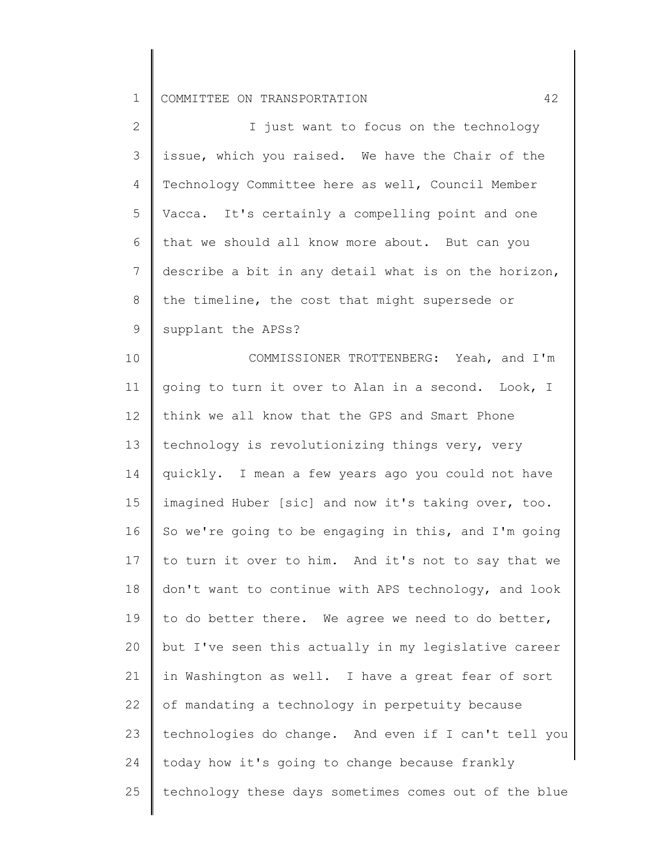| $\mathbf{2}$ | I just want to focus on the technology                |
|--------------|-------------------------------------------------------|
| 3            | issue, which you raised. We have the Chair of the     |
| 4            | Technology Committee here as well, Council Member     |
| 5            | Vacca. It's certainly a compelling point and one      |
| 6            | that we should all know more about. But can you       |
| 7            | describe a bit in any detail what is on the horizon,  |
| 8            | the timeline, the cost that might supersede or        |
| 9            | supplant the APSs?                                    |
| 10           | COMMISSIONER TROTTENBERG: Yeah, and I'm               |
| 11           | going to turn it over to Alan in a second. Look, I    |
| 12           | think we all know that the GPS and Smart Phone        |
| 13           | technology is revolutionizing things very, very       |
| 14           | quickly. I mean a few years ago you could not have    |
| 15           | imagined Huber [sic] and now it's taking over, too.   |
| 16           | So we're going to be engaging in this, and I'm going  |
| 17           | to turn it over to him. And it's not to say that we   |
| 18           | don't want to continue with APS technology, and look  |
| 19           | to do better there. We agree we need to do better,    |
| 20           | but I've seen this actually in my legislative career  |
| 21           | in Washington as well. I have a great fear of sort    |
| 22           | of mandating a technology in perpetuity because       |
| 23           | technologies do change. And even if I can't tell you  |
| 24           | today how it's going to change because frankly        |
| 25           | technology these days sometimes comes out of the blue |
|              |                                                       |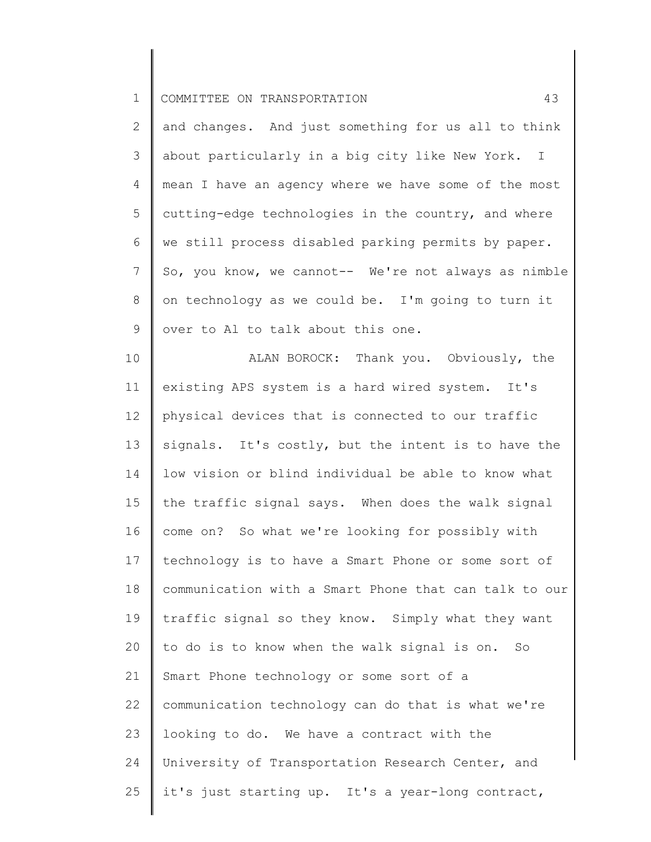| COMMITTEE ON TRANSPORTATION<br>ᅩ |  |
|----------------------------------|--|
|----------------------------------|--|

2 3 4 5 6 7 8 9 and changes. And just something for us all to think about particularly in a big city like New York. I mean I have an agency where we have some of the most cutting-edge technologies in the country, and where we still process disabled parking permits by paper. So, you know, we cannot-- We're not always as nimble on technology as we could be. I'm going to turn it over to Al to talk about this one.

10 11 12 13 14 15 16 17 18 19 20 21 22 23 24 25 ALAN BOROCK: Thank you. Obviously, the existing APS system is a hard wired system. It's physical devices that is connected to our traffic signals. It's costly, but the intent is to have the low vision or blind individual be able to know what the traffic signal says. When does the walk signal come on? So what we're looking for possibly with technology is to have a Smart Phone or some sort of communication with a Smart Phone that can talk to our traffic signal so they know. Simply what they want to do is to know when the walk signal is on. So Smart Phone technology or some sort of a communication technology can do that is what we're looking to do. We have a contract with the University of Transportation Research Center, and it's just starting up. It's a year-long contract,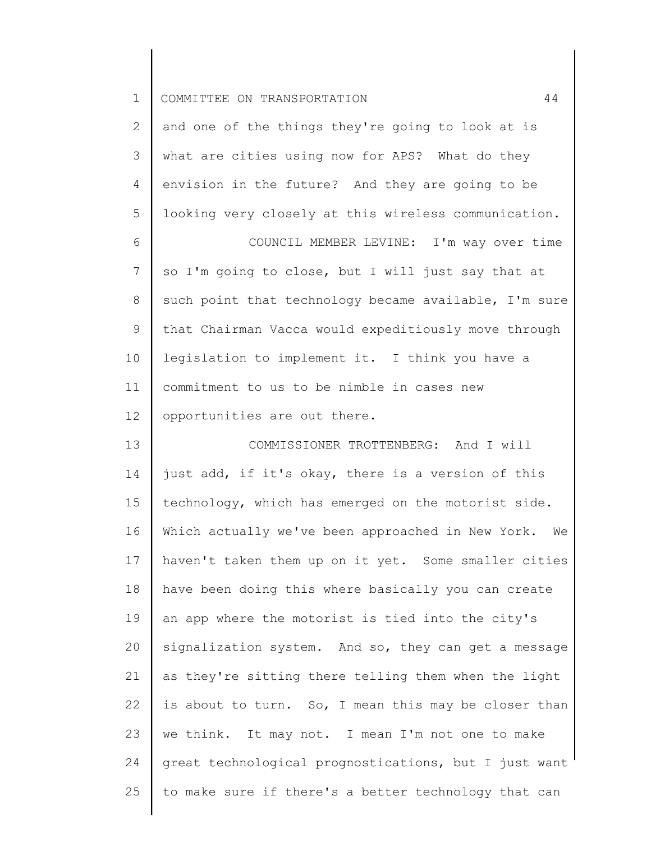| 44<br>COMMITTEE ON TRANSPORTATION                     |
|-------------------------------------------------------|
| and one of the things they're going to look at is     |
| what are cities using now for APS? What do they       |
| envision in the future? And they are going to be      |
| looking very closely at this wireless communication.  |
| COUNCIL MEMBER LEVINE: I'm way over time              |
| so I'm going to close, but I will just say that at    |
| such point that technology became available, I'm sure |
| that Chairman Vacca would expeditiously move through  |
| legislation to implement it. I think you have a       |
| commitment to us to be nimble in cases new            |
| opportunities are out there.                          |
| COMMISSIONER TROTTENBERG: And I will                  |
| just add, if it's okay, there is a version of this    |
| technology, which has emerged on the motorist side.   |
| Which actually we've been approached in New York. We  |
| haven't taken them up on it yet. Some smaller cities  |
| have been doing this where basically you can create   |
| an app where the motorist is tied into the city's     |
| signalization system. And so, they can get a message  |
| as they're sitting there telling them when the light  |
| is about to turn. So, I mean this may be closer than  |
| we think. It may not. I mean I'm not one to make      |
| great technological prognostications, but I just want |
| to make sure if there's a better technology that can  |
|                                                       |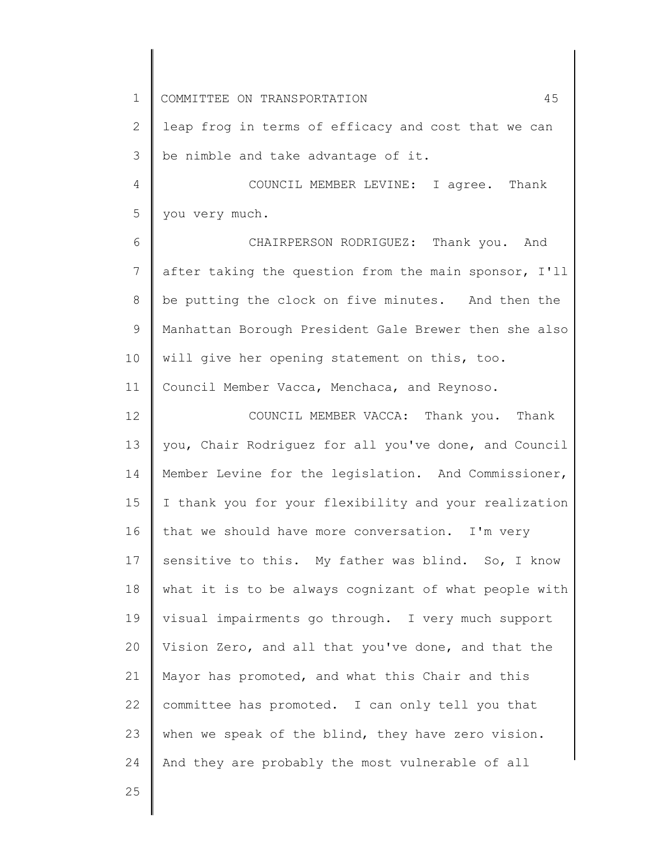2 3 leap frog in terms of efficacy and cost that we can be nimble and take advantage of it.

4 5 COUNCIL MEMBER LEVINE: I agree. Thank you very much.

6 7 8 9 10 11 CHAIRPERSON RODRIGUEZ: Thank you. And after taking the question from the main sponsor, I'll be putting the clock on five minutes. And then the Manhattan Borough President Gale Brewer then she also will give her opening statement on this, too. Council Member Vacca, Menchaca, and Reynoso.

12 13 14 15 16 17 18 19 20 21 22 23 24 COUNCIL MEMBER VACCA: Thank you. Thank you, Chair Rodriguez for all you've done, and Council Member Levine for the legislation. And Commissioner, I thank you for your flexibility and your realization that we should have more conversation. I'm very sensitive to this. My father was blind. So, I know what it is to be always cognizant of what people with visual impairments go through. I very much support Vision Zero, and all that you've done, and that the Mayor has promoted, and what this Chair and this committee has promoted. I can only tell you that when we speak of the blind, they have zero vision. And they are probably the most vulnerable of all

25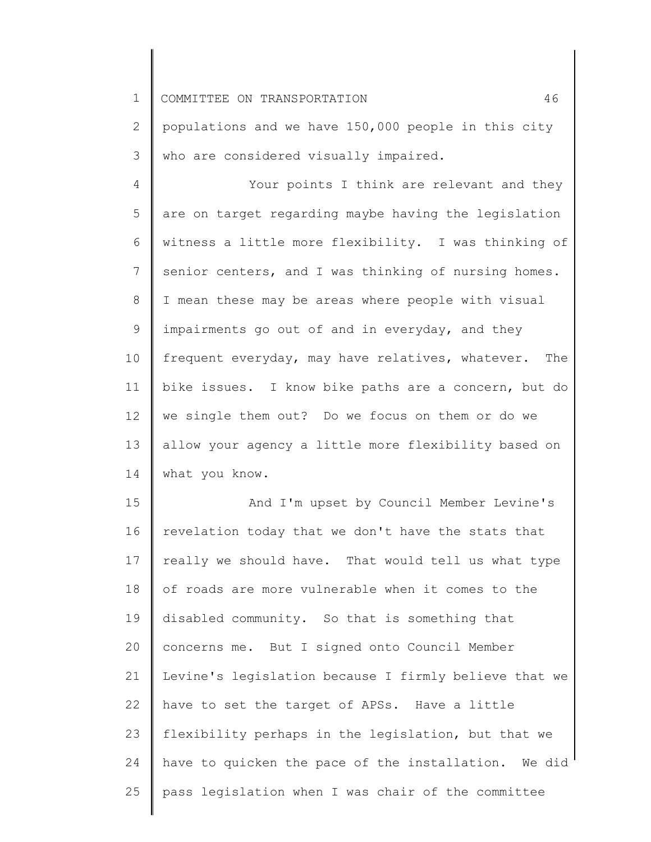2 3 populations and we have 150,000 people in this city who are considered visually impaired.

4 5 6 7 8 9 10 11 12 13 14 Your points I think are relevant and they are on target regarding maybe having the legislation witness a little more flexibility. I was thinking of senior centers, and I was thinking of nursing homes. I mean these may be areas where people with visual impairments go out of and in everyday, and they frequent everyday, may have relatives, whatever. The bike issues. I know bike paths are a concern, but do we single them out? Do we focus on them or do we allow your agency a little more flexibility based on what you know.

15 16 17 18 19 20 21 22 23 24 25 And I'm upset by Council Member Levine's revelation today that we don't have the stats that really we should have. That would tell us what type of roads are more vulnerable when it comes to the disabled community. So that is something that concerns me. But I signed onto Council Member Levine's legislation because I firmly believe that we have to set the target of APSs. Have a little flexibility perhaps in the legislation, but that we have to quicken the pace of the installation. We did pass legislation when I was chair of the committee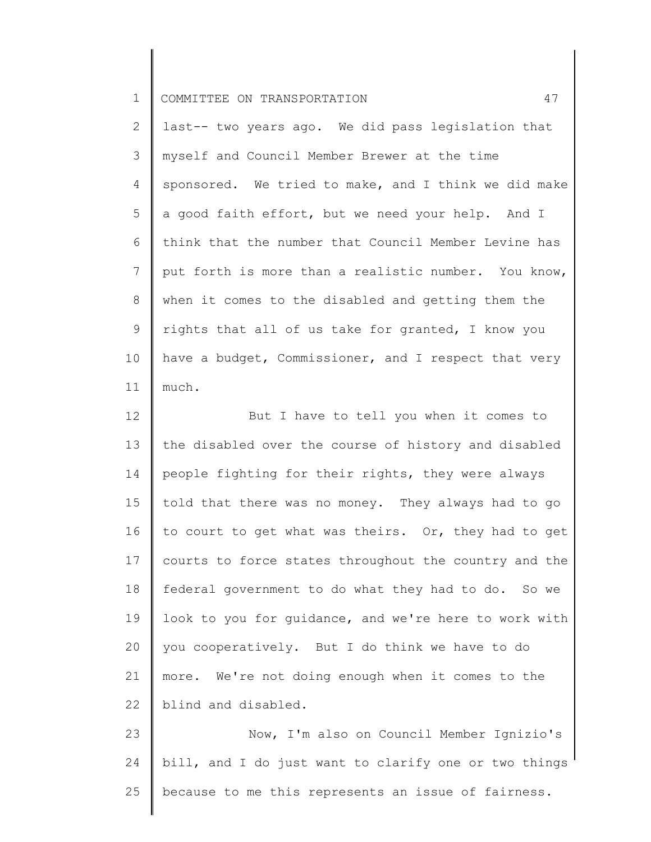| ᅩ |  |  | I COMMITTEE ON TRANSPORTATION |  |
|---|--|--|-------------------------------|--|
|---|--|--|-------------------------------|--|

2 3 4 5 6 7 8 9 10 11 last-- two years ago. We did pass legislation that myself and Council Member Brewer at the time sponsored. We tried to make, and I think we did make a good faith effort, but we need your help. And I think that the number that Council Member Levine has put forth is more than a realistic number. You know, when it comes to the disabled and getting them the rights that all of us take for granted, I know you have a budget, Commissioner, and I respect that very much.

12 13 14 15 16 17 18 19 20 21 22 But I have to tell you when it comes to the disabled over the course of history and disabled people fighting for their rights, they were always told that there was no money. They always had to go to court to get what was theirs. Or, they had to get courts to force states throughout the country and the federal government to do what they had to do. So we look to you for guidance, and we're here to work with you cooperatively. But I do think we have to do more. We're not doing enough when it comes to the blind and disabled.

23 24 25 Now, I'm also on Council Member Ignizio's bill, and I do just want to clarify one or two things because to me this represents an issue of fairness.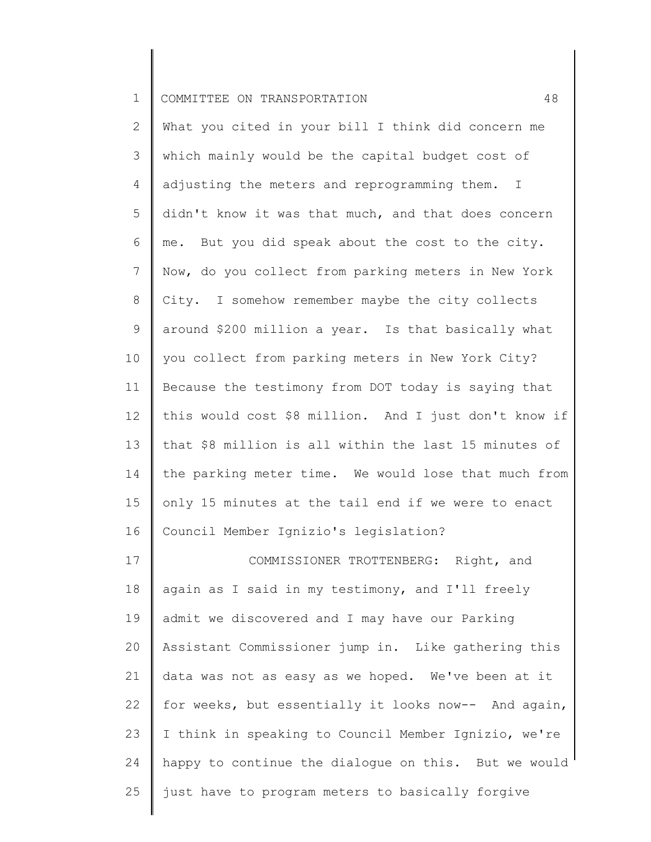2 3 4 5 6 7 8 9 10 11 12 13 14 15 16 17 What you cited in your bill I think did concern me which mainly would be the capital budget cost of adjusting the meters and reprogramming them. I didn't know it was that much, and that does concern me. But you did speak about the cost to the city. Now, do you collect from parking meters in New York City. I somehow remember maybe the city collects around \$200 million a year. Is that basically what you collect from parking meters in New York City? Because the testimony from DOT today is saying that this would cost \$8 million. And I just don't know if that \$8 million is all within the last 15 minutes of the parking meter time. We would lose that much from only 15 minutes at the tail end if we were to enact Council Member Ignizio's legislation? COMMISSIONER TROTTENBERG: Right, and

18 19 20 21 22 23 24 25 again as I said in my testimony, and I'll freely admit we discovered and I may have our Parking Assistant Commissioner jump in. Like gathering this data was not as easy as we hoped. We've been at it for weeks, but essentially it looks now-- And again, I think in speaking to Council Member Ignizio, we're happy to continue the dialogue on this. But we would just have to program meters to basically forgive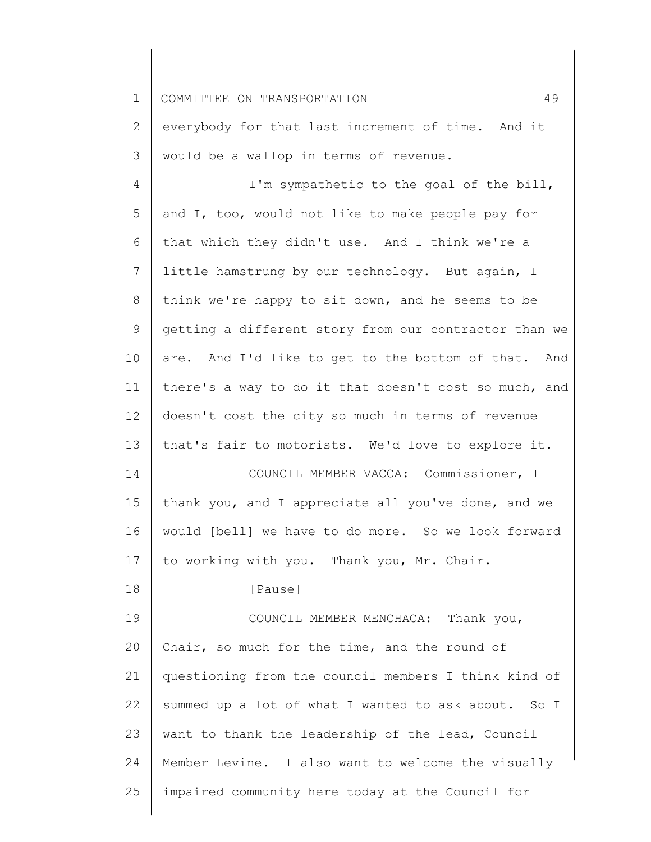| $\mathbf 1$    | 49<br>COMMITTEE ON TRANSPORTATION                     |
|----------------|-------------------------------------------------------|
| 2              | everybody for that last increment of time. And it     |
| 3              | would be a wallop in terms of revenue.                |
| $\overline{4}$ | I'm sympathetic to the goal of the bill,              |
| 5              | and I, too, would not like to make people pay for     |
| 6              | that which they didn't use. And I think we're a       |
| 7              | little hamstrung by our technology. But again, I      |
| 8              | think we're happy to sit down, and he seems to be     |
| 9              | getting a different story from our contractor than we |
| 10             | are. And I'd like to get to the bottom of that. And   |
| 11             | there's a way to do it that doesn't cost so much, and |
| 12             | doesn't cost the city so much in terms of revenue     |
| 13             | that's fair to motorists. We'd love to explore it.    |
| 14             | COUNCIL MEMBER VACCA: Commissioner, I                 |
| 15             | thank you, and I appreciate all you've done, and we   |
| 16             | would [bell] we have to do more. So we look forward   |
| 17             | to working with you. Thank you, Mr. Chair.            |
| 18             | [Pause]                                               |
| 19             | COUNCIL MEMBER MENCHACA: Thank you,                   |
| 20             | Chair, so much for the time, and the round of         |
| 21             | questioning from the council members I think kind of  |
| 22             | summed up a lot of what I wanted to ask about. So I   |
| 23             | want to thank the leadership of the lead, Council     |
| 24             | Member Levine. I also want to welcome the visually    |
| 25             | impaired community here today at the Council for      |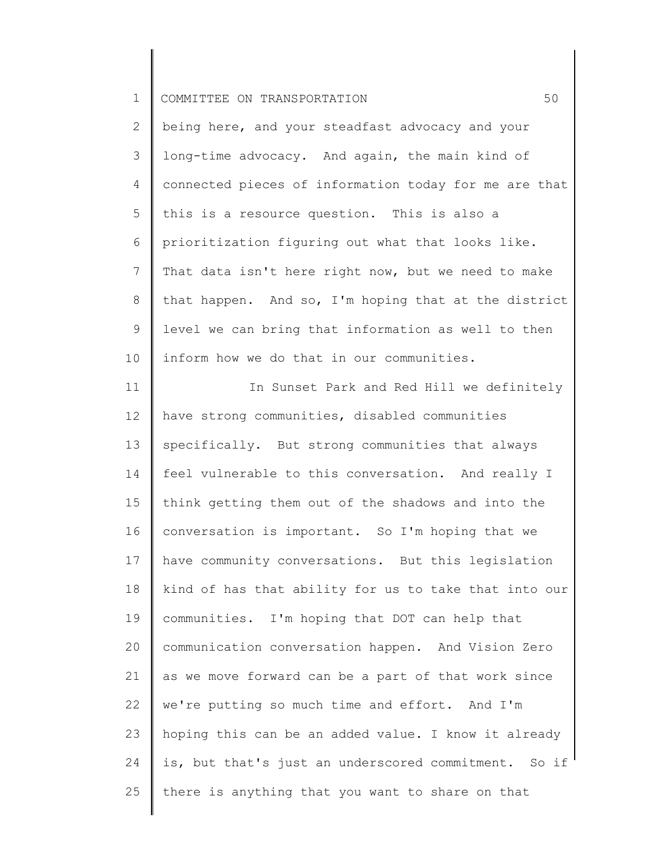2 3 4 5 6 7 8 9 10 being here, and your steadfast advocacy and your long-time advocacy. And again, the main kind of connected pieces of information today for me are that this is a resource question. This is also a prioritization figuring out what that looks like. That data isn't here right now, but we need to make that happen. And so, I'm hoping that at the district level we can bring that information as well to then inform how we do that in our communities.

11 12 13 14 15 16 17 18 19 20 21 22 23 24 25 In Sunset Park and Red Hill we definitely have strong communities, disabled communities specifically. But strong communities that always feel vulnerable to this conversation. And really I think getting them out of the shadows and into the conversation is important. So I'm hoping that we have community conversations. But this legislation kind of has that ability for us to take that into our communities. I'm hoping that DOT can help that communication conversation happen. And Vision Zero as we move forward can be a part of that work since we're putting so much time and effort. And I'm hoping this can be an added value. I know it already is, but that's just an underscored commitment. So if there is anything that you want to share on that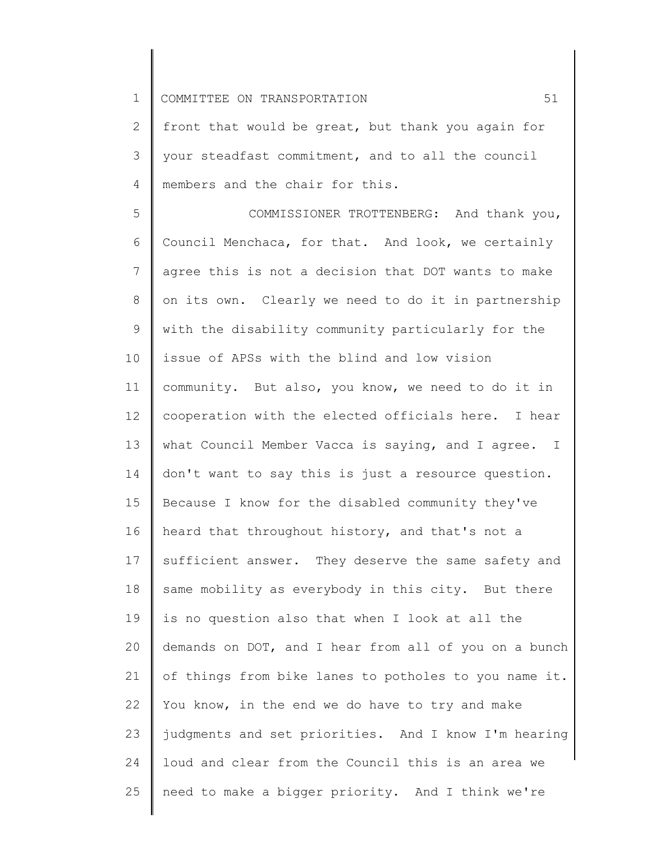2 3 4 front that would be great, but thank you again for your steadfast commitment, and to all the council members and the chair for this.

5 6 7 8 9 10 11 12 13 14 15 16 17 18 19 20 21 22 23 24 25 COMMISSIONER TROTTENBERG: And thank you, Council Menchaca, for that. And look, we certainly agree this is not a decision that DOT wants to make on its own. Clearly we need to do it in partnership with the disability community particularly for the issue of APSs with the blind and low vision community. But also, you know, we need to do it in cooperation with the elected officials here. I hear what Council Member Vacca is saying, and I agree. I don't want to say this is just a resource question. Because I know for the disabled community they've heard that throughout history, and that's not a sufficient answer. They deserve the same safety and same mobility as everybody in this city. But there is no question also that when I look at all the demands on DOT, and I hear from all of you on a bunch of things from bike lanes to potholes to you name it. You know, in the end we do have to try and make judgments and set priorities. And I know I'm hearing loud and clear from the Council this is an area we need to make a bigger priority. And I think we're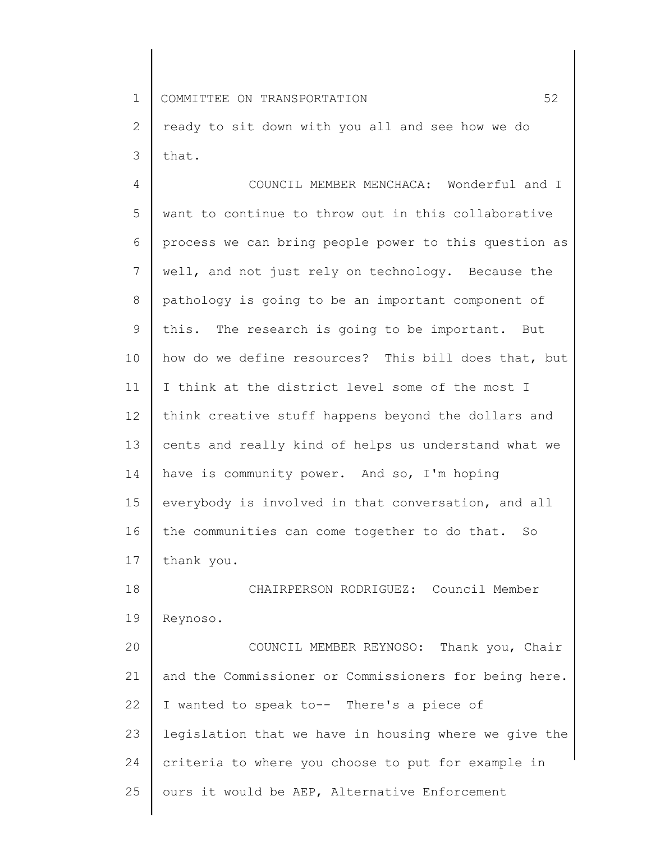1 2 3 COMMITTEE ON TRANSPORTATION 52 ready to sit down with you all and see how we do that.

4 5 6 7 8 9 10 11 12 13 14 15 16 17 COUNCIL MEMBER MENCHACA: Wonderful and I want to continue to throw out in this collaborative process we can bring people power to this question as well, and not just rely on technology. Because the pathology is going to be an important component of this. The research is going to be important. But how do we define resources? This bill does that, but I think at the district level some of the most I think creative stuff happens beyond the dollars and cents and really kind of helps us understand what we have is community power. And so, I'm hoping everybody is involved in that conversation, and all the communities can come together to do that. So thank you.

18 19 CHAIRPERSON RODRIGUEZ: Council Member Reynoso.

20 21 22 23 24 25 COUNCIL MEMBER REYNOSO: Thank you, Chair and the Commissioner or Commissioners for being here. I wanted to speak to-- There's a piece of legislation that we have in housing where we give the criteria to where you choose to put for example in ours it would be AEP, Alternative Enforcement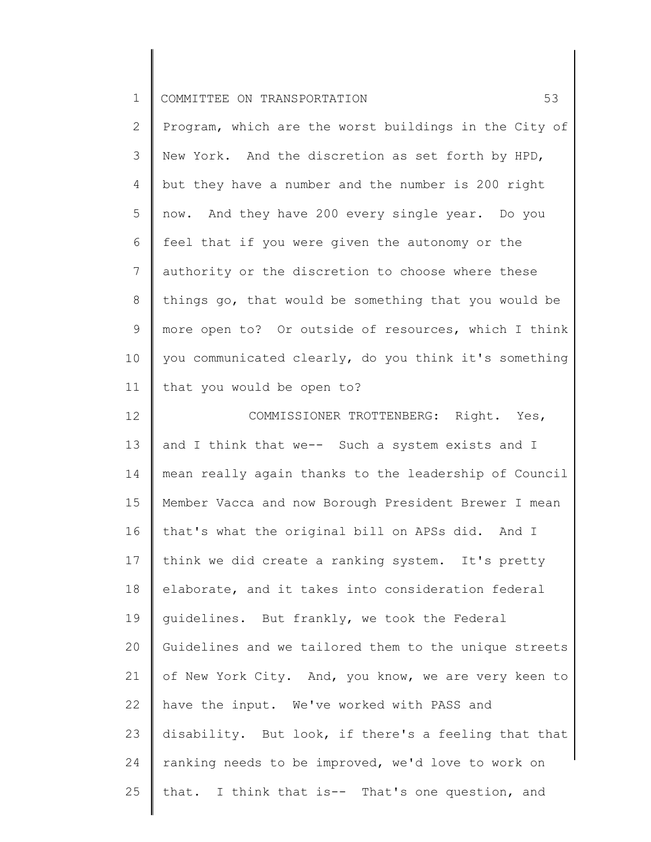| ᆂ |  | COMMITTEE ON TRANSPORTATION | — — |
|---|--|-----------------------------|-----|
|   |  |                             |     |

| $\mathbf{2}$    | Program, which are the worst buildings in the City of |
|-----------------|-------------------------------------------------------|
| 3               | New York. And the discretion as set forth by HPD,     |
| 4               | but they have a number and the number is 200 right    |
| 5               | now. And they have 200 every single year. Do you      |
| 6               | feel that if you were given the autonomy or the       |
| $7\phantom{.0}$ | authority or the discretion to choose where these     |
| 8               | things go, that would be something that you would be  |
| 9               | more open to? Or outside of resources, which I think  |
| 10              | you communicated clearly, do you think it's something |
| 11              | that you would be open to?                            |
| 12              | COMMISSIONER TROTTENBERG: Right. Yes,                 |
| 13              | and I think that we-- Such a system exists and I      |
| 14              | mean really again thanks to the leadership of Council |
| 15              | Member Vacca and now Borough President Brewer I mean  |
| 16              | that's what the original bill on APSs did. And I      |
| 17              | think we did create a ranking system. It's pretty     |
| 18              | elaborate, and it takes into consideration federal    |
| 19              | guidelines. But frankly, we took the Federal          |
| 20              | Guidelines and we tailored them to the unique streets |
| 21              | of New York City. And, you know, we are very keen to  |
| 22              | have the input. We've worked with PASS and            |
| 23              | disability. But look, if there's a feeling that that  |
| 24              | ranking needs to be improved, we'd love to work on    |
| 25              | that. I think that is-- That's one question, and      |
|                 |                                                       |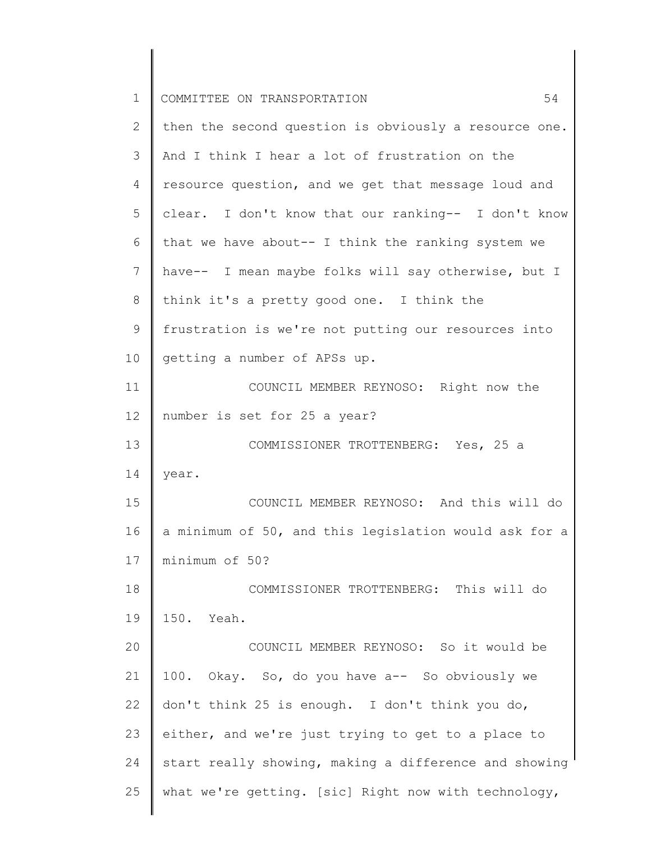| 54<br>COMMITTEE ON TRANSPORTATION                     |
|-------------------------------------------------------|
| then the second question is obviously a resource one. |
| And I think I hear a lot of frustration on the        |
| resource question, and we get that message loud and   |
| clear. I don't know that our ranking-- I don't know   |
| that we have about-- I think the ranking system we    |
| have-- I mean maybe folks will say otherwise, but I   |
| think it's a pretty good one. I think the             |
| frustration is we're not putting our resources into   |
| getting a number of APSs up.                          |
| COUNCIL MEMBER REYNOSO: Right now the                 |
| number is set for 25 a year?                          |
| COMMISSIONER TROTTENBERG: Yes, 25 a                   |
| year.                                                 |
| COUNCIL MEMBER REYNOSO: And this will do              |
| a minimum of 50, and this legislation would ask for a |
| minimum of 50?                                        |
| COMMISSIONER TROTTENBERG: This will do                |
| 150. Yeah.                                            |
| COUNCIL MEMBER REYNOSO: So it would be                |
| 100. Okay. So, do you have a-- So obviously we        |
| don't think 25 is enough. I don't think you do,       |
| either, and we're just trying to get to a place to    |
| start really showing, making a difference and showing |
| what we're getting. [sic] Right now with technology,  |
|                                                       |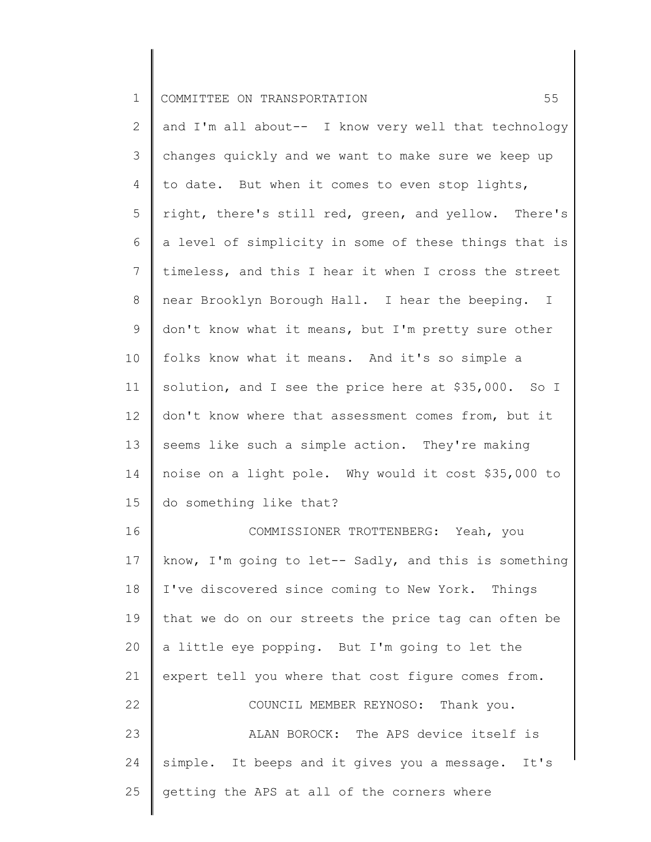| ᅩ |  |  | COMMITTEE ON TRANSPORTATION |  |
|---|--|--|-----------------------------|--|
|---|--|--|-----------------------------|--|

2 3 4 5 6 7 8 9 10 11 12 13 14 15 16 17 18 19 20 and I'm all about-- I know very well that technology changes quickly and we want to make sure we keep up to date. But when it comes to even stop lights, right, there's still red, green, and yellow. There's a level of simplicity in some of these things that is timeless, and this I hear it when I cross the street near Brooklyn Borough Hall. I hear the beeping. I don't know what it means, but I'm pretty sure other folks know what it means. And it's so simple a solution, and I see the price here at \$35,000. So I don't know where that assessment comes from, but it seems like such a simple action. They're making noise on a light pole. Why would it cost \$35,000 to do something like that? COMMISSIONER TROTTENBERG: Yeah, you know, I'm going to let-- Sadly, and this is something I've discovered since coming to New York. Things that we do on our streets the price tag can often be a little eye popping. But I'm going to let the

22 23 24 25 COUNCIL MEMBER REYNOSO: Thank you. ALAN BOROCK: The APS device itself is simple. It beeps and it gives you a message. It's getting the APS at all of the corners where

expert tell you where that cost figure comes from.

21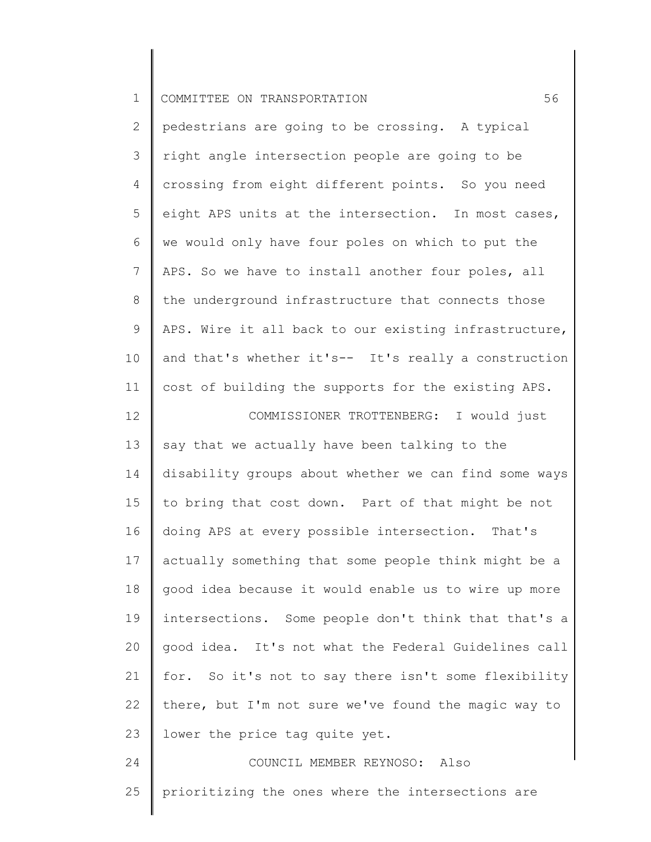| ᅩ |  |  | COMMITTEE ON TRANSPORTATION |  |
|---|--|--|-----------------------------|--|
|---|--|--|-----------------------------|--|

12

2 3 4 5 6 7 8 9 10 11 pedestrians are going to be crossing. A typical right angle intersection people are going to be crossing from eight different points. So you need eight APS units at the intersection. In most cases, we would only have four poles on which to put the APS. So we have to install another four poles, all the underground infrastructure that connects those APS. Wire it all back to our existing infrastructure, and that's whether it's-- It's really a construction cost of building the supports for the existing APS.

COMMISSIONER TROTTENBERG: I would just

13 14 15 16 17 18 19 20 21 22 23 say that we actually have been talking to the disability groups about whether we can find some ways to bring that cost down. Part of that might be not doing APS at every possible intersection. That's actually something that some people think might be a good idea because it would enable us to wire up more intersections. Some people don't think that that's a good idea. It's not what the Federal Guidelines call for. So it's not to say there isn't some flexibility there, but I'm not sure we've found the magic way to lower the price tag quite yet.

24 25 COUNCIL MEMBER REYNOSO: Also prioritizing the ones where the intersections are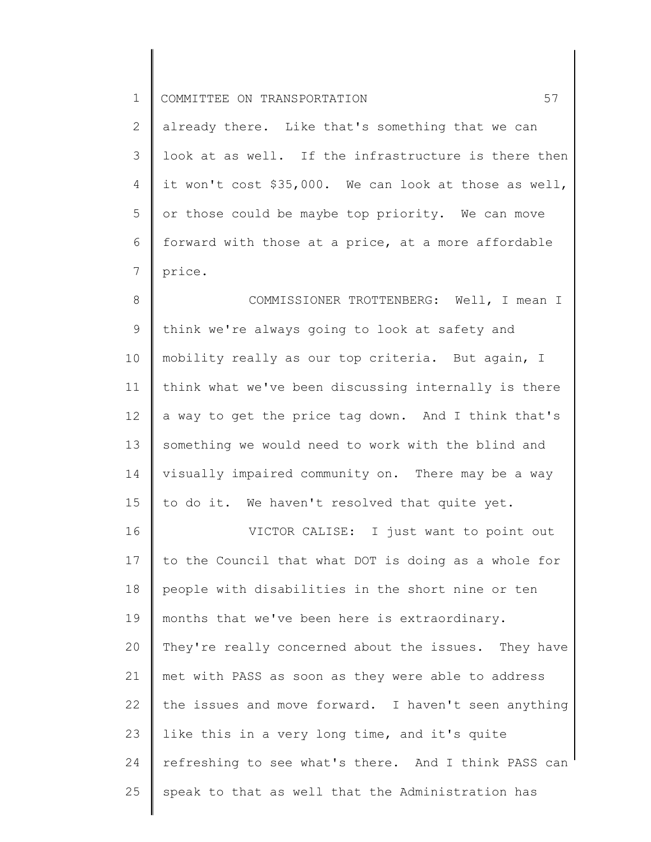2 3 4 5 6 7 already there. Like that's something that we can look at as well. If the infrastructure is there then it won't cost \$35,000. We can look at those as well, or those could be maybe top priority. We can move forward with those at a price, at a more affordable price.

8 9 10 11 12 13 14 15 COMMISSIONER TROTTENBERG: Well, I mean I think we're always going to look at safety and mobility really as our top criteria. But again, I think what we've been discussing internally is there a way to get the price tag down. And I think that's something we would need to work with the blind and visually impaired community on. There may be a way to do it. We haven't resolved that quite yet.

16 17 18 19 20 21 22 23 24 25 VICTOR CALISE: I just want to point out to the Council that what DOT is doing as a whole for people with disabilities in the short nine or ten months that we've been here is extraordinary. They're really concerned about the issues. They have met with PASS as soon as they were able to address the issues and move forward. I haven't seen anything like this in a very long time, and it's quite refreshing to see what's there. And I think PASS can speak to that as well that the Administration has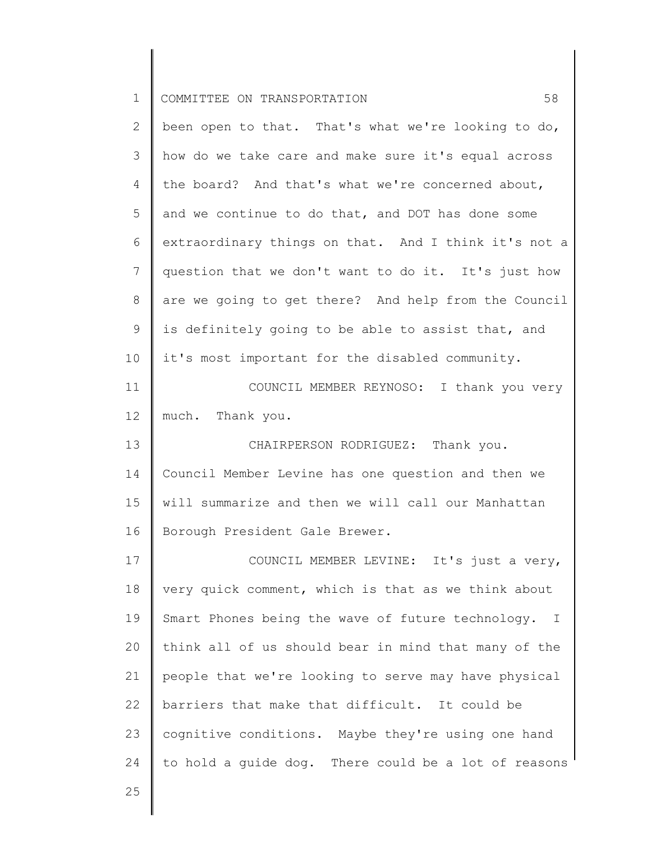| $\mathbf 1$    | 58<br>COMMITTEE ON TRANSPORTATION                                 |
|----------------|-------------------------------------------------------------------|
| $\mathbf{2}$   | been open to that. That's what we're looking to do,               |
| 3              | how do we take care and make sure it's equal across               |
| 4              | the board? And that's what we're concerned about,                 |
| 5              | and we continue to do that, and DOT has done some                 |
| 6              | extraordinary things on that. And I think it's not a              |
| $\overline{7}$ | question that we don't want to do it. It's just how               |
| 8              | are we going to get there? And help from the Council              |
| 9              | is definitely going to be able to assist that, and                |
| 10             | it's most important for the disabled community.                   |
| 11             | COUNCIL MEMBER REYNOSO: I thank you very                          |
| 12             | much. Thank you.                                                  |
| 13             | CHAIRPERSON RODRIGUEZ: Thank you.                                 |
| 14             | Council Member Levine has one question and then we                |
| 15             | will summarize and then we will call our Manhattan                |
| 16             | Borough President Gale Brewer.                                    |
| 17             | COUNCIL MEMBER LEVINE: It's just a very,                          |
| $18\,$         | very quick comment, which is that as we think about               |
| 19             | Smart Phones being the wave of future technology.<br>$\mathbb{I}$ |
| 20             | think all of us should bear in mind that many of the              |
| 21             | people that we're looking to serve may have physical              |
| 22             | barriers that make that difficult. It could be                    |
| 23             | cognitive conditions. Maybe they're using one hand                |
| 24             | to hold a quide dog. There could be a lot of reasons              |
| 25             |                                                                   |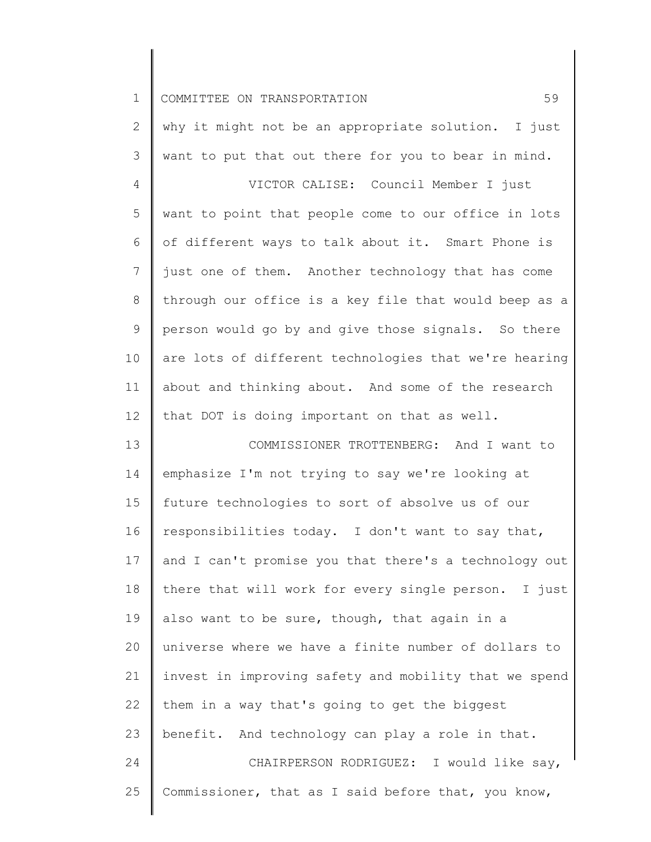2 3 4 5 6 7 8 9 10 11 12 why it might not be an appropriate solution. I just want to put that out there for you to bear in mind. VICTOR CALISE: Council Member I just want to point that people come to our office in lots of different ways to talk about it. Smart Phone is just one of them. Another technology that has come through our office is a key file that would beep as a person would go by and give those signals. So there are lots of different technologies that we're hearing about and thinking about. And some of the research that DOT is doing important on that as well.

13 14 15 16 17 18 19 20 21 22 23 24 25 COMMISSIONER TROTTENBERG: And I want to emphasize I'm not trying to say we're looking at future technologies to sort of absolve us of our responsibilities today. I don't want to say that, and I can't promise you that there's a technology out there that will work for every single person. I just also want to be sure, though, that again in a universe where we have a finite number of dollars to invest in improving safety and mobility that we spend them in a way that's going to get the biggest benefit. And technology can play a role in that. CHAIRPERSON RODRIGUEZ: I would like say, Commissioner, that as I said before that, you know,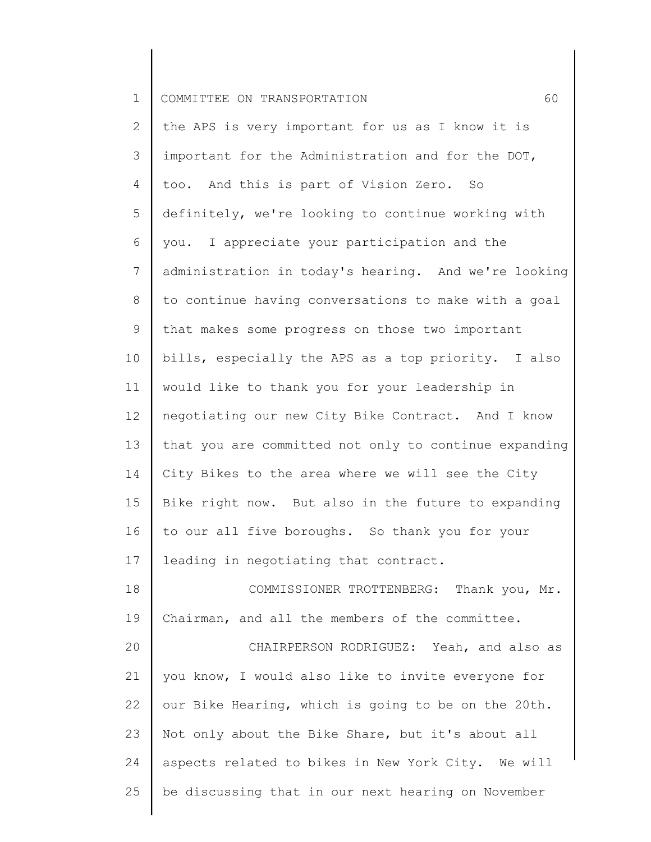| $\mathbf 1$     | 60<br>COMMITTEE ON TRANSPORTATION                     |
|-----------------|-------------------------------------------------------|
| $\mathbf{2}$    | the APS is very important for us as I know it is      |
| 3               | important for the Administration and for the DOT,     |
| 4               | too. And this is part of Vision Zero. So              |
| 5               | definitely, we're looking to continue working with    |
| 6               | you. I appreciate your participation and the          |
| 7               | administration in today's hearing. And we're looking  |
| 8               | to continue having conversations to make with a goal  |
| 9               | that makes some progress on those two important       |
| 10 <sub>o</sub> | bills, especially the APS as a top priority. I also   |
| 11              | would like to thank you for your leadership in        |
| 12              | negotiating our new City Bike Contract. And I know    |
| 13              | that you are committed not only to continue expanding |
| 14              | City Bikes to the area where we will see the City     |
| 15              | Bike right now. But also in the future to expanding   |
| 16              | to our all five boroughs. So thank you for your       |
| 17              | leading in negotiating that contract.                 |
| 18              | COMMISSIONER TROTTENBERG: Thank you, Mr.              |
| 19              | Chairman, and all the members of the committee.       |
| 20              | CHAIRPERSON RODRIGUEZ: Yeah, and also as              |
| 21              | you know, I would also like to invite everyone for    |
| 22              | our Bike Hearing, which is going to be on the 20th.   |
| 23              | Not only about the Bike Share, but it's about all     |
| 24              | aspects related to bikes in New York City. We will    |
| 25              | be discussing that in our next hearing on November    |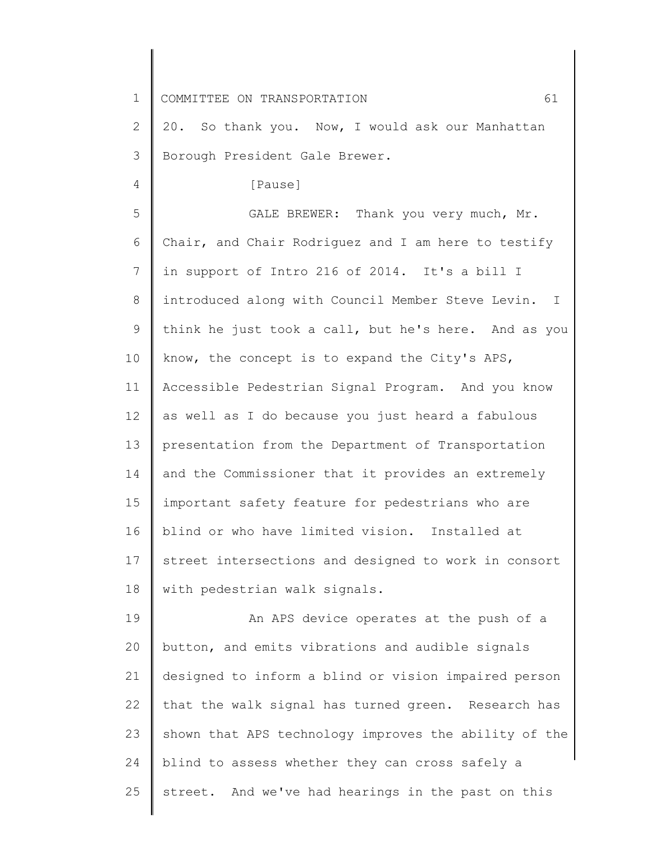4

2 3 20. So thank you. Now, I would ask our Manhattan Borough President Gale Brewer.

[Pause]

5 6 7 8 9 10 11 12 13 14 15 16 17 18 GALE BREWER: Thank you very much, Mr. Chair, and Chair Rodriguez and I am here to testify in support of Intro 216 of 2014. It's a bill I introduced along with Council Member Steve Levin. I think he just took a call, but he's here. And as you know, the concept is to expand the City's APS, Accessible Pedestrian Signal Program. And you know as well as I do because you just heard a fabulous presentation from the Department of Transportation and the Commissioner that it provides an extremely important safety feature for pedestrians who are blind or who have limited vision. Installed at street intersections and designed to work in consort with pedestrian walk signals.

19 20 21 22 23 24 25 An APS device operates at the push of a button, and emits vibrations and audible signals designed to inform a blind or vision impaired person that the walk signal has turned green. Research has shown that APS technology improves the ability of the blind to assess whether they can cross safely a street. And we've had hearings in the past on this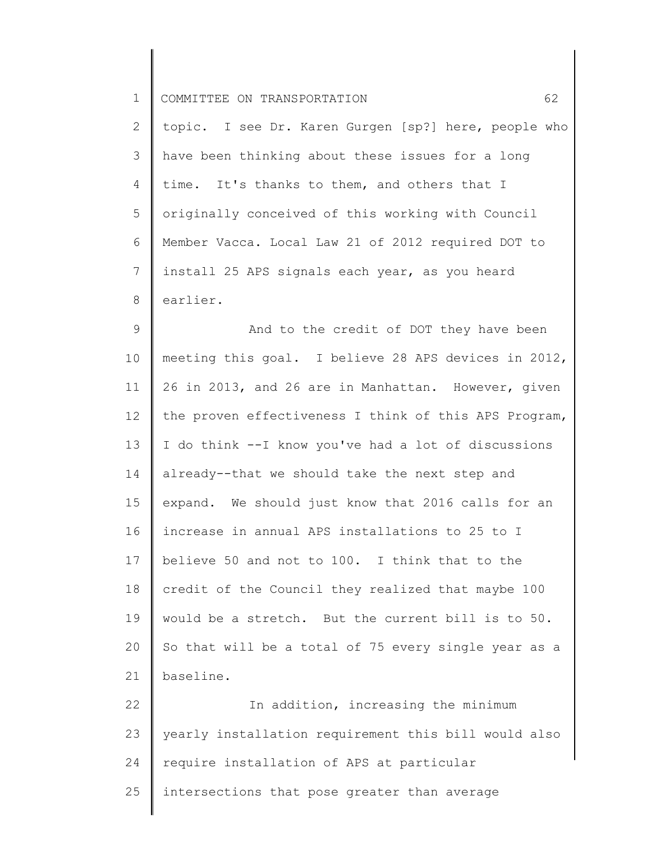| $\mathbf{I}$<br>ᅩ |  |  | COMMITTEE ON TRANSPORTATION |  |
|-------------------|--|--|-----------------------------|--|
|-------------------|--|--|-----------------------------|--|

2 3 4 5 6 7 8 topic. I see Dr. Karen Gurgen [sp?] here, people who have been thinking about these issues for a long time. It's thanks to them, and others that I originally conceived of this working with Council Member Vacca. Local Law 21 of 2012 required DOT to install 25 APS signals each year, as you heard earlier.

9 10 11 12 13 14 15 16 17 18 19 20 21 And to the credit of DOT they have been meeting this goal. I believe 28 APS devices in 2012, 26 in 2013, and 26 are in Manhattan. However, given the proven effectiveness I think of this APS Program, I do think --I know you've had a lot of discussions already--that we should take the next step and expand. We should just know that 2016 calls for an increase in annual APS installations to 25 to I believe 50 and not to 100. I think that to the credit of the Council they realized that maybe 100 would be a stretch. But the current bill is to 50. So that will be a total of 75 every single year as a baseline.

22 23 24 25 In addition, increasing the minimum yearly installation requirement this bill would also require installation of APS at particular intersections that pose greater than average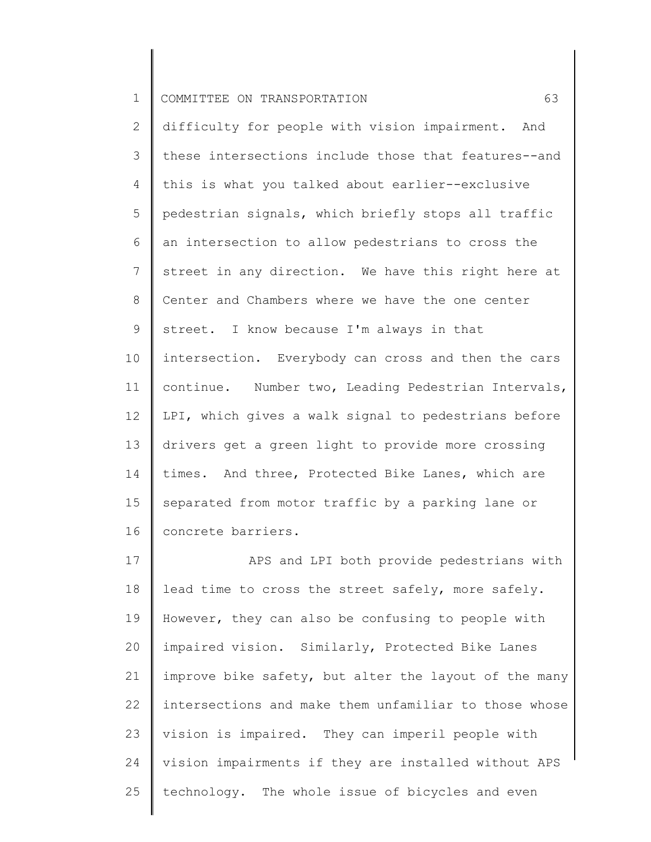2 3 4 5 6 7 8 9 10 11 12 13 14 15 16 difficulty for people with vision impairment. And these intersections include those that features--and this is what you talked about earlier--exclusive pedestrian signals, which briefly stops all traffic an intersection to allow pedestrians to cross the street in any direction. We have this right here at Center and Chambers where we have the one center street. I know because I'm always in that intersection. Everybody can cross and then the cars continue. Number two, Leading Pedestrian Intervals, LPI, which gives a walk signal to pedestrians before drivers get a green light to provide more crossing times. And three, Protected Bike Lanes, which are separated from motor traffic by a parking lane or concrete barriers.

17 18 19 20 21 22 23 24 25 APS and LPI both provide pedestrians with lead time to cross the street safely, more safely. However, they can also be confusing to people with impaired vision. Similarly, Protected Bike Lanes improve bike safety, but alter the layout of the many intersections and make them unfamiliar to those whose vision is impaired. They can imperil people with vision impairments if they are installed without APS technology. The whole issue of bicycles and even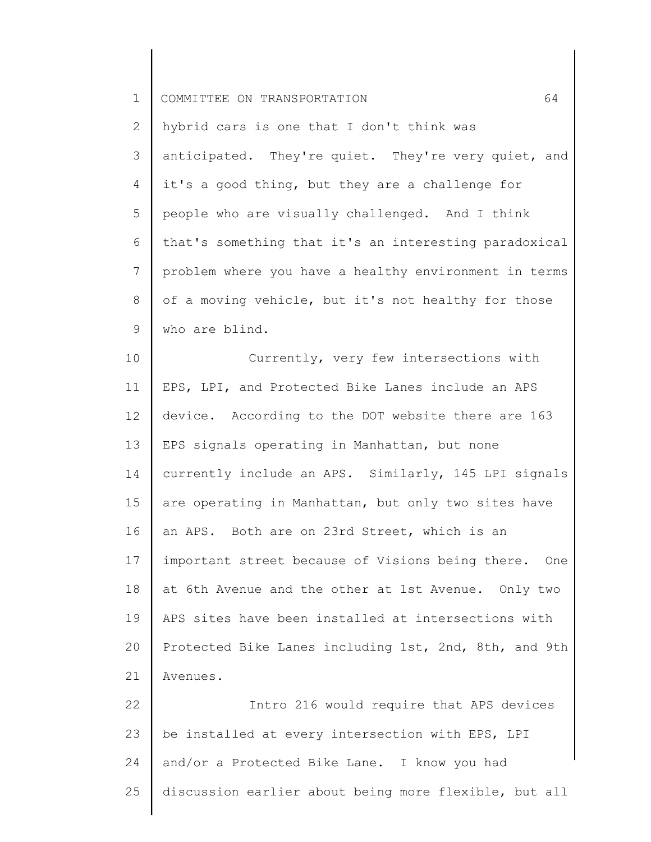| $\mathbf 1$    | 64<br>COMMITTEE ON TRANSPORTATION                     |
|----------------|-------------------------------------------------------|
| $\mathbf{2}$   | hybrid cars is one that I don't think was             |
| 3              | anticipated. They're quiet. They're very quiet, and   |
| 4              | it's a good thing, but they are a challenge for       |
| 5              | people who are visually challenged. And I think       |
| 6              | that's something that it's an interesting paradoxical |
| $\overline{7}$ | problem where you have a healthy environment in terms |
| 8              | of a moving vehicle, but it's not healthy for those   |
| $\mathsf 9$    | who are blind.                                        |
| 10             | Currently, very few intersections with                |
| 11             | EPS, LPI, and Protected Bike Lanes include an APS     |
| 12             | device. According to the DOT website there are 163    |
| 13             | EPS signals operating in Manhattan, but none          |
| 14             | currently include an APS. Similarly, 145 LPI signals  |
| 15             | are operating in Manhattan, but only two sites have   |
| 16             | an APS. Both are on 23rd Street, which is an          |
| 17             | important street because of Visions being there. One  |
| 18             | at 6th Avenue and the other at 1st Avenue. Only two   |
| 19             | APS sites have been installed at intersections with   |
| 20             | Protected Bike Lanes including 1st, 2nd, 8th, and 9th |
| 21             | Avenues.                                              |
| 22             | Intro 216 would require that APS devices              |
| 23             | be installed at every intersection with EPS, LPI      |
| 24             | and/or a Protected Bike Lane. I know you had          |
| 25             | discussion earlier about being more flexible, but all |

 $\begin{array}{c} \hline \end{array}$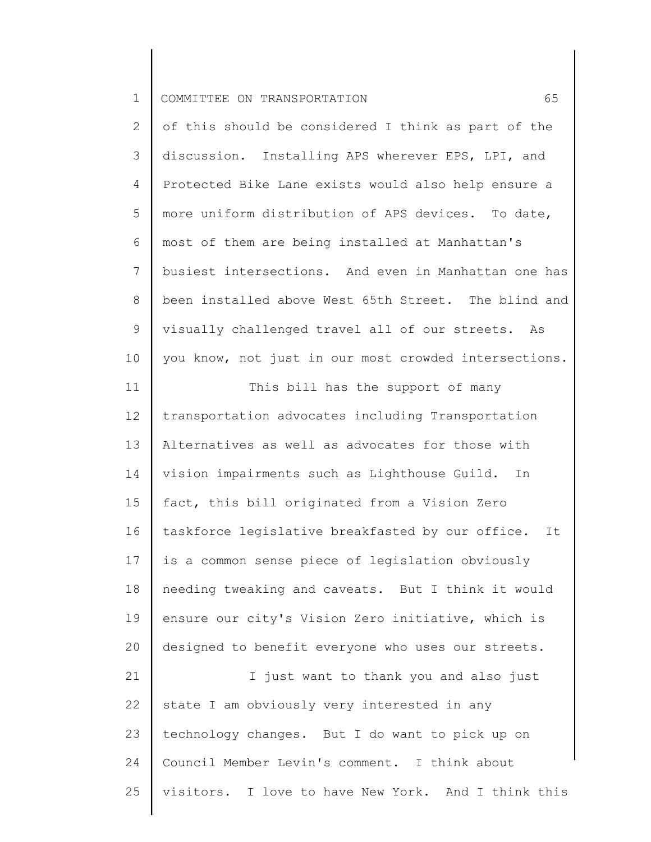| ᅩ |  |  | COMMITTEE ON TRANSPORTATION |  |
|---|--|--|-----------------------------|--|
|---|--|--|-----------------------------|--|

2 3 4 5 6 7 8 9 10 of this should be considered I think as part of the discussion. Installing APS wherever EPS, LPI, and Protected Bike Lane exists would also help ensure a more uniform distribution of APS devices. To date, most of them are being installed at Manhattan's busiest intersections. And even in Manhattan one has been installed above West 65th Street. The blind and visually challenged travel all of our streets. As you know, not just in our most crowded intersections.

11 12 13 14 15 16 17 18 19 20 This bill has the support of many transportation advocates including Transportation Alternatives as well as advocates for those with vision impairments such as Lighthouse Guild. In fact, this bill originated from a Vision Zero taskforce legislative breakfasted by our office. It is a common sense piece of legislation obviously needing tweaking and caveats. But I think it would ensure our city's Vision Zero initiative, which is designed to benefit everyone who uses our streets.

21 22 23 24 25 I just want to thank you and also just state I am obviously very interested in any technology changes. But I do want to pick up on Council Member Levin's comment. I think about visitors. I love to have New York. And I think this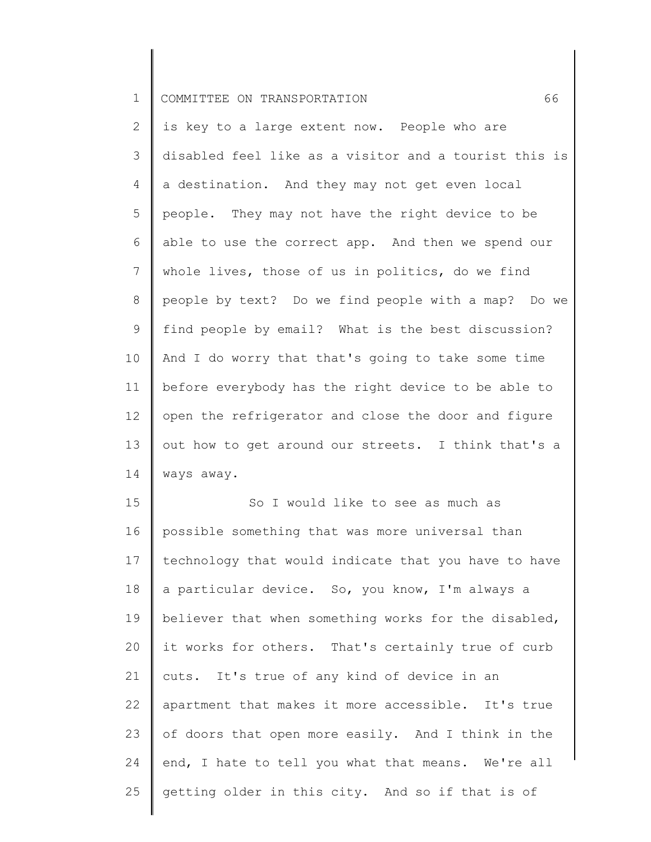2 3 4 5 6 7 8 9 10 11 12 13 14 is key to a large extent now. People who are disabled feel like as a visitor and a tourist this is a destination. And they may not get even local people. They may not have the right device to be able to use the correct app. And then we spend our whole lives, those of us in politics, do we find people by text? Do we find people with a map? Do we find people by email? What is the best discussion? And I do worry that that's going to take some time before everybody has the right device to be able to open the refrigerator and close the door and figure out how to get around our streets. I think that's a ways away.

15 16 17 18 19 20 21 22 23 24 25 So I would like to see as much as possible something that was more universal than technology that would indicate that you have to have a particular device. So, you know, I'm always a believer that when something works for the disabled, it works for others. That's certainly true of curb cuts. It's true of any kind of device in an apartment that makes it more accessible. It's true of doors that open more easily. And I think in the end, I hate to tell you what that means. We're all getting older in this city. And so if that is of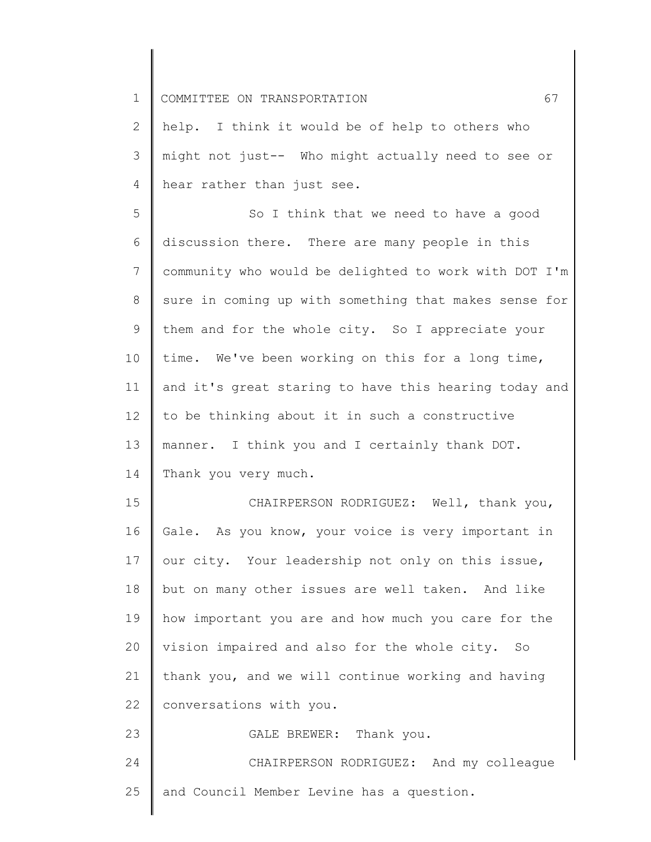2 3 4 help. I think it would be of help to others who might not just-- Who might actually need to see or hear rather than just see.

5 6 7 8 9 10 11 12 13 14 So I think that we need to have a good discussion there. There are many people in this community who would be delighted to work with DOT I'm sure in coming up with something that makes sense for them and for the whole city. So I appreciate your time. We've been working on this for a long time, and it's great staring to have this hearing today and to be thinking about it in such a constructive manner. I think you and I certainly thank DOT. Thank you very much.

15 16 17 18 19 20 21 22 23 CHAIRPERSON RODRIGUEZ: Well, thank you, Gale. As you know, your voice is very important in our city. Your leadership not only on this issue, but on many other issues are well taken. And like how important you are and how much you care for the vision impaired and also for the whole city. So thank you, and we will continue working and having conversations with you. GALE BREWER: Thank you.

25 and Council Member Levine has a question.

CHAIRPERSON RODRIGUEZ: And my colleague

24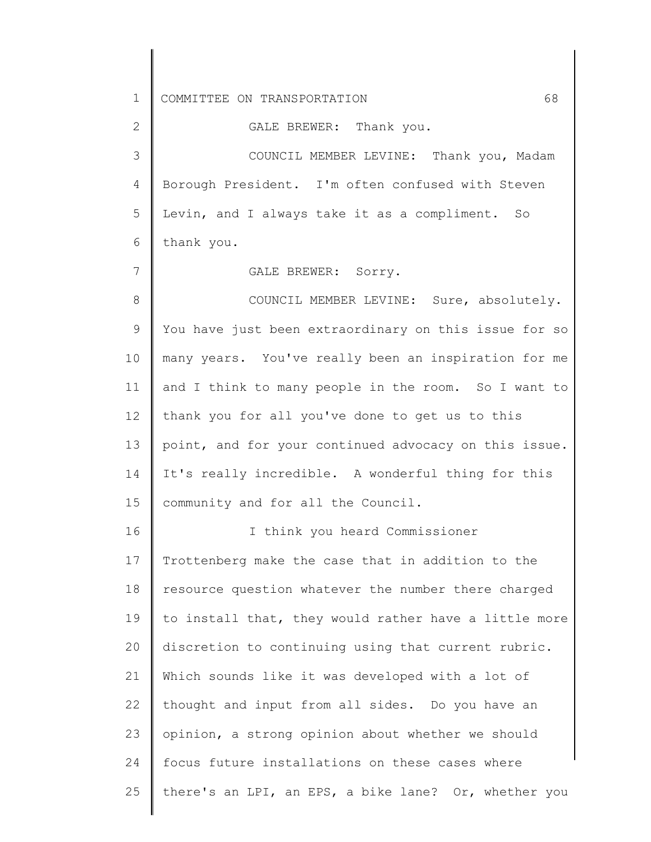7

2 3 4 5 6 GALE BREWER: Thank you. COUNCIL MEMBER LEVINE: Thank you, Madam Borough President. I'm often confused with Steven Levin, and I always take it as a compliment. So thank you.

GALE BREWER: Sorry.

8 9 10 11 12 13 14 15 COUNCIL MEMBER LEVINE: Sure, absolutely. You have just been extraordinary on this issue for so many years. You've really been an inspiration for me and I think to many people in the room. So I want to thank you for all you've done to get us to this point, and for your continued advocacy on this issue. It's really incredible. A wonderful thing for this community and for all the Council.

16 17 18 19 20 21 22 23 24 25 I think you heard Commissioner Trottenberg make the case that in addition to the resource question whatever the number there charged to install that, they would rather have a little more discretion to continuing using that current rubric. Which sounds like it was developed with a lot of thought and input from all sides. Do you have an opinion, a strong opinion about whether we should focus future installations on these cases where there's an LPI, an EPS, a bike lane? Or, whether you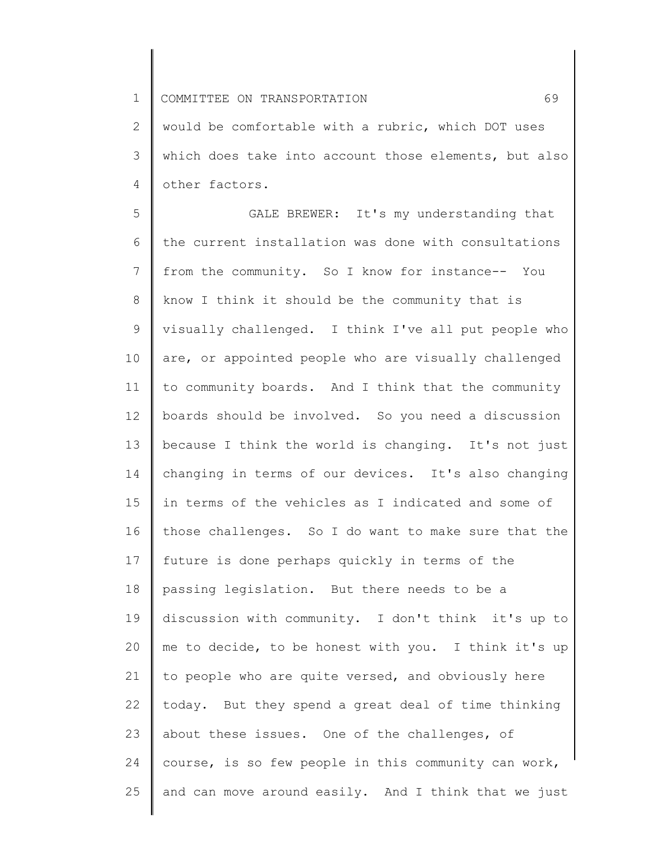2 3 4 would be comfortable with a rubric, which DOT uses which does take into account those elements, but also other factors.

5 6 7 8 9 10 11 12 13 14 15 16 17 18 19 20 21 22 23 24 25 GALE BREWER: It's my understanding that the current installation was done with consultations from the community. So I know for instance-- You know I think it should be the community that is visually challenged. I think I've all put people who are, or appointed people who are visually challenged to community boards. And I think that the community boards should be involved. So you need a discussion because I think the world is changing. It's not just changing in terms of our devices. It's also changing in terms of the vehicles as I indicated and some of those challenges. So I do want to make sure that the future is done perhaps quickly in terms of the passing legislation. But there needs to be a discussion with community. I don't think it's up to me to decide, to be honest with you. I think it's up to people who are quite versed, and obviously here today. But they spend a great deal of time thinking about these issues. One of the challenges, of course, is so few people in this community can work, and can move around easily. And I think that we just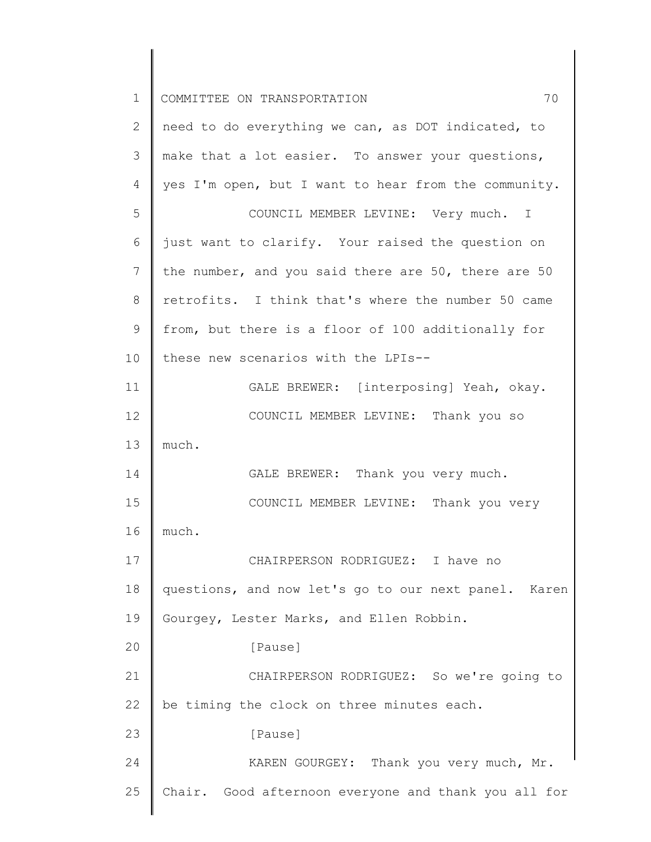| $\mathbf 1$ | 70<br>COMMITTEE ON TRANSPORTATION                        |
|-------------|----------------------------------------------------------|
| 2           | need to do everything we can, as DOT indicated, to       |
| 3           | make that a lot easier. To answer your questions,        |
| 4           | yes I'm open, but I want to hear from the community.     |
| 5           | COUNCIL MEMBER LEVINE: Very much. I                      |
| 6           | just want to clarify. Your raised the question on        |
| 7           | the number, and you said there are $50$ , there are $50$ |
| 8           | retrofits. I think that's where the number 50 came       |
| 9           | from, but there is a floor of 100 additionally for       |
| 10          | these new scenarios with the LPIs--                      |
| 11          | GALE BREWER: [interposing] Yeah, okay.                   |
| 12          | COUNCIL MEMBER LEVINE: Thank you so                      |
| 13          | much.                                                    |
| 14          | GALE BREWER: Thank you very much.                        |
| 15          | COUNCIL MEMBER LEVINE: Thank you very                    |
| 16          | much.                                                    |
| 17          | CHAIRPERSON RODRIGUEZ: I have no                         |
| 18          | questions, and now let's go to our next panel. Karen     |
| 19          | Gourgey, Lester Marks, and Ellen Robbin.                 |
| 20          | [Pause]                                                  |
| 21          | CHAIRPERSON RODRIGUEZ: So we're going to                 |
| 22          | be timing the clock on three minutes each.               |
| 23          | [Pause]                                                  |
| 24          | KAREN GOURGEY: Thank you very much, Mr.                  |
| 25          | Chair. Good afternoon everyone and thank you all for     |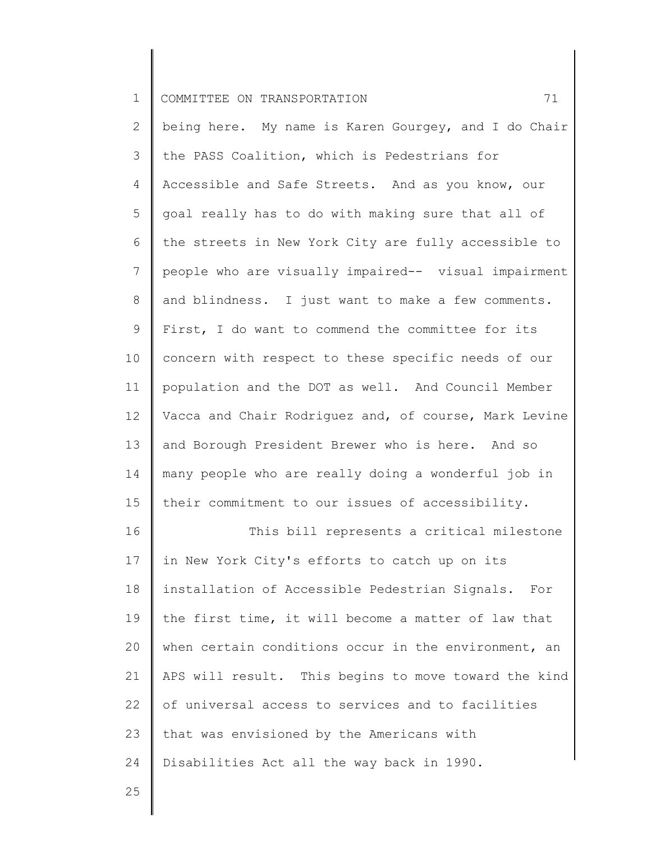2 3 4 5 6 7 8 9 10 11 12 13 14 15 16 17 18 19 20 21 22 being here. My name is Karen Gourgey, and I do Chair the PASS Coalition, which is Pedestrians for Accessible and Safe Streets. And as you know, our goal really has to do with making sure that all of the streets in New York City are fully accessible to people who are visually impaired-- visual impairment and blindness. I just want to make a few comments. First, I do want to commend the committee for its concern with respect to these specific needs of our population and the DOT as well. And Council Member Vacca and Chair Rodriguez and, of course, Mark Levine and Borough President Brewer who is here. And so many people who are really doing a wonderful job in their commitment to our issues of accessibility. This bill represents a critical milestone in New York City's efforts to catch up on its installation of Accessible Pedestrian Signals. For the first time, it will become a matter of law that when certain conditions occur in the environment, an APS will result. This begins to move toward the kind of universal access to services and to facilities

24 Disabilities Act all the way back in 1990.

that was envisioned by the Americans with

25

23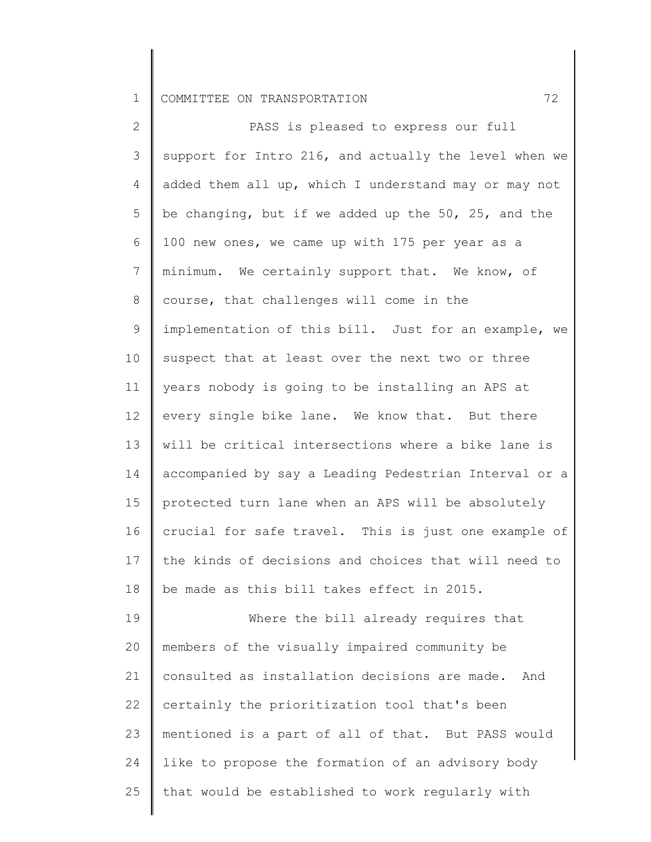| $\overline{2}$ | PASS is pleased to express our full                   |
|----------------|-------------------------------------------------------|
| 3              | support for Intro 216, and actually the level when we |
| $\overline{4}$ | added them all up, which I understand may or may not  |
| 5              | be changing, but if we added up the 50, 25, and the   |
| 6              | 100 new ones, we came up with 175 per year as a       |
| 7              | minimum. We certainly support that. We know, of       |
| $8\,$          | course, that challenges will come in the              |
| $\mathsf 9$    | implementation of this bill. Just for an example, we  |
| 10             | suspect that at least over the next two or three      |
| 11             | years nobody is going to be installing an APS at      |
| 12             | every single bike lane. We know that. But there       |
| 13             | will be critical intersections where a bike lane is   |
| 14             | accompanied by say a Leading Pedestrian Interval or a |
| 15             | protected turn lane when an APS will be absolutely    |
| 16             | crucial for safe travel. This is just one example of  |
| 17             | the kinds of decisions and choices that will need to  |
| 18             | be made as this bill takes effect in 2015.            |
| 19             | Where the bill already requires that                  |
| 20             | members of the visually impaired community be         |
| 21             | consulted as installation decisions are made.<br>And  |
| 22             | certainly the prioritization tool that's been         |
| 23             | mentioned is a part of all of that. But PASS would    |
| 24             | like to propose the formation of an advisory body     |
| 25             | that would be established to work regularly with      |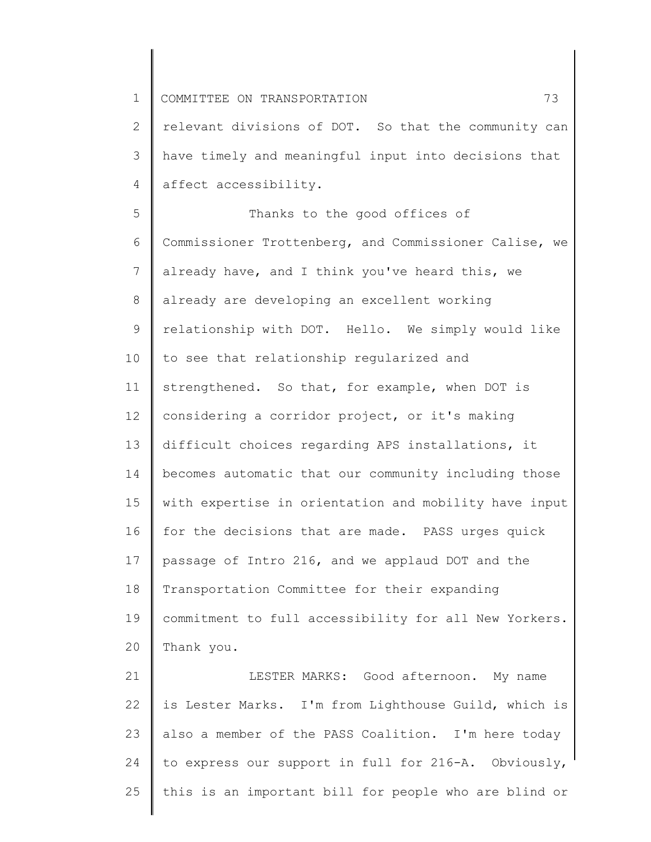2 3 4 relevant divisions of DOT. So that the community can have timely and meaningful input into decisions that affect accessibility.

5 6 7 8 9 10 11 12 13 14 15 16 17 18 19 20 Thanks to the good offices of Commissioner Trottenberg, and Commissioner Calise, we already have, and I think you've heard this, we already are developing an excellent working relationship with DOT. Hello. We simply would like to see that relationship regularized and strengthened. So that, for example, when DOT is considering a corridor project, or it's making difficult choices regarding APS installations, it becomes automatic that our community including those with expertise in orientation and mobility have input for the decisions that are made. PASS urges quick passage of Intro 216, and we applaud DOT and the Transportation Committee for their expanding commitment to full accessibility for all New Yorkers. Thank you.

21 22 23 24 25 LESTER MARKS: Good afternoon. My name is Lester Marks. I'm from Lighthouse Guild, which is also a member of the PASS Coalition. I'm here today to express our support in full for 216-A. Obviously, this is an important bill for people who are blind or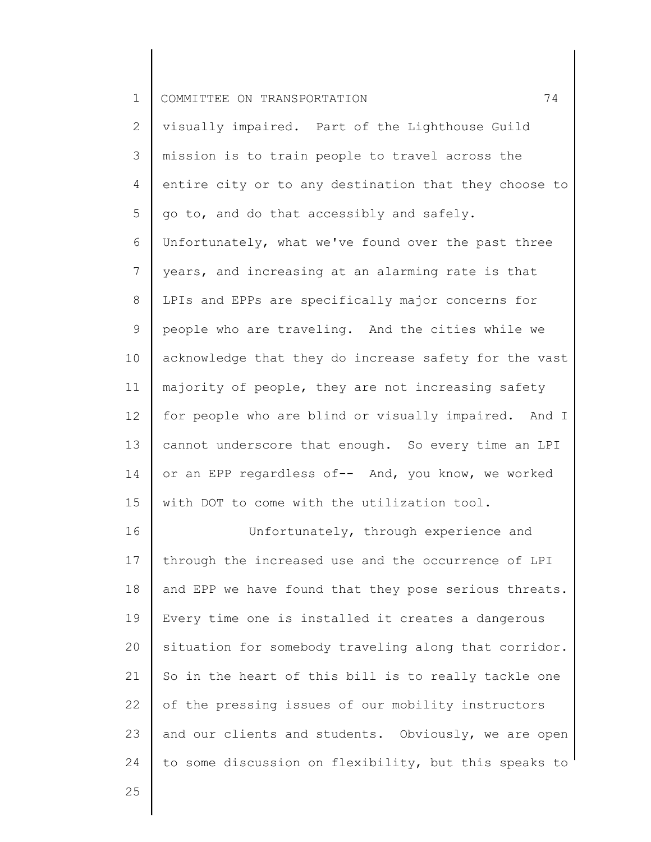| ᅩ | $\mathsf{I}$ ( |  | COMMITTEE ON TRANSPORTATION |  |
|---|----------------|--|-----------------------------|--|
|---|----------------|--|-----------------------------|--|

2 3 4 5 6 7 8 9 10 11 12 13 14 15 visually impaired. Part of the Lighthouse Guild mission is to train people to travel across the entire city or to any destination that they choose to go to, and do that accessibly and safely. Unfortunately, what we've found over the past three years, and increasing at an alarming rate is that LPIs and EPPs are specifically major concerns for people who are traveling. And the cities while we acknowledge that they do increase safety for the vast majority of people, they are not increasing safety for people who are blind or visually impaired. And I cannot underscore that enough. So every time an LPI or an EPP regardless of-- And, you know, we worked with DOT to come with the utilization tool.

16 17 18 19 20 21 22 23 24 Unfortunately, through experience and through the increased use and the occurrence of LPI and EPP we have found that they pose serious threats. Every time one is installed it creates a dangerous situation for somebody traveling along that corridor. So in the heart of this bill is to really tackle one of the pressing issues of our mobility instructors and our clients and students. Obviously, we are open to some discussion on flexibility, but this speaks to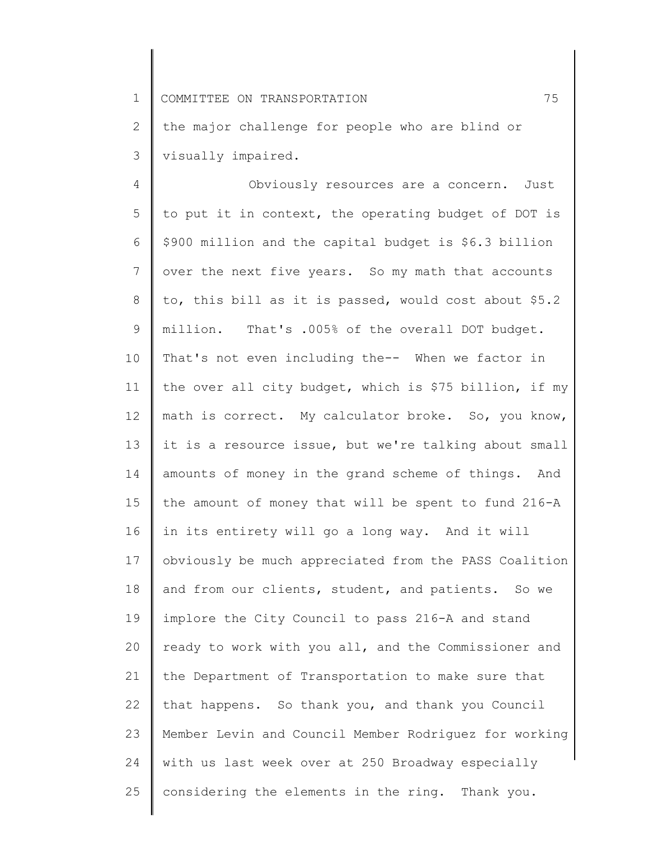2 3 the major challenge for people who are blind or visually impaired.

4 5 6 7 8 9 10 11 12 13 14 15 16 17 18 19 20 21 22 23 24 25 Obviously resources are a concern. Just to put it in context, the operating budget of DOT is \$900 million and the capital budget is \$6.3 billion over the next five years. So my math that accounts to, this bill as it is passed, would cost about \$5.2 million. That's .005% of the overall DOT budget. That's not even including the-- When we factor in the over all city budget, which is \$75 billion, if my math is correct. My calculator broke. So, you know, it is a resource issue, but we're talking about small amounts of money in the grand scheme of things. And the amount of money that will be spent to fund 216-A in its entirety will go a long way. And it will obviously be much appreciated from the PASS Coalition and from our clients, student, and patients. So we implore the City Council to pass 216-A and stand ready to work with you all, and the Commissioner and the Department of Transportation to make sure that that happens. So thank you, and thank you Council Member Levin and Council Member Rodriguez for working with us last week over at 250 Broadway especially considering the elements in the ring. Thank you.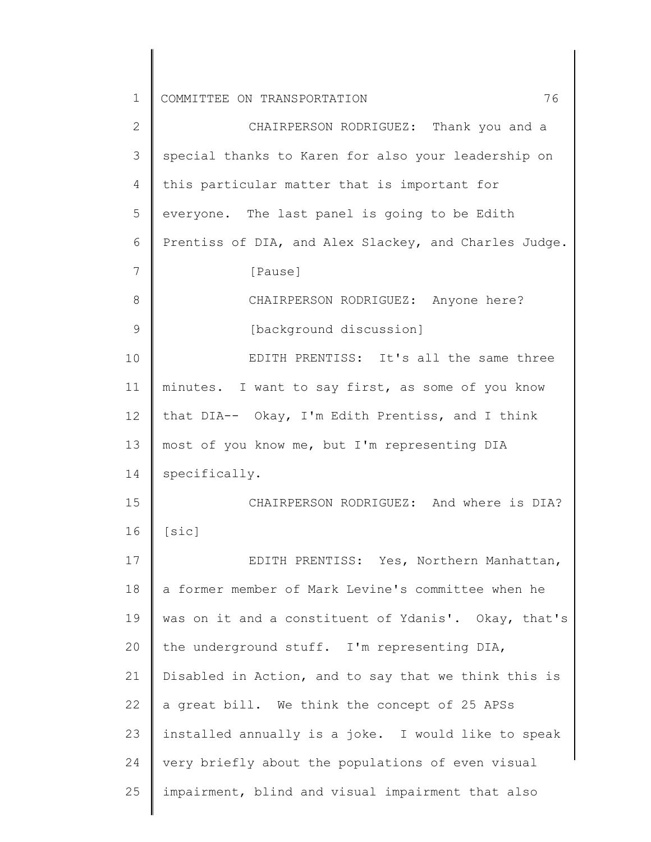1 2 3 4 5 6 7 8 9 10 11 12 13 14 15 16 17 18 19 20 21 22 23 24 25 COMMITTEE ON TRANSPORTATION 76 CHAIRPERSON RODRIGUEZ: Thank you and a special thanks to Karen for also your leadership on this particular matter that is important for everyone. The last panel is going to be Edith Prentiss of DIA, and Alex Slackey, and Charles Judge. [Pause] CHAIRPERSON RODRIGUEZ: Anyone here? [background discussion] EDITH PRENTISS: It's all the same three minutes. I want to say first, as some of you know that DIA-- Okay, I'm Edith Prentiss, and I think most of you know me, but I'm representing DIA specifically. CHAIRPERSON RODRIGUEZ: And where is DIA? [sic] EDITH PRENTISS: Yes, Northern Manhattan, a former member of Mark Levine's committee when he was on it and a constituent of Ydanis'. Okay, that's the underground stuff. I'm representing DIA, Disabled in Action, and to say that we think this is a great bill. We think the concept of 25 APSs installed annually is a joke. I would like to speak very briefly about the populations of even visual impairment, blind and visual impairment that also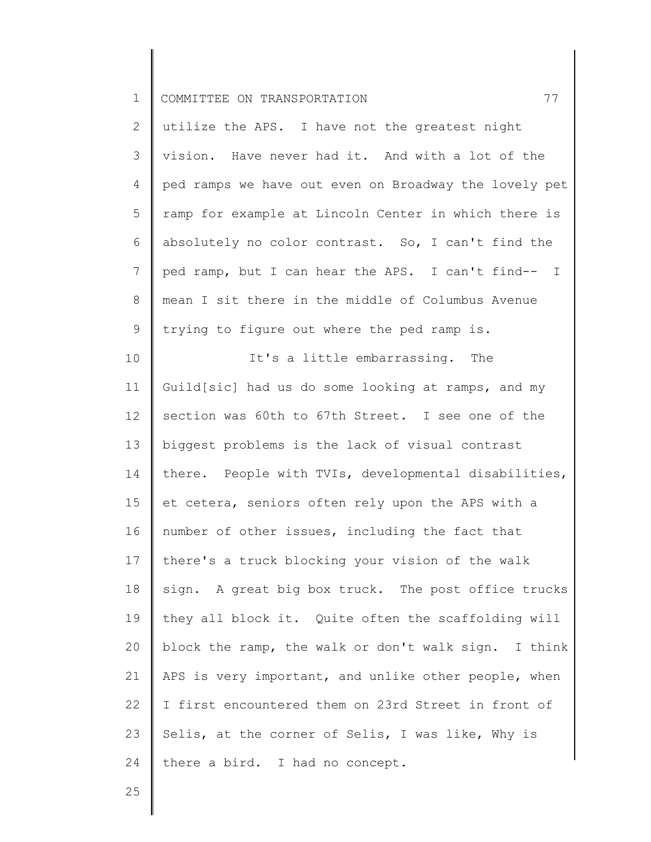| ᅩ | $\mathbf{I}$ | COMMITTEE ON TRANSPORTATION | - - |
|---|--------------|-----------------------------|-----|
|   |              |                             |     |

║

| $\mathbf{2}$    | utilize the APS. I have not the greatest night                   |
|-----------------|------------------------------------------------------------------|
| 3               | vision. Have never had it. And with a lot of the                 |
| 4               | ped ramps we have out even on Broadway the lovely pet            |
| 5               | ramp for example at Lincoln Center in which there is             |
| 6               | absolutely no color contrast. So, I can't find the               |
| $7\phantom{.0}$ | ped ramp, but I can hear the APS. I can't find--<br>$\mathbb{I}$ |
| 8               | mean I sit there in the middle of Columbus Avenue                |
| 9               | trying to figure out where the ped ramp is.                      |
| 10              | It's a little embarrassing. The                                  |
| 11              | Guild[sic] had us do some looking at ramps, and my               |
| 12              | section was 60th to 67th Street. I see one of the                |
| 13              | biggest problems is the lack of visual contrast                  |
| 14              | there. People with TVIs, developmental disabilities,             |
| 15              | et cetera, seniors often rely upon the APS with a                |
| 16              | number of other issues, including the fact that                  |
| 17              | there's a truck blocking your vision of the walk                 |
| 18              | sign. A great big box truck. The post office trucks              |
| 19              | they all block it. Quite often the scaffolding will              |
| 20              | block the ramp, the walk or don't walk sign. I think             |
| 21              | APS is very important, and unlike other people, when             |
| 22              | I first encountered them on 23rd Street in front of              |
| 23              | Selis, at the corner of Selis, I was like, Why is                |
| 24              | there a bird. I had no concept.                                  |
|                 |                                                                  |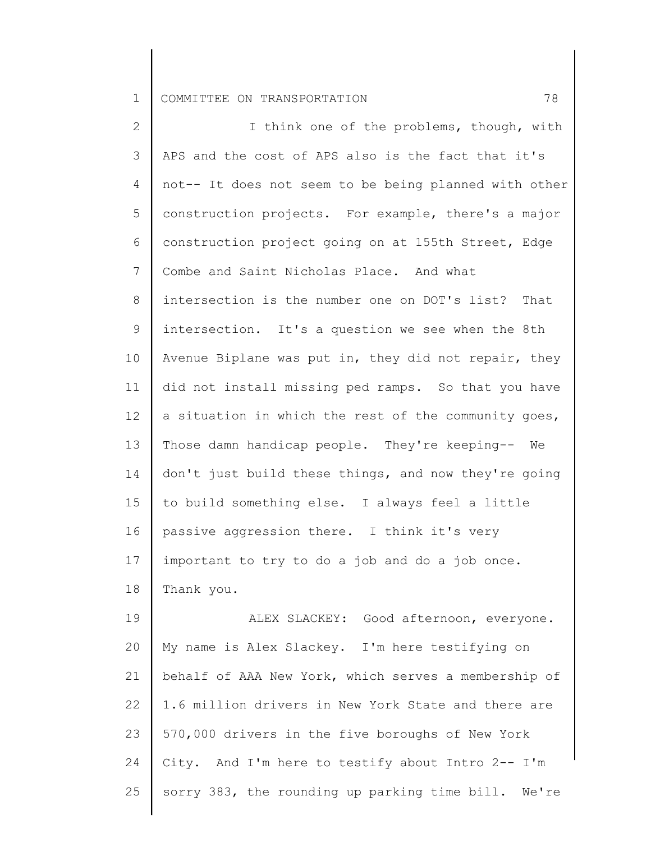25

2 3 4 5 6 7 8 9 10 11 12 13 14 15 16 17 18 19 20 21 22 23 24 I think one of the problems, though, with APS and the cost of APS also is the fact that it's not-- It does not seem to be being planned with other construction projects. For example, there's a major construction project going on at 155th Street, Edge Combe and Saint Nicholas Place. And what intersection is the number one on DOT's list? That intersection. It's a question we see when the 8th Avenue Biplane was put in, they did not repair, they did not install missing ped ramps. So that you have a situation in which the rest of the community goes, Those damn handicap people. They're keeping-- We don't just build these things, and now they're going to build something else. I always feel a little passive aggression there. I think it's very important to try to do a job and do a job once. Thank you. ALEX SLACKEY: Good afternoon, everyone. My name is Alex Slackey. I'm here testifying on behalf of AAA New York, which serves a membership of 1.6 million drivers in New York State and there are 570,000 drivers in the five boroughs of New York City. And I'm here to testify about Intro 2-- I'm

sorry 383, the rounding up parking time bill. We're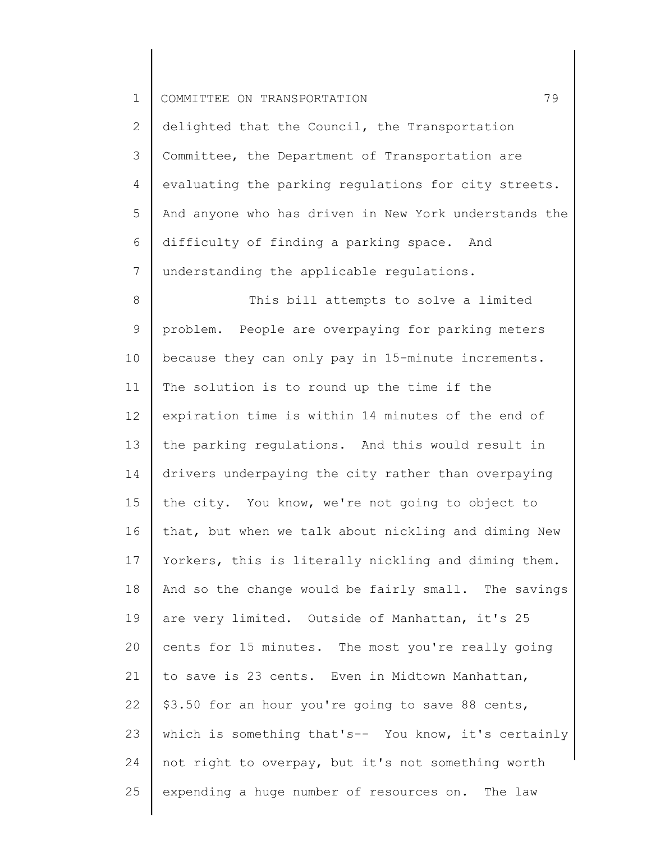2 3 4 5 6 7 delighted that the Council, the Transportation Committee, the Department of Transportation are evaluating the parking regulations for city streets. And anyone who has driven in New York understands the difficulty of finding a parking space. And understanding the applicable regulations.

8 9 10 11 12 13 14 15 16 17 18 19 20 21 22 23 24 25 This bill attempts to solve a limited problem. People are overpaying for parking meters because they can only pay in 15-minute increments. The solution is to round up the time if the expiration time is within 14 minutes of the end of the parking regulations. And this would result in drivers underpaying the city rather than overpaying the city. You know, we're not going to object to that, but when we talk about nickling and diming New Yorkers, this is literally nickling and diming them. And so the change would be fairly small. The savings are very limited. Outside of Manhattan, it's 25 cents for 15 minutes. The most you're really going to save is 23 cents. Even in Midtown Manhattan, \$3.50 for an hour you're going to save 88 cents, which is something that's-- You know, it's certainly not right to overpay, but it's not something worth expending a huge number of resources on. The law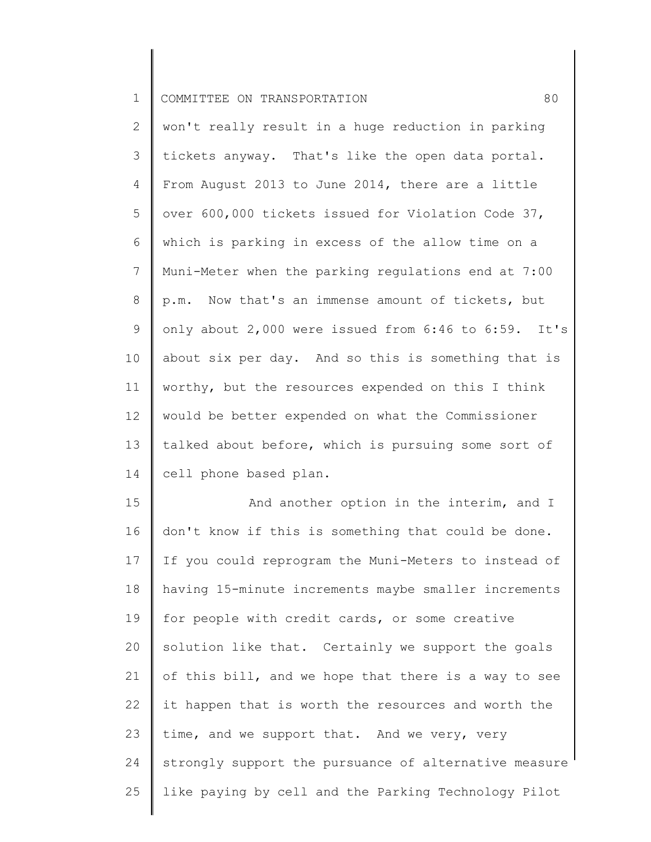2 3 4 5 6 7 8 9 10 11 12 13 14 won't really result in a huge reduction in parking tickets anyway. That's like the open data portal. From August 2013 to June 2014, there are a little over 600,000 tickets issued for Violation Code 37, which is parking in excess of the allow time on a Muni-Meter when the parking regulations end at 7:00 p.m. Now that's an immense amount of tickets, but only about 2,000 were issued from 6:46 to 6:59. It's about six per day. And so this is something that is worthy, but the resources expended on this I think would be better expended on what the Commissioner talked about before, which is pursuing some sort of cell phone based plan.

15 16 17 18 19 20 21 22 23 24 25 And another option in the interim, and I don't know if this is something that could be done. If you could reprogram the Muni-Meters to instead of having 15-minute increments maybe smaller increments for people with credit cards, or some creative solution like that. Certainly we support the goals of this bill, and we hope that there is a way to see it happen that is worth the resources and worth the time, and we support that. And we very, very strongly support the pursuance of alternative measure like paying by cell and the Parking Technology Pilot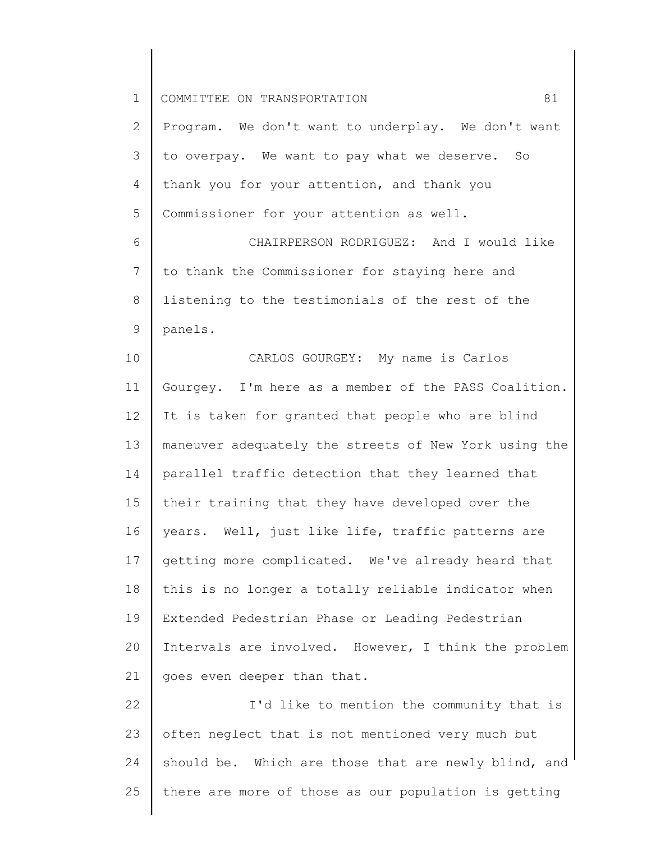1 2 3 4 5 6 7 8 9 10 11 12 13 14 15 16 17 18 19 20 21 22 23 24 25 COMMITTEE ON TRANSPORTATION 61 Program. We don't want to underplay. We don't want to overpay. We want to pay what we deserve. So thank you for your attention, and thank you Commissioner for your attention as well. CHAIRPERSON RODRIGUEZ: And I would like to thank the Commissioner for staying here and listening to the testimonials of the rest of the panels. CARLOS GOURGEY: My name is Carlos Gourgey. I'm here as a member of the PASS Coalition. It is taken for granted that people who are blind maneuver adequately the streets of New York using the parallel traffic detection that they learned that their training that they have developed over the years. Well, just like life, traffic patterns are getting more complicated. We've already heard that this is no longer a totally reliable indicator when Extended Pedestrian Phase or Leading Pedestrian Intervals are involved. However, I think the problem goes even deeper than that. I'd like to mention the community that is often neglect that is not mentioned very much but should be. Which are those that are newly blind, and there are more of those as our population is getting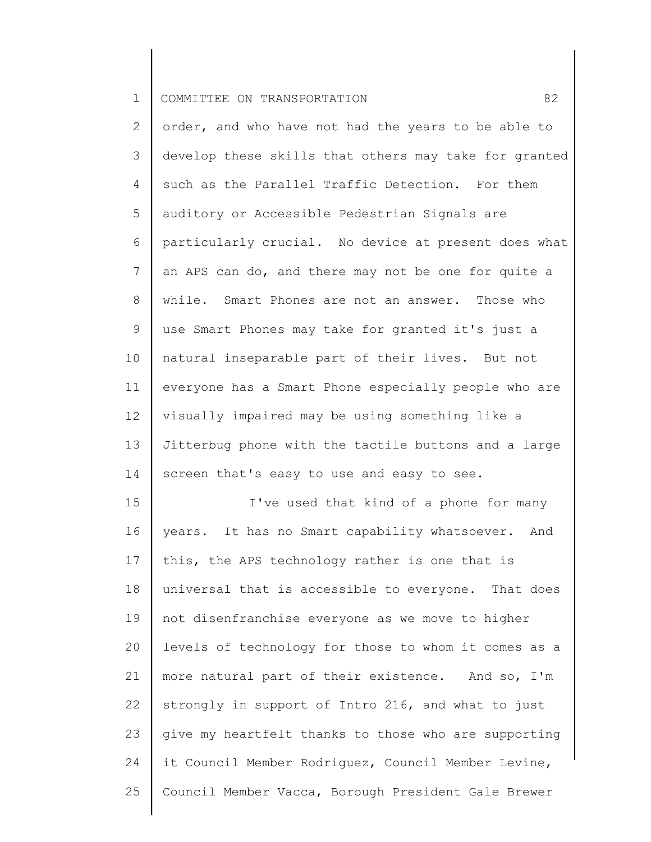2 3 4 5 6 7 8 9 10 11 12 13 14 order, and who have not had the years to be able to develop these skills that others may take for granted such as the Parallel Traffic Detection. For them auditory or Accessible Pedestrian Signals are particularly crucial. No device at present does what an APS can do, and there may not be one for quite a while. Smart Phones are not an answer. Those who use Smart Phones may take for granted it's just a natural inseparable part of their lives. But not everyone has a Smart Phone especially people who are visually impaired may be using something like a Jitterbug phone with the tactile buttons and a large screen that's easy to use and easy to see.

15 16 17 18 19 20 21 22 23 24 25 I've used that kind of a phone for many years. It has no Smart capability whatsoever. And this, the APS technology rather is one that is universal that is accessible to everyone. That does not disenfranchise everyone as we move to higher levels of technology for those to whom it comes as a more natural part of their existence. And so, I'm strongly in support of Intro 216, and what to just give my heartfelt thanks to those who are supporting it Council Member Rodriguez, Council Member Levine, Council Member Vacca, Borough President Gale Brewer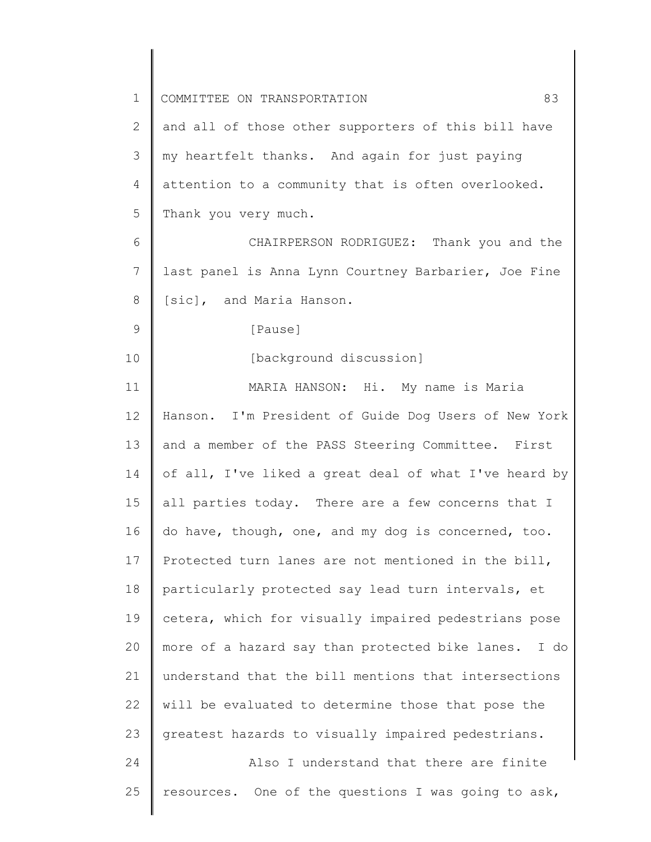| $\mathbf 1$    | COMMITTEE ON TRANSPORTATION<br>83                     |
|----------------|-------------------------------------------------------|
| 2              | and all of those other supporters of this bill have   |
| 3              | my heartfelt thanks. And again for just paying        |
| $\overline{4}$ | attention to a community that is often overlooked.    |
| 5              | Thank you very much.                                  |
| 6              | CHAIRPERSON RODRIGUEZ: Thank you and the              |
| 7              | last panel is Anna Lynn Courtney Barbarier, Joe Fine  |
| 8              | [sic], and Maria Hanson.                              |
| $\mathsf 9$    | [Pause]                                               |
| 10             | [background discussion]                               |
| 11             | MARIA HANSON: Hi. My name is Maria                    |
| 12             | Hanson. I'm President of Guide Dog Users of New York  |
| 13             | and a member of the PASS Steering Committee. First    |
| 14             | of all, I've liked a great deal of what I've heard by |
| 15             | all parties today. There are a few concerns that I    |
| 16             | do have, though, one, and my dog is concerned, too.   |
| 17             | Protected turn lanes are not mentioned in the bill,   |
| 18             | particularly protected say lead turn intervals, et    |
| 19             | cetera, which for visually impaired pedestrians pose  |
| 20             | more of a hazard say than protected bike lanes. I do  |
| 21             | understand that the bill mentions that intersections  |
| 22             | will be evaluated to determine those that pose the    |
| 23             | greatest hazards to visually impaired pedestrians.    |
| 24             | Also I understand that there are finite               |
| 25             | resources. One of the questions I was going to ask,   |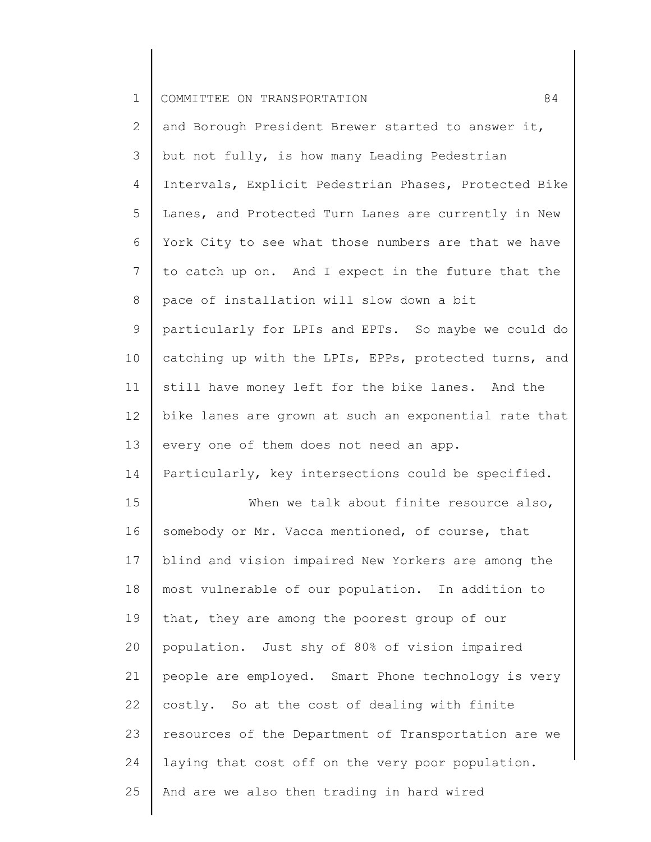| $\mathbf 1$    | 84<br>COMMITTEE ON TRANSPORTATION                     |
|----------------|-------------------------------------------------------|
| $\overline{2}$ | and Borough President Brewer started to answer it,    |
| 3              | but not fully, is how many Leading Pedestrian         |
| 4              | Intervals, Explicit Pedestrian Phases, Protected Bike |
| 5              | Lanes, and Protected Turn Lanes are currently in New  |
| 6              | York City to see what those numbers are that we have  |
| $\overline{7}$ | to catch up on. And I expect in the future that the   |
| 8              | pace of installation will slow down a bit             |
| 9              | particularly for LPIs and EPTs. So maybe we could do  |
| 10             | catching up with the LPIs, EPPs, protected turns, and |
| 11             | still have money left for the bike lanes. And the     |
| 12             | bike lanes are grown at such an exponential rate that |
| 13             | every one of them does not need an app.               |
| 14             | Particularly, key intersections could be specified.   |
| 15             | When we talk about finite resource also,              |
| 16             | somebody or Mr. Vacca mentioned, of course, that      |
| 17             | blind and vision impaired New Yorkers are among the   |
| 18             | most vulnerable of our population. In addition to     |
| 19             | that, they are among the poorest group of our         |
| 20             | population. Just shy of 80% of vision impaired        |
| 21             | people are employed. Smart Phone technology is very   |
| 22             | costly. So at the cost of dealing with finite         |
| 23             | resources of the Department of Transportation are we  |
| 24             | laying that cost off on the very poor population.     |
| 25             | And are we also then trading in hard wired            |
|                |                                                       |

 $\begin{array}{c} \hline \end{array}$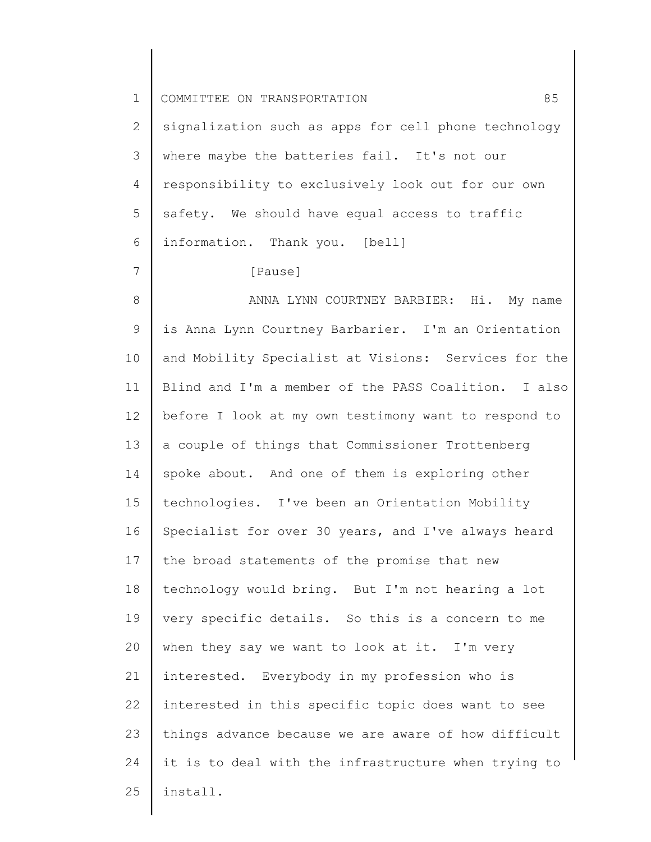| $\mathbf 1$    | 85<br>COMMITTEE ON TRANSPORTATION                    |
|----------------|------------------------------------------------------|
| $\mathbf{2}$   | signalization such as apps for cell phone technology |
| 3              | where maybe the batteries fail. It's not our         |
| $\overline{4}$ | responsibility to exclusively look out for our own   |
| 5              | safety. We should have equal access to traffic       |
| 6              | information. Thank you. [bell]                       |
| 7              | [Pause]                                              |
| $8\,$          | ANNA LYNN COURTNEY BARBIER: Hi. My name              |
| $\mathsf 9$    | is Anna Lynn Courtney Barbarier. I'm an Orientation  |
| 10             | and Mobility Specialist at Visions: Services for the |
| 11             | Blind and I'm a member of the PASS Coalition. I also |
| 12             | before I look at my own testimony want to respond to |
| 13             | a couple of things that Commissioner Trottenberg     |
| 14             | spoke about. And one of them is exploring other      |
| 15             | technologies. I've been an Orientation Mobility      |
| 16             | Specialist for over 30 years, and I've always heard  |
| 17             | the broad statements of the promise that new         |
| 18             | technology would bring. But I'm not hearing a lot    |
| 19             | very specific details. So this is a concern to me    |
| 20             | when they say we want to look at it. I'm very        |
| 21             | interested. Everybody in my profession who is        |
| 22             | interested in this specific topic does want to see   |
| 23             | things advance because we are aware of how difficult |
| 24             | it is to deal with the infrastructure when trying to |
| 25             | install.                                             |
|                |                                                      |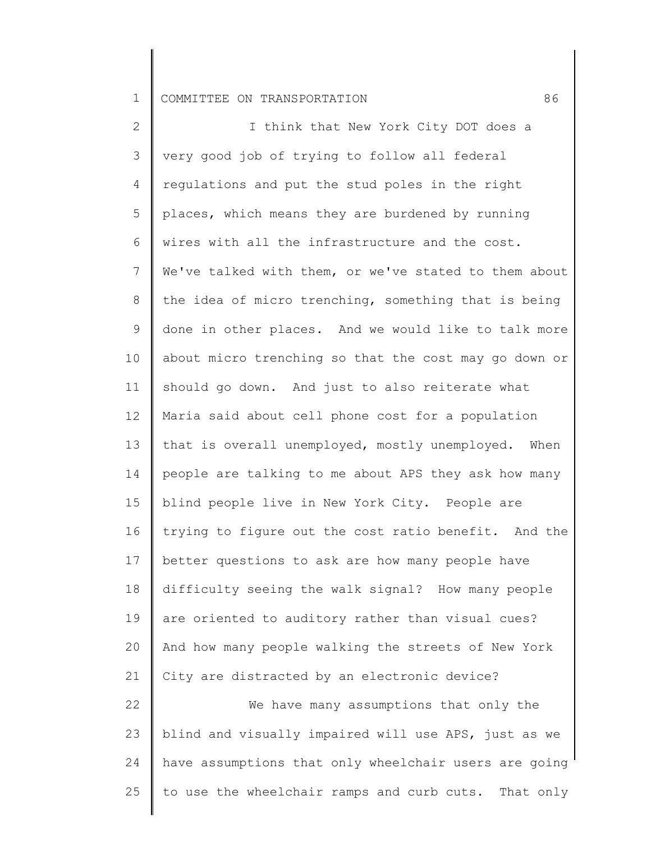2 3 4 5 6 7 8 9 10 11 12 13 14 15 16 17 18 19 20 21 22 23 24 25 I think that New York City DOT does a very good job of trying to follow all federal regulations and put the stud poles in the right places, which means they are burdened by running wires with all the infrastructure and the cost. We've talked with them, or we've stated to them about the idea of micro trenching, something that is being done in other places. And we would like to talk more about micro trenching so that the cost may go down or should go down. And just to also reiterate what Maria said about cell phone cost for a population that is overall unemployed, mostly unemployed. When people are talking to me about APS they ask how many blind people live in New York City. People are trying to figure out the cost ratio benefit. And the better questions to ask are how many people have difficulty seeing the walk signal? How many people are oriented to auditory rather than visual cues? And how many people walking the streets of New York City are distracted by an electronic device? We have many assumptions that only the blind and visually impaired will use APS, just as we have assumptions that only wheelchair users are going to use the wheelchair ramps and curb cuts. That only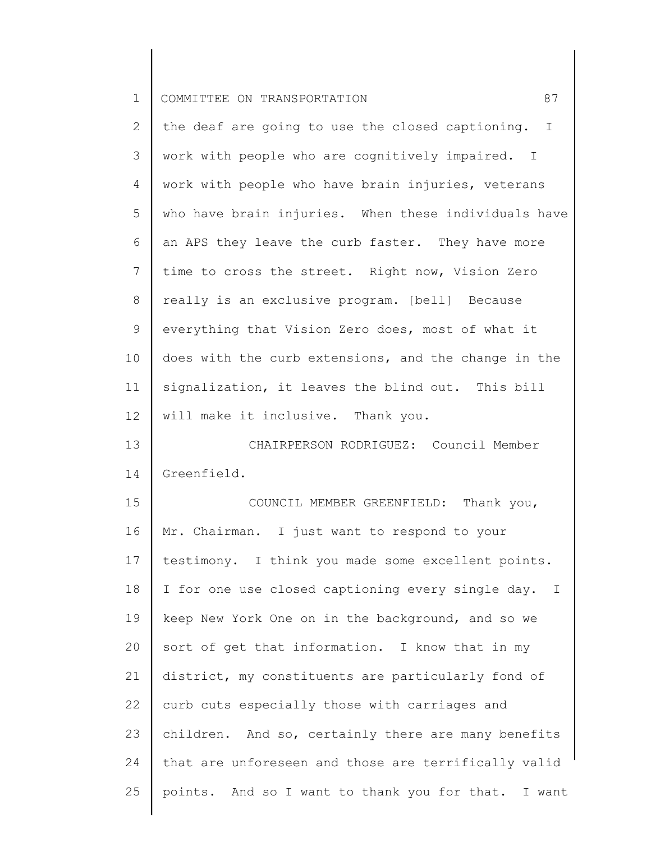|  | COMMITTEE ON TRANSPORTATION |  |
|--|-----------------------------|--|
|  |                             |  |

| $\mathbf{2}$    | the deaf are going to use the closed captioning. I   |
|-----------------|------------------------------------------------------|
| 3               | work with people who are cognitively impaired. I     |
| $\overline{4}$  | work with people who have brain injuries, veterans   |
| 5               | who have brain injuries. When these individuals have |
| 6               | an APS they leave the curb faster. They have more    |
| $7\overline{ }$ | time to cross the street. Right now, Vision Zero     |
| 8               | really is an exclusive program. [bell] Because       |
| $\mathsf 9$     | everything that Vision Zero does, most of what it    |
| 10              | does with the curb extensions, and the change in the |
| 11              | signalization, it leaves the blind out. This bill    |
| 12 <sup>°</sup> | will make it inclusive. Thank you.                   |
| 13              | CHAIRPERSON RODRIGUEZ: Council Member                |
| 14              | Greenfield.                                          |
| 15              | COUNCIL MEMBER GREENFIELD: Thank you,                |
| 16              | Mr. Chairman. I just want to respond to your         |
| 17              | testimony. I think you made some excellent points.   |
| 18              | I for one use closed captioning every single day. I  |
| 19              | keep New York One on in the background, and so we    |
| 20              | sort of get that information. I know that in my      |
| 21              | district, my constituents are particularly fond of   |
| 22              | curb cuts especially those with carriages and        |
| 23              | children. And so, certainly there are many benefits  |
| 24              | that are unforeseen and those are terrifically valid |
| 25              | points. And so I want to thank you for that. I want  |
|                 |                                                      |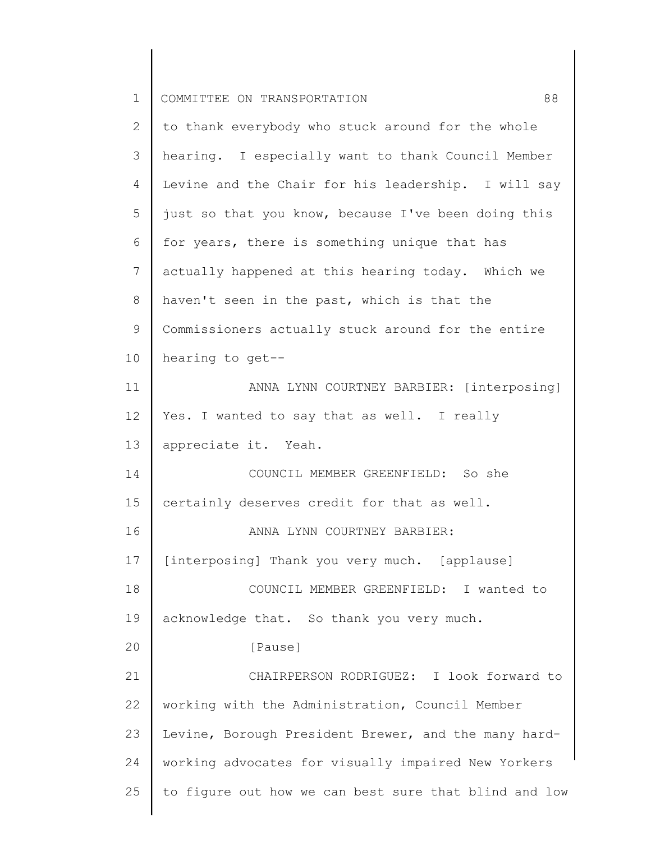| $\mathbf 1$    | 88<br>COMMITTEE ON TRANSPORTATION                     |
|----------------|-------------------------------------------------------|
| $\mathbf{2}$   | to thank everybody who stuck around for the whole     |
| 3              | hearing. I especially want to thank Council Member    |
| 4              | Levine and the Chair for his leadership. I will say   |
| 5              | just so that you know, because I've been doing this   |
| 6              | for years, there is something unique that has         |
| $7\phantom{.}$ | actually happened at this hearing today. Which we     |
| 8              | haven't seen in the past, which is that the           |
| $\mathsf 9$    | Commissioners actually stuck around for the entire    |
| 10             | hearing to get--                                      |
| 11             | ANNA LYNN COURTNEY BARBIER: [interposing]             |
| 12             | Yes. I wanted to say that as well. I really           |
| 13             | appreciate it. Yeah.                                  |
| 14             | COUNCIL MEMBER GREENFIELD: So she                     |
| 15             | certainly deserves credit for that as well.           |
| 16             | ANNA LYNN COURTNEY BARBIER:                           |
| 17             | [interposing] Thank you very much. [applause]         |
| 18             | COUNCIL MEMBER GREENFIELD: I wanted to                |
| 19             | acknowledge that. So thank you very much.             |
| 20             | [Pause]                                               |
| 21             | CHAIRPERSON RODRIGUEZ: I look forward to              |
| 22             | working with the Administration, Council Member       |
| 23             | Levine, Borough President Brewer, and the many hard-  |
| 24             | working advocates for visually impaired New Yorkers   |
| 25             | to figure out how we can best sure that blind and low |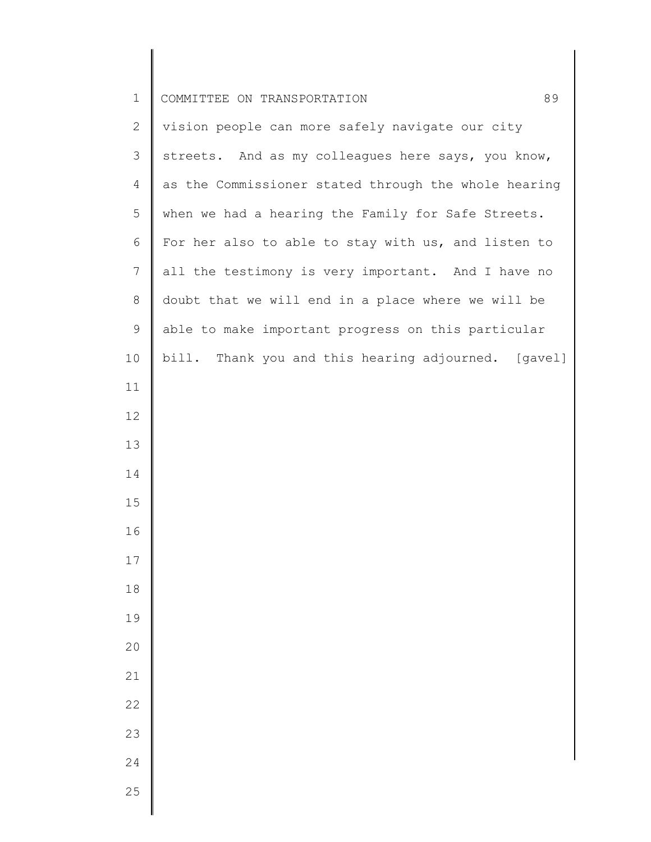| $\mathbf 1$  | 89<br>COMMITTEE ON TRANSPORTATION                    |
|--------------|------------------------------------------------------|
| $\mathbf{2}$ | vision people can more safely navigate our city      |
| 3            | streets. And as my colleagues here says, you know,   |
| 4            | as the Commissioner stated through the whole hearing |
| 5            | when we had a hearing the Family for Safe Streets.   |
| 6            | For her also to able to stay with us, and listen to  |
| 7            | all the testimony is very important. And I have no   |
| $\,8\,$      | doubt that we will end in a place where we will be   |
| $\mathsf 9$  | able to make important progress on this particular   |
| 10           | bill. Thank you and this hearing adjourned. [gavel]  |
| 11           |                                                      |
| 12           |                                                      |
| 13           |                                                      |
| 14           |                                                      |
| 15           |                                                      |
| 16           |                                                      |
| 17           |                                                      |
| 18           |                                                      |
| 19           |                                                      |
| 20           |                                                      |
| 21           |                                                      |
| 22           |                                                      |
| 23           |                                                      |
| 24           |                                                      |
| 25           |                                                      |

║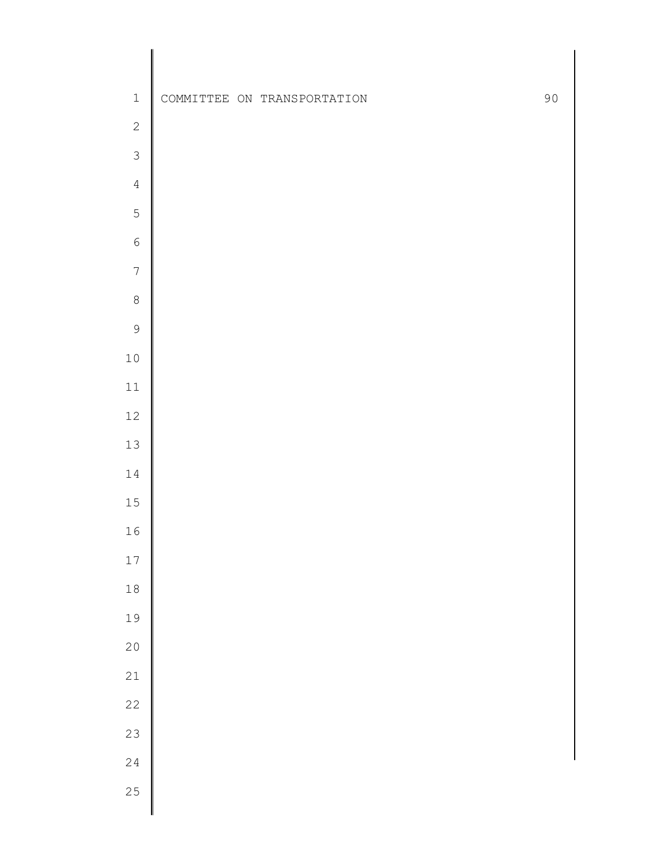| $\mathbf 1$                     |  | COMMITTEE ON TRANSPORTATION | $90\,$ |
|---------------------------------|--|-----------------------------|--------|
| $\sqrt{2}$                      |  |                             |        |
| $\mathfrak{Z}$                  |  |                             |        |
| $\sqrt{4}$                      |  |                             |        |
| $\mathbf 5$                     |  |                             |        |
| $\sqrt{6}$                      |  |                             |        |
| $\overline{7}$                  |  |                             |        |
| $\begin{matrix} 8 \end{matrix}$ |  |                             |        |
| $\mathcal{G}$                   |  |                             |        |
| $1\,0$                          |  |                             |        |
| $11\,$                          |  |                             |        |
| $12\,$                          |  |                             |        |
| $13\,$                          |  |                             |        |
| $1\,4$                          |  |                             |        |
| $15\,$                          |  |                             |        |
| 16                              |  |                             |        |
| $17$                            |  |                             |        |
| $18\,$                          |  |                             |        |
| 19                              |  |                             |        |
| 20                              |  |                             |        |
| $21$                            |  |                             |        |
| 22                              |  |                             |        |
| 23                              |  |                             |        |
| 24                              |  |                             |        |
| 25<br>II                        |  |                             |        |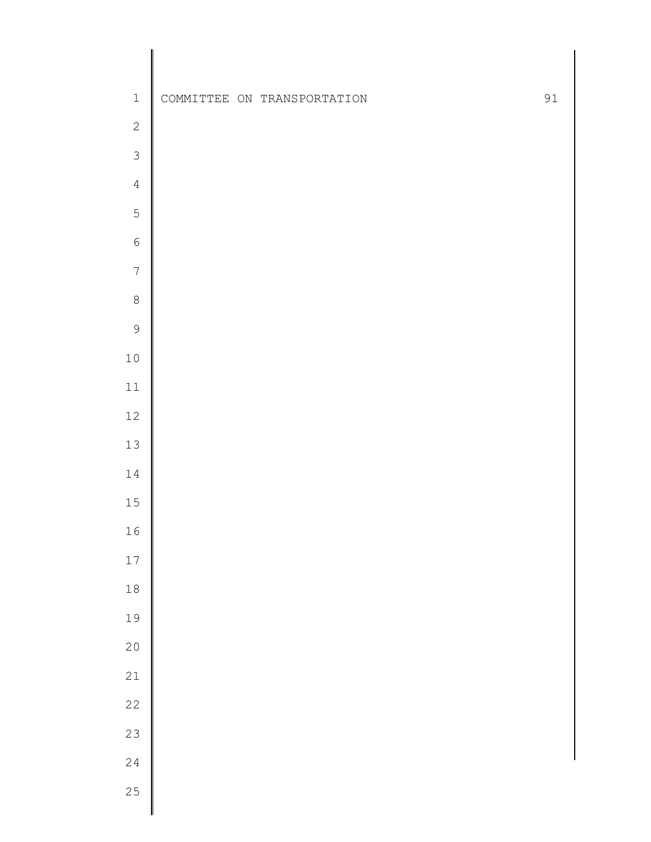| $\mathbf 1$                     |  | COMMITTEE ON TRANSPORTATION | $91\,$ |
|---------------------------------|--|-----------------------------|--------|
| $\sqrt{2}$                      |  |                             |        |
| $\mathfrak{Z}$                  |  |                             |        |
| $\sqrt{4}$                      |  |                             |        |
| $\mathbf 5$                     |  |                             |        |
| $\sqrt{6}$                      |  |                             |        |
| $\overline{7}$                  |  |                             |        |
| $\begin{matrix} 8 \end{matrix}$ |  |                             |        |
| $\mathcal{G}$                   |  |                             |        |
| $1\,0$                          |  |                             |        |
| $11\,$                          |  |                             |        |
| $12\,$                          |  |                             |        |
| $13\,$                          |  |                             |        |
| $1\,4$                          |  |                             |        |
| $15\,$                          |  |                             |        |
| 16                              |  |                             |        |
| $17$                            |  |                             |        |
| $18$                            |  |                             |        |
| 19                              |  |                             |        |
| 20                              |  |                             |        |
| 21                              |  |                             |        |
| 22                              |  |                             |        |
| 23                              |  |                             |        |
| 24                              |  |                             |        |
| 25                              |  |                             |        |